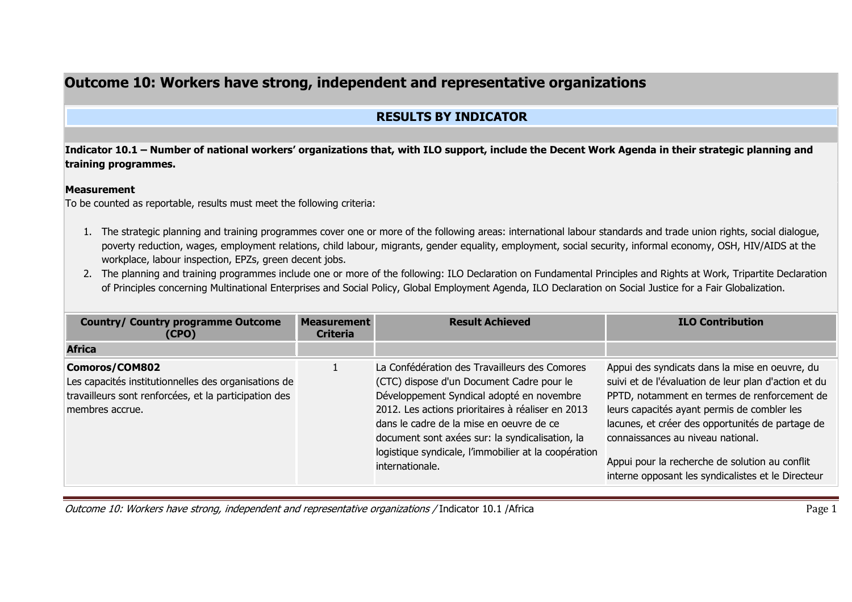## **Outcome 10: Workers have strong, independent and representative organizations**

## **RESULTS BY INDICATOR**

**Indicator 10.1 – Number of national workers' organizations that, with ILO support, include the Decent Work Agenda in their strategic planning and training programmes.** 

## **Measurement**

To be counted as reportable, results must meet the following criteria:

- 1. The strategic planning and training programmes cover one or more of the following areas: international labour standards and trade union rights, social dialogue, poverty reduction, wages, employment relations, child labour, migrants, gender equality, employment, social security, informal economy, OSH, HIV/AIDS at the workplace, labour inspection, EPZs, green decent jobs.
- 2. The planning and training programmes include one or more of the following: ILO Declaration on Fundamental Principles and Rights at Work, Tripartite Declaration of Principles concerning Multinational Enterprises and Social Policy, Global Employment Agenda, ILO Declaration on Social Justice for a Fair Globalization.

| <b>Country/ Country programme Outcome</b><br>(CPO)                                                                                                 | <b>Measurement</b><br><b>Criteria</b> | <b>Result Achieved</b>                                                                                                                                                                                                                                                                                                                                                 | <b>ILO Contribution</b>                                                                                                                                                                                                                                                                                                                                                                                |
|----------------------------------------------------------------------------------------------------------------------------------------------------|---------------------------------------|------------------------------------------------------------------------------------------------------------------------------------------------------------------------------------------------------------------------------------------------------------------------------------------------------------------------------------------------------------------------|--------------------------------------------------------------------------------------------------------------------------------------------------------------------------------------------------------------------------------------------------------------------------------------------------------------------------------------------------------------------------------------------------------|
| <b>Africa</b>                                                                                                                                      |                                       |                                                                                                                                                                                                                                                                                                                                                                        |                                                                                                                                                                                                                                                                                                                                                                                                        |
| Comoros/COM802<br>Les capacités institutionnelles des organisations de<br>travailleurs sont renforcées, et la participation des<br>membres accrue. |                                       | La Confédération des Travailleurs des Comores<br>(CTC) dispose d'un Document Cadre pour le<br>Développement Syndical adopté en novembre<br>2012. Les actions prioritaires à réaliser en 2013<br>dans le cadre de la mise en oeuvre de ce<br>document sont axées sur: la syndicalisation, la<br>logistique syndicale, l'immobilier at la coopération<br>internationale. | Appui des syndicats dans la mise en oeuvre, du<br>suivi et de l'évaluation de leur plan d'action et du<br>PPTD, notamment en termes de renforcement de<br>leurs capacités ayant permis de combler les<br>lacunes, et créer des opportunités de partage de<br>connaissances au niveau national.<br>Appui pour la recherche de solution au conflit<br>interne opposant les syndicalistes et le Directeur |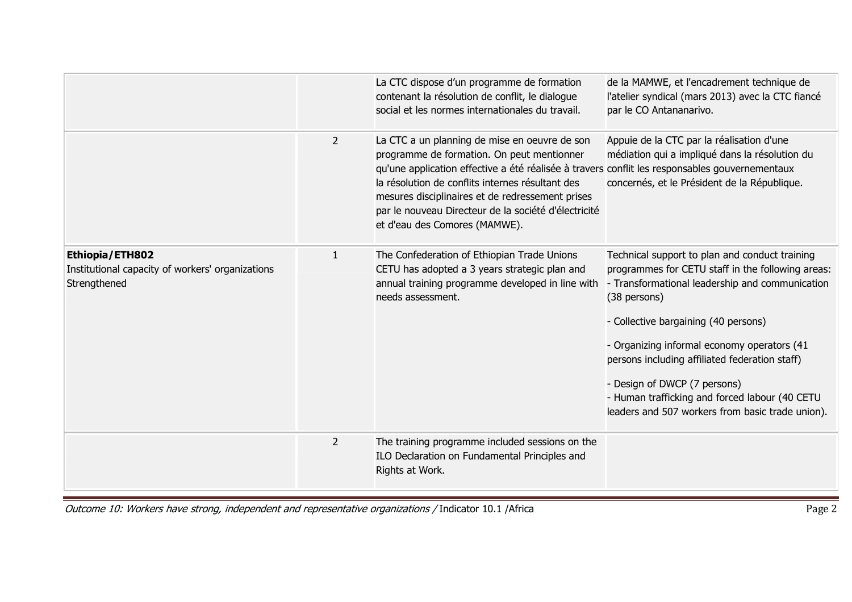|                                                                                     |                | La CTC dispose d'un programme de formation<br>contenant la résolution de conflit, le dialogue<br>social et les normes internationales du travail.                                                                                                                                                                                                                                              | de la MAMWE, et l'encadrement technique de<br>l'atelier syndical (mars 2013) avec la CTC fiancé<br>par le CO Antananarivo.                                                                                                                                                                                                                                                                                                                            |
|-------------------------------------------------------------------------------------|----------------|------------------------------------------------------------------------------------------------------------------------------------------------------------------------------------------------------------------------------------------------------------------------------------------------------------------------------------------------------------------------------------------------|-------------------------------------------------------------------------------------------------------------------------------------------------------------------------------------------------------------------------------------------------------------------------------------------------------------------------------------------------------------------------------------------------------------------------------------------------------|
|                                                                                     | $\overline{2}$ | La CTC a un planning de mise en oeuvre de son<br>programme de formation. On peut mentionner<br>qu'une application effective a été réalisée à travers conflit les responsables gouvernementaux<br>la résolution de conflits internes résultant des<br>mesures disciplinaires et de redressement prises<br>par le nouveau Directeur de la société d'électricité<br>et d'eau des Comores (MAMWE). | Appuie de la CTC par la réalisation d'une<br>médiation qui a impliqué dans la résolution du<br>concernés, et le Président de la République.                                                                                                                                                                                                                                                                                                           |
| Ethiopia/ETH802<br>Institutional capacity of workers' organizations<br>Strengthened | $\mathbf{1}$   | The Confederation of Ethiopian Trade Unions<br>CETU has adopted a 3 years strategic plan and<br>annual training programme developed in line with<br>needs assessment.                                                                                                                                                                                                                          | Technical support to plan and conduct training<br>programmes for CETU staff in the following areas:<br>- Transformational leadership and communication<br>(38 persons)<br>- Collective bargaining (40 persons)<br>- Organizing informal economy operators (41<br>persons including affiliated federation staff)<br>- Design of DWCP (7 persons)<br>- Human trafficking and forced labour (40 CETU<br>leaders and 507 workers from basic trade union). |
|                                                                                     | $\overline{2}$ | The training programme included sessions on the<br>ILO Declaration on Fundamental Principles and<br>Rights at Work.                                                                                                                                                                                                                                                                            |                                                                                                                                                                                                                                                                                                                                                                                                                                                       |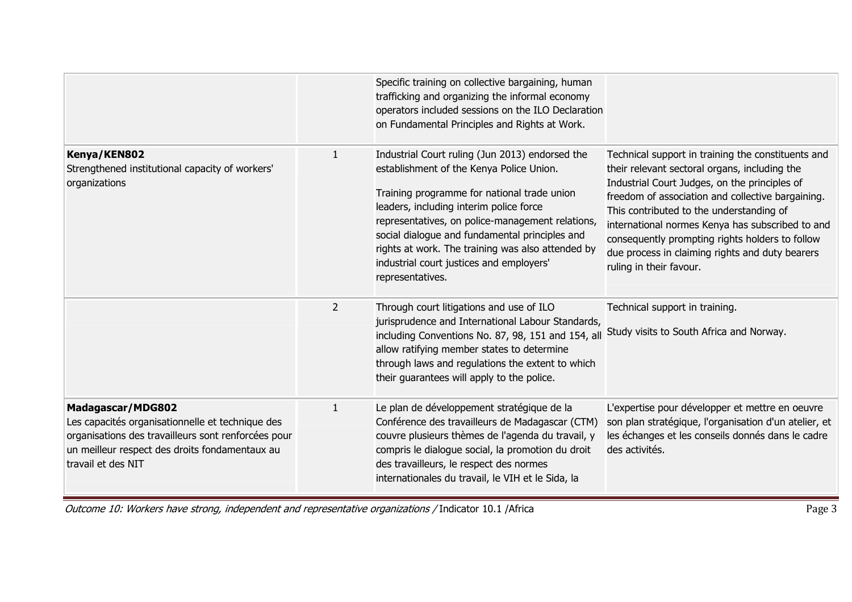| Kenya/KEN802<br>Strengthened institutional capacity of workers'<br>organizations                                                                                                                     | $\mathbf{1}$   | Specific training on collective bargaining, human<br>trafficking and organizing the informal economy<br>operators included sessions on the ILO Declaration<br>on Fundamental Principles and Rights at Work.<br>Industrial Court ruling (Jun 2013) endorsed the<br>establishment of the Kenya Police Union.<br>Training programme for national trade union<br>leaders, including interim police force<br>representatives, on police-management relations,<br>social dialogue and fundamental principles and<br>rights at work. The training was also attended by<br>industrial court justices and employers'<br>representatives. | Technical support in training the constituents and<br>their relevant sectoral organs, including the<br>Industrial Court Judges, on the principles of<br>freedom of association and collective bargaining.<br>This contributed to the understanding of<br>international normes Kenya has subscribed to and<br>consequently prompting rights holders to follow<br>due process in claiming rights and duty bearers<br>ruling in their favour. |
|------------------------------------------------------------------------------------------------------------------------------------------------------------------------------------------------------|----------------|---------------------------------------------------------------------------------------------------------------------------------------------------------------------------------------------------------------------------------------------------------------------------------------------------------------------------------------------------------------------------------------------------------------------------------------------------------------------------------------------------------------------------------------------------------------------------------------------------------------------------------|--------------------------------------------------------------------------------------------------------------------------------------------------------------------------------------------------------------------------------------------------------------------------------------------------------------------------------------------------------------------------------------------------------------------------------------------|
|                                                                                                                                                                                                      | $\overline{2}$ | Through court litigations and use of ILO<br>jurisprudence and International Labour Standards,<br>including Conventions No. 87, 98, 151 and 154, all<br>allow ratifying member states to determine<br>through laws and regulations the extent to which<br>their guarantees will apply to the police.                                                                                                                                                                                                                                                                                                                             | Technical support in training.<br>Study visits to South Africa and Norway.                                                                                                                                                                                                                                                                                                                                                                 |
| Madagascar/MDG802<br>Les capacités organisationnelle et technique des<br>organisations des travailleurs sont renforcées pour<br>un meilleur respect des droits fondamentaux au<br>travail et des NIT | $\mathbf{1}$   | Le plan de développement stratégique de la<br>Conférence des travailleurs de Madagascar (CTM)<br>couvre plusieurs thèmes de l'agenda du travail, y<br>compris le dialogue social, la promotion du droit<br>des travailleurs, le respect des normes<br>internationales du travail, le VIH et le Sida, la                                                                                                                                                                                                                                                                                                                         | L'expertise pour développer et mettre en oeuvre<br>son plan stratégique, l'organisation d'un atelier, et<br>les échanges et les conseils donnés dans le cadre<br>des activités.                                                                                                                                                                                                                                                            |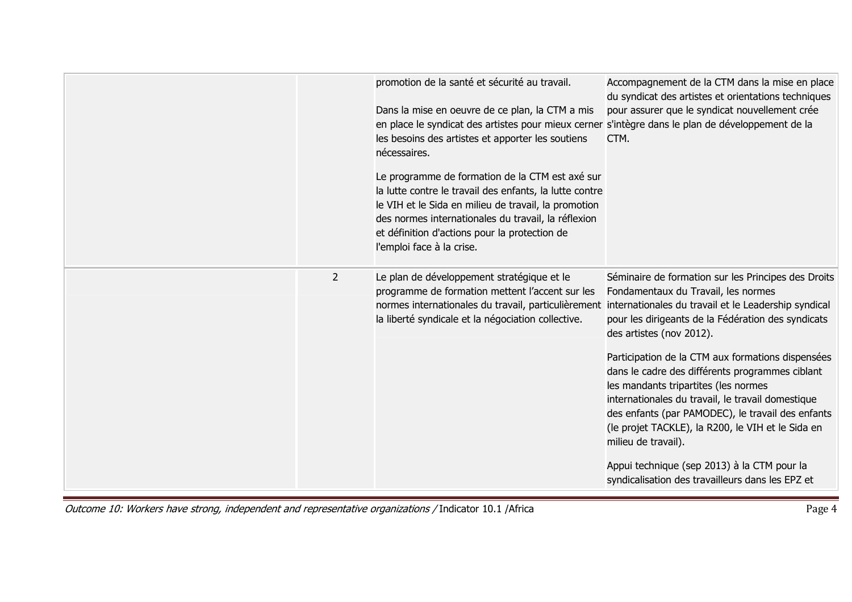|                | promotion de la santé et sécurité au travail.<br>Dans la mise en oeuvre de ce plan, la CTM a mis<br>en place le syndicat des artistes pour mieux cerner s'intègre dans le plan de développement de la<br>les besoins des artistes et apporter les soutiens<br>nécessaires.<br>Le programme de formation de la CTM est axé sur<br>la lutte contre le travail des enfants, la lutte contre<br>le VIH et le Sida en milieu de travail, la promotion<br>des normes internationales du travail, la réflexion<br>et définition d'actions pour la protection de<br>l'emploi face à la crise. | Accompagnement de la CTM dans la mise en place<br>du syndicat des artistes et orientations techniques<br>pour assurer que le syndicat nouvellement crée<br>CTM.                                                                                                                                                                                                                                                                                                                                                                                                                                                       |
|----------------|---------------------------------------------------------------------------------------------------------------------------------------------------------------------------------------------------------------------------------------------------------------------------------------------------------------------------------------------------------------------------------------------------------------------------------------------------------------------------------------------------------------------------------------------------------------------------------------|-----------------------------------------------------------------------------------------------------------------------------------------------------------------------------------------------------------------------------------------------------------------------------------------------------------------------------------------------------------------------------------------------------------------------------------------------------------------------------------------------------------------------------------------------------------------------------------------------------------------------|
| $\overline{2}$ | Le plan de développement stratégique et le<br>programme de formation mettent l'accent sur les<br>normes internationales du travail, particulièrement internationales du travail et le Leadership syndical<br>la liberté syndicale et la négociation collective.                                                                                                                                                                                                                                                                                                                       | Séminaire de formation sur les Principes des Droits<br>Fondamentaux du Travail, les normes<br>pour les dirigeants de la Fédération des syndicats<br>des artistes (nov 2012).<br>Participation de la CTM aux formations dispensées<br>dans le cadre des différents programmes ciblant<br>les mandants tripartites (les normes<br>internationales du travail, le travail domestique<br>des enfants (par PAMODEC), le travail des enfants<br>(le projet TACKLE), la R200, le VIH et le Sida en<br>milieu de travail).<br>Appui technique (sep 2013) à la CTM pour la<br>syndicalisation des travailleurs dans les EPZ et |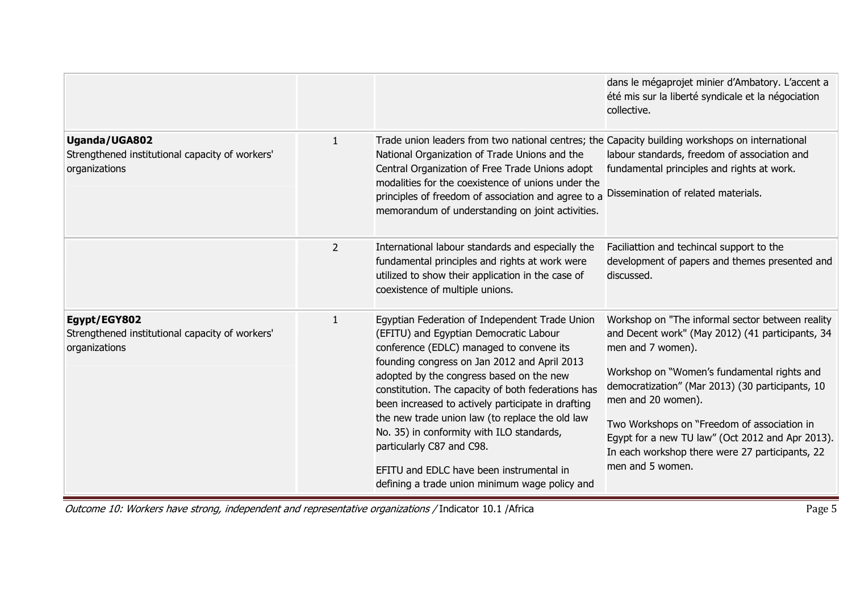|                                                                                   |                |                                                                                                                                                                                                                                                                                                                                                                                                                                                                                                                                                                         | dans le mégaprojet minier d'Ambatory. L'accent a<br>été mis sur la liberté syndicale et la négociation<br>collective.                                                                                                                                                                                                                                                                                                        |
|-----------------------------------------------------------------------------------|----------------|-------------------------------------------------------------------------------------------------------------------------------------------------------------------------------------------------------------------------------------------------------------------------------------------------------------------------------------------------------------------------------------------------------------------------------------------------------------------------------------------------------------------------------------------------------------------------|------------------------------------------------------------------------------------------------------------------------------------------------------------------------------------------------------------------------------------------------------------------------------------------------------------------------------------------------------------------------------------------------------------------------------|
| Uganda/UGA802<br>Strengthened institutional capacity of workers'<br>organizations | $\mathbf{1}$   | Trade union leaders from two national centres; the Capacity building workshops on international<br>National Organization of Trade Unions and the<br>Central Organization of Free Trade Unions adopt<br>modalities for the coexistence of unions under the<br>principles of freedom of association and agree to a<br>memorandum of understanding on joint activities.                                                                                                                                                                                                    | labour standards, freedom of association and<br>fundamental principles and rights at work.<br>Dissemination of related materials.                                                                                                                                                                                                                                                                                            |
|                                                                                   | $\overline{2}$ | International labour standards and especially the<br>fundamental principles and rights at work were<br>utilized to show their application in the case of<br>coexistence of multiple unions.                                                                                                                                                                                                                                                                                                                                                                             | Faciliattion and techincal support to the<br>development of papers and themes presented and<br>discussed.                                                                                                                                                                                                                                                                                                                    |
| Egypt/EGY802<br>Strengthened institutional capacity of workers'<br>organizations  | $\mathbf{1}$   | Egyptian Federation of Independent Trade Union<br>(EFITU) and Egyptian Democratic Labour<br>conference (EDLC) managed to convene its<br>founding congress on Jan 2012 and April 2013<br>adopted by the congress based on the new<br>constitution. The capacity of both federations has<br>been increased to actively participate in drafting<br>the new trade union law (to replace the old law<br>No. 35) in conformity with ILO standards,<br>particularly C87 and C98.<br>EFITU and EDLC have been instrumental in<br>defining a trade union minimum wage policy and | Workshop on "The informal sector between reality<br>and Decent work" (May 2012) (41 participants, 34<br>men and 7 women).<br>Workshop on "Women's fundamental rights and<br>democratization" (Mar 2013) (30 participants, 10<br>men and 20 women).<br>Two Workshops on "Freedom of association in<br>Egypt for a new TU law" (Oct 2012 and Apr 2013).<br>In each workshop there were 27 participants, 22<br>men and 5 women. |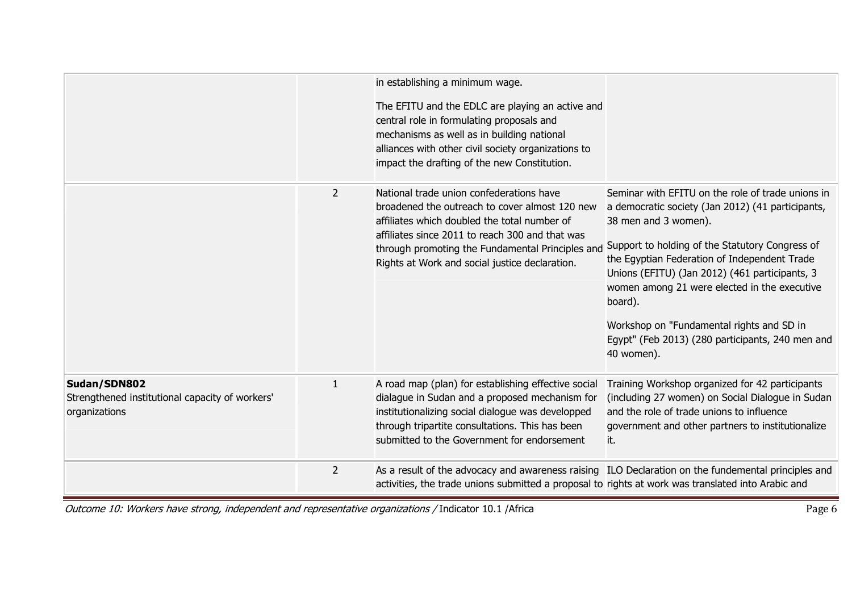|                                                                                  |                | in establishing a minimum wage.<br>The EFITU and the EDLC are playing an active and<br>central role in formulating proposals and<br>mechanisms as well as in building national<br>alliances with other civil society organizations to<br>impact the drafting of the new Constitution.               |                                                                                                                                                                                                                                                                                                                                                                                                                                                               |
|----------------------------------------------------------------------------------|----------------|-----------------------------------------------------------------------------------------------------------------------------------------------------------------------------------------------------------------------------------------------------------------------------------------------------|---------------------------------------------------------------------------------------------------------------------------------------------------------------------------------------------------------------------------------------------------------------------------------------------------------------------------------------------------------------------------------------------------------------------------------------------------------------|
|                                                                                  | $\overline{2}$ | National trade union confederations have<br>broadened the outreach to cover almost 120 new<br>affiliates which doubled the total number of<br>affiliates since 2011 to reach 300 and that was<br>through promoting the Fundamental Principles and<br>Rights at Work and social justice declaration. | Seminar with EFITU on the role of trade unions in<br>a democratic society (Jan 2012) (41 participants,<br>38 men and 3 women).<br>Support to holding of the Statutory Congress of<br>the Egyptian Federation of Independent Trade<br>Unions (EFITU) (Jan 2012) (461 participants, 3<br>women among 21 were elected in the executive<br>board).<br>Workshop on "Fundamental rights and SD in<br>Egypt" (Feb 2013) (280 participants, 240 men and<br>40 women). |
| Sudan/SDN802<br>Strengthened institutional capacity of workers'<br>organizations | $\mathbf{1}$   | A road map (plan) for establishing effective social<br>dialague in Sudan and a proposed mechanism for<br>institutionalizing social dialogue was developped<br>through tripartite consultations. This has been<br>submitted to the Government for endorsement                                        | Training Workshop organized for 42 participants<br>(including 27 women) on Social Dialogue in Sudan<br>and the role of trade unions to influence<br>government and other partners to institutionalize<br>it.                                                                                                                                                                                                                                                  |
|                                                                                  | $\overline{2}$ | As a result of the advocacy and awareness raising ILO Declaration on the fundemental principles and<br>activities, the trade unions submitted a proposal to rights at work was translated into Arabic and                                                                                           |                                                                                                                                                                                                                                                                                                                                                                                                                                                               |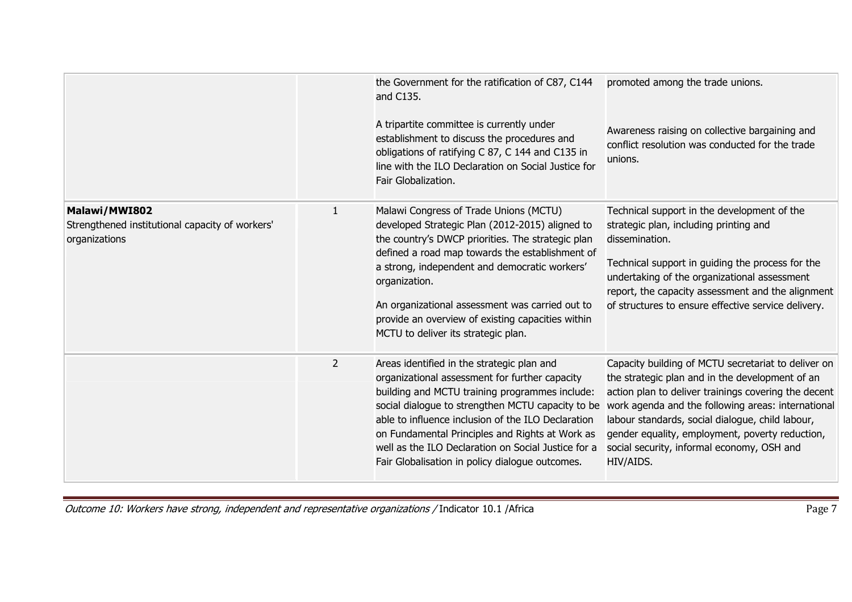|                                                                                   |              | the Government for the ratification of C87, C144<br>and C135.<br>A tripartite committee is currently under<br>establishment to discuss the procedures and<br>obligations of ratifying C 87, C 144 and C135 in<br>line with the ILO Declaration on Social Justice for<br>Fair Globalization.                                                                                                                            | promoted among the trade unions.<br>Awareness raising on collective bargaining and<br>conflict resolution was conducted for the trade<br>unions.                                                                                                                                                                                                                                       |
|-----------------------------------------------------------------------------------|--------------|------------------------------------------------------------------------------------------------------------------------------------------------------------------------------------------------------------------------------------------------------------------------------------------------------------------------------------------------------------------------------------------------------------------------|----------------------------------------------------------------------------------------------------------------------------------------------------------------------------------------------------------------------------------------------------------------------------------------------------------------------------------------------------------------------------------------|
| Malawi/MWI802<br>Strengthened institutional capacity of workers'<br>organizations | $\mathbf{1}$ | Malawi Congress of Trade Unions (MCTU)<br>developed Strategic Plan (2012-2015) aligned to<br>the country's DWCP priorities. The strategic plan<br>defined a road map towards the establishment of<br>a strong, independent and democratic workers'<br>organization.<br>An organizational assessment was carried out to<br>provide an overview of existing capacities within<br>MCTU to deliver its strategic plan.     | Technical support in the development of the<br>strategic plan, including printing and<br>dissemination.<br>Technical support in guiding the process for the<br>undertaking of the organizational assessment<br>report, the capacity assessment and the alignment<br>of structures to ensure effective service delivery.                                                                |
|                                                                                   | 2            | Areas identified in the strategic plan and<br>organizational assessment for further capacity<br>building and MCTU training programmes include:<br>social dialogue to strengthen MCTU capacity to be<br>able to influence inclusion of the ILO Declaration<br>on Fundamental Principles and Rights at Work as<br>well as the ILO Declaration on Social Justice for a<br>Fair Globalisation in policy dialogue outcomes. | Capacity building of MCTU secretariat to deliver on<br>the strategic plan and in the development of an<br>action plan to deliver trainings covering the decent<br>work agenda and the following areas: international<br>labour standards, social dialogue, child labour,<br>gender equality, employment, poverty reduction,<br>social security, informal economy, OSH and<br>HIV/AIDS. |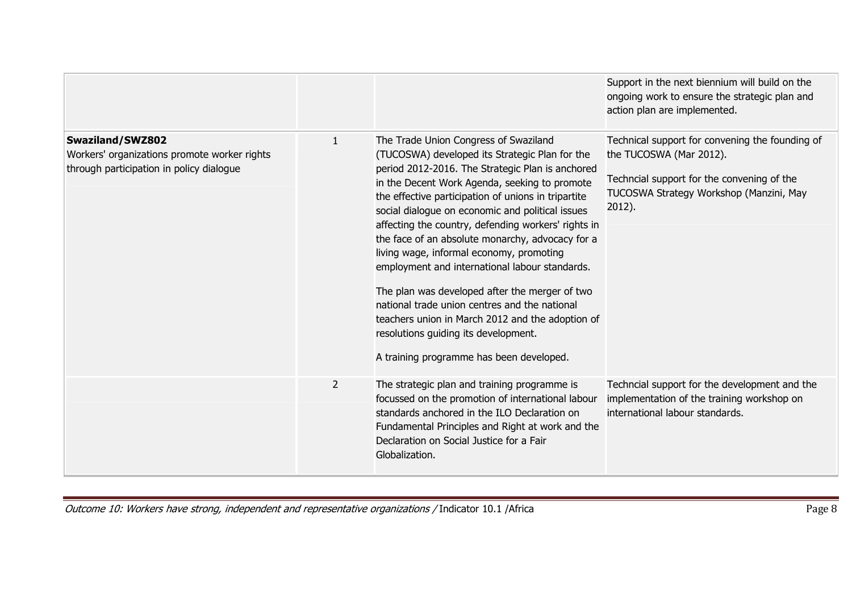|                                                                                                              |                |                                                                                                                                                                                                                                                                                                                                                                                                                                                                                                                                                                                                                                                                                                                                                             | Support in the next biennium will build on the<br>ongoing work to ensure the strategic plan and<br>action plan are implemented.                                               |
|--------------------------------------------------------------------------------------------------------------|----------------|-------------------------------------------------------------------------------------------------------------------------------------------------------------------------------------------------------------------------------------------------------------------------------------------------------------------------------------------------------------------------------------------------------------------------------------------------------------------------------------------------------------------------------------------------------------------------------------------------------------------------------------------------------------------------------------------------------------------------------------------------------------|-------------------------------------------------------------------------------------------------------------------------------------------------------------------------------|
| Swaziland/SWZ802<br>Workers' organizations promote worker rights<br>through participation in policy dialogue | $\mathbf{1}$   | The Trade Union Congress of Swaziland<br>(TUCOSWA) developed its Strategic Plan for the<br>period 2012-2016. The Strategic Plan is anchored<br>in the Decent Work Agenda, seeking to promote<br>the effective participation of unions in tripartite<br>social dialogue on economic and political issues<br>affecting the country, defending workers' rights in<br>the face of an absolute monarchy, advocacy for a<br>living wage, informal economy, promoting<br>employment and international labour standards.<br>The plan was developed after the merger of two<br>national trade union centres and the national<br>teachers union in March 2012 and the adoption of<br>resolutions guiding its development.<br>A training programme has been developed. | Technical support for convening the founding of<br>the TUCOSWA (Mar 2012).<br>Techncial support for the convening of the<br>TUCOSWA Strategy Workshop (Manzini, May<br>2012). |
|                                                                                                              | $\overline{2}$ | The strategic plan and training programme is<br>focussed on the promotion of international labour<br>standards anchored in the ILO Declaration on<br>Fundamental Principles and Right at work and the<br>Declaration on Social Justice for a Fair<br>Globalization.                                                                                                                                                                                                                                                                                                                                                                                                                                                                                         | Techncial support for the development and the<br>implementation of the training workshop on<br>international labour standards.                                                |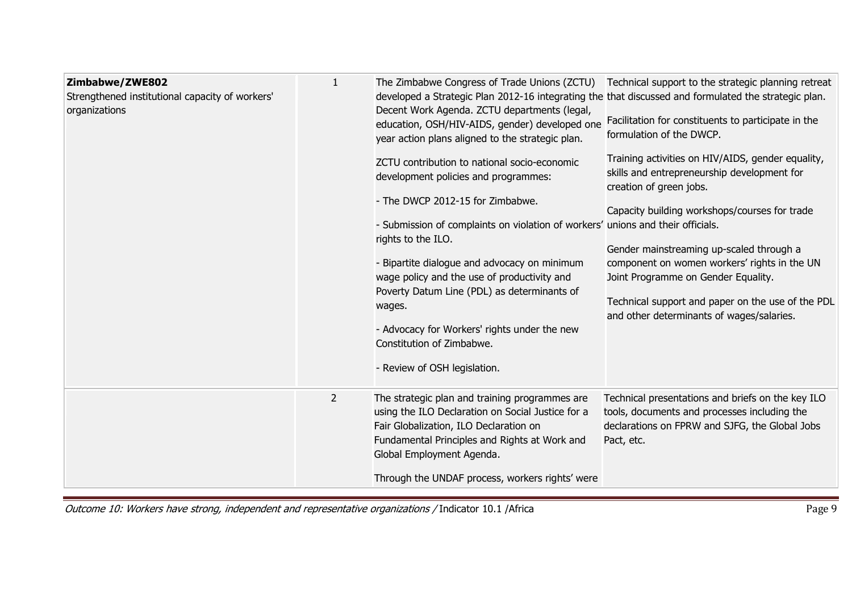| Zimbabwe/ZWE802<br>Strengthened institutional capacity of workers'<br>organizations | $\mathbf{1}$   | The Zimbabwe Congress of Trade Unions (ZCTU)<br>developed a Strategic Plan 2012-16 integrating the that discussed and formulated the strategic plan.<br>Decent Work Agenda. ZCTU departments (legal,<br>education, OSH/HIV-AIDS, gender) developed one<br>year action plans aligned to the strategic plan.<br>ZCTU contribution to national socio-economic<br>development policies and programmes:<br>- The DWCP 2012-15 for Zimbabwe.<br>- Submission of complaints on violation of workers' unions and their officials.<br>rights to the ILO.<br>- Bipartite dialogue and advocacy on minimum<br>wage policy and the use of productivity and<br>Poverty Datum Line (PDL) as determinants of<br>wages.<br>- Advocacy for Workers' rights under the new<br>Constitution of Zimbabwe.<br>- Review of OSH legislation. | Technical support to the strategic planning retreat<br>Facilitation for constituents to participate in the<br>formulation of the DWCP.<br>Training activities on HIV/AIDS, gender equality,<br>skills and entrepreneurship development for<br>creation of green jobs.<br>Capacity building workshops/courses for trade<br>Gender mainstreaming up-scaled through a<br>component on women workers' rights in the UN<br>Joint Programme on Gender Equality.<br>Technical support and paper on the use of the PDL<br>and other determinants of wages/salaries. |
|-------------------------------------------------------------------------------------|----------------|----------------------------------------------------------------------------------------------------------------------------------------------------------------------------------------------------------------------------------------------------------------------------------------------------------------------------------------------------------------------------------------------------------------------------------------------------------------------------------------------------------------------------------------------------------------------------------------------------------------------------------------------------------------------------------------------------------------------------------------------------------------------------------------------------------------------|-------------------------------------------------------------------------------------------------------------------------------------------------------------------------------------------------------------------------------------------------------------------------------------------------------------------------------------------------------------------------------------------------------------------------------------------------------------------------------------------------------------------------------------------------------------|
|                                                                                     | $\overline{2}$ | The strategic plan and training programmes are<br>using the ILO Declaration on Social Justice for a<br>Fair Globalization, ILO Declaration on<br>Fundamental Principles and Rights at Work and<br>Global Employment Agenda.<br>Through the UNDAF process, workers rights' were                                                                                                                                                                                                                                                                                                                                                                                                                                                                                                                                       | Technical presentations and briefs on the key ILO<br>tools, documents and processes including the<br>declarations on FPRW and SJFG, the Global Jobs<br>Pact, etc.                                                                                                                                                                                                                                                                                                                                                                                           |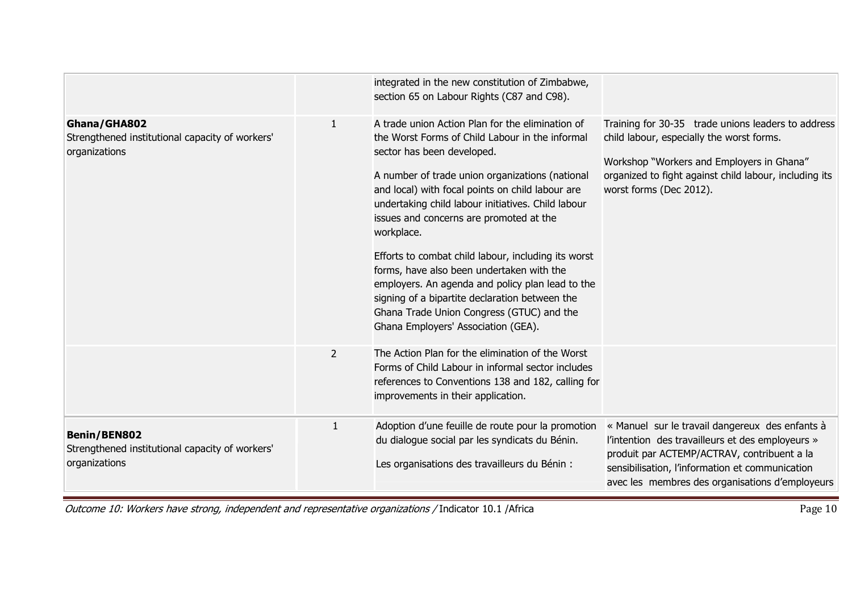|                | integrated in the new constitution of Zimbabwe,<br>section 65 on Labour Rights (C87 and C98).                                                                                                                                                                                                                                                                                                                                                                                                                                                                                                                                                         |                                                                                                                                                                                                                                                          |
|----------------|-------------------------------------------------------------------------------------------------------------------------------------------------------------------------------------------------------------------------------------------------------------------------------------------------------------------------------------------------------------------------------------------------------------------------------------------------------------------------------------------------------------------------------------------------------------------------------------------------------------------------------------------------------|----------------------------------------------------------------------------------------------------------------------------------------------------------------------------------------------------------------------------------------------------------|
| $\mathbf{1}$   | A trade union Action Plan for the elimination of<br>the Worst Forms of Child Labour in the informal<br>sector has been developed.<br>A number of trade union organizations (national<br>and local) with focal points on child labour are<br>undertaking child labour initiatives. Child labour<br>issues and concerns are promoted at the<br>workplace.<br>Efforts to combat child labour, including its worst<br>forms, have also been undertaken with the<br>employers. An agenda and policy plan lead to the<br>signing of a bipartite declaration between the<br>Ghana Trade Union Congress (GTUC) and the<br>Ghana Employers' Association (GEA). | Training for 30-35 trade unions leaders to address<br>child labour, especially the worst forms.<br>Workshop "Workers and Employers in Ghana"<br>organized to fight against child labour, including its<br>worst forms (Dec 2012).                        |
| $\overline{2}$ | The Action Plan for the elimination of the Worst<br>Forms of Child Labour in informal sector includes<br>improvements in their application.                                                                                                                                                                                                                                                                                                                                                                                                                                                                                                           |                                                                                                                                                                                                                                                          |
| $\mathbf{1}$   | Adoption d'une feuille de route pour la promotion<br>du dialogue social par les syndicats du Bénin.<br>Les organisations des travailleurs du Bénin :                                                                                                                                                                                                                                                                                                                                                                                                                                                                                                  | « Manuel sur le travail dangereux des enfants à<br>l'intention des travailleurs et des employeurs »<br>produit par ACTEMP/ACTRAV, contribuent a la<br>sensibilisation, l'information et communication<br>avec les membres des organisations d'employeurs |
|                |                                                                                                                                                                                                                                                                                                                                                                                                                                                                                                                                                                                                                                                       | references to Conventions 138 and 182, calling for                                                                                                                                                                                                       |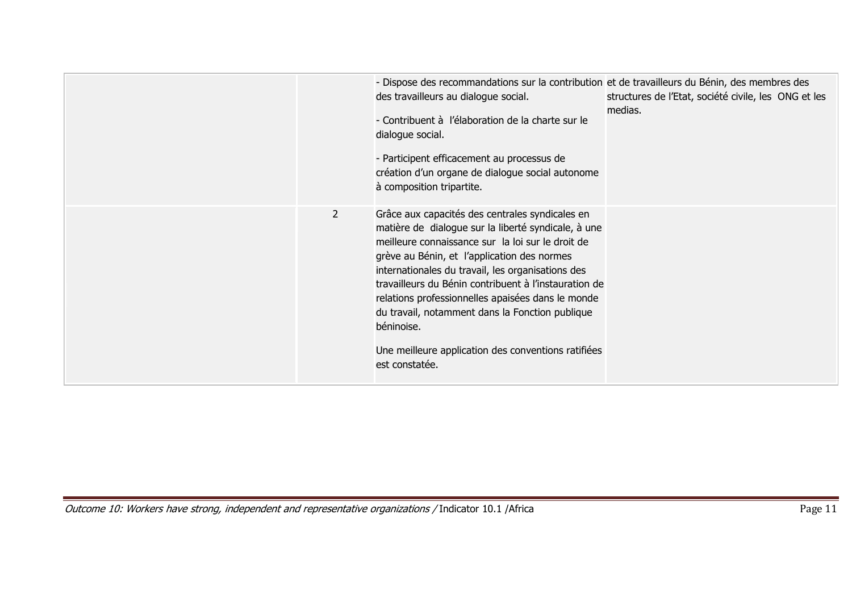|                | - Dispose des recommandations sur la contribution et de travailleurs du Bénin, des membres des<br>des travailleurs au dialogue social.<br>- Contribuent à l'élaboration de la charte sur le<br>dialogue social.<br>- Participent efficacement au processus de<br>création d'un organe de dialogue social autonome<br>à composition tripartite.                                                                                                                                                                          | structures de l'Etat, société civile, les ONG et les<br>medias. |
|----------------|-------------------------------------------------------------------------------------------------------------------------------------------------------------------------------------------------------------------------------------------------------------------------------------------------------------------------------------------------------------------------------------------------------------------------------------------------------------------------------------------------------------------------|-----------------------------------------------------------------|
| $\overline{2}$ | Grâce aux capacités des centrales syndicales en<br>matière de dialogue sur la liberté syndicale, à une<br>meilleure connaissance sur la loi sur le droit de<br>grève au Bénin, et l'application des normes<br>internationales du travail, les organisations des<br>travailleurs du Bénin contribuent à l'instauration de<br>relations professionnelles apaisées dans le monde<br>du travail, notamment dans la Fonction publique<br>béninoise.<br>Une meilleure application des conventions ratifiées<br>est constatée. |                                                                 |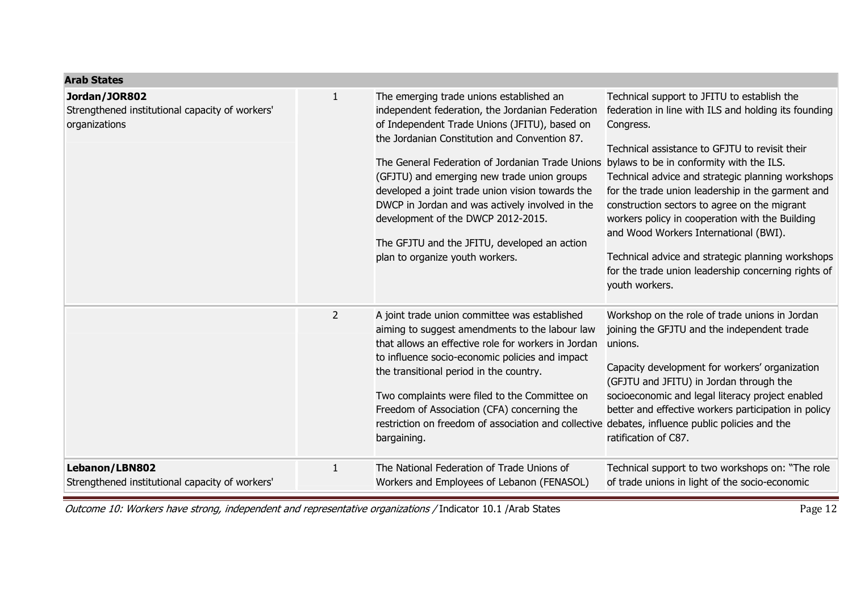| <b>Arab States</b>                                                                |                |                                                                                                                                                                                                                                                                                                                                                                                                                                                                                                                                   |                                                                                                                                                                                                                                                                                                                                                                                                                                                                                                                                                                                                    |
|-----------------------------------------------------------------------------------|----------------|-----------------------------------------------------------------------------------------------------------------------------------------------------------------------------------------------------------------------------------------------------------------------------------------------------------------------------------------------------------------------------------------------------------------------------------------------------------------------------------------------------------------------------------|----------------------------------------------------------------------------------------------------------------------------------------------------------------------------------------------------------------------------------------------------------------------------------------------------------------------------------------------------------------------------------------------------------------------------------------------------------------------------------------------------------------------------------------------------------------------------------------------------|
| Jordan/JOR802<br>Strengthened institutional capacity of workers'<br>organizations | 1              | The emerging trade unions established an<br>independent federation, the Jordanian Federation<br>of Independent Trade Unions (JFITU), based on<br>the Jordanian Constitution and Convention 87.<br>The General Federation of Jordanian Trade Unions<br>(GFJTU) and emerging new trade union groups<br>developed a joint trade union vision towards the<br>DWCP in Jordan and was actively involved in the<br>development of the DWCP 2012-2015.<br>The GFJTU and the JFITU, developed an action<br>plan to organize youth workers. | Technical support to JFITU to establish the<br>federation in line with ILS and holding its founding<br>Congress.<br>Technical assistance to GFJTU to revisit their<br>bylaws to be in conformity with the ILS.<br>Technical advice and strategic planning workshops<br>for the trade union leadership in the garment and<br>construction sectors to agree on the migrant<br>workers policy in cooperation with the Building<br>and Wood Workers International (BWI).<br>Technical advice and strategic planning workshops<br>for the trade union leadership concerning rights of<br>youth workers. |
|                                                                                   | $\overline{2}$ | A joint trade union committee was established<br>aiming to suggest amendments to the labour law<br>that allows an effective role for workers in Jordan<br>to influence socio-economic policies and impact<br>the transitional period in the country.<br>Two complaints were filed to the Committee on<br>Freedom of Association (CFA) concerning the<br>restriction on freedom of association and collective<br>bargaining.                                                                                                       | Workshop on the role of trade unions in Jordan<br>joining the GFJTU and the independent trade<br>unions.<br>Capacity development for workers' organization<br>(GFJTU and JFITU) in Jordan through the<br>socioeconomic and legal literacy project enabled<br>better and effective workers participation in policy<br>debates, influence public policies and the<br>ratification of C87.                                                                                                                                                                                                            |
| Lebanon/LBN802<br>Strengthened institutional capacity of workers'                 | 1              | The National Federation of Trade Unions of<br>Workers and Employees of Lebanon (FENASOL)                                                                                                                                                                                                                                                                                                                                                                                                                                          | Technical support to two workshops on: "The role<br>of trade unions in light of the socio-economic                                                                                                                                                                                                                                                                                                                                                                                                                                                                                                 |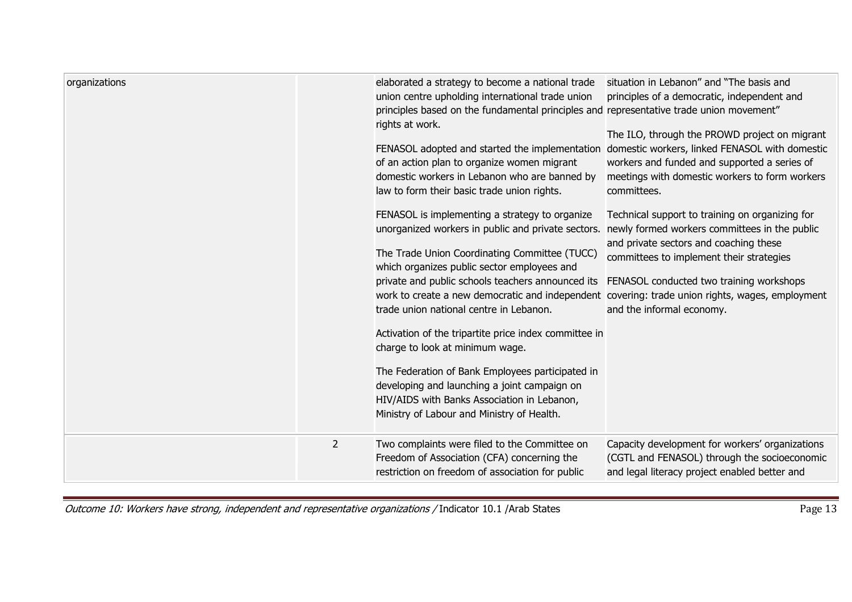| organizations |                | elaborated a strategy to become a national trade<br>union centre upholding international trade union<br>principles based on the fundamental principles and representative trade union movement"<br>rights at work.<br>FENASOL adopted and started the implementation<br>of an action plan to organize women migrant<br>domestic workers in Lebanon who are banned by<br>law to form their basic trade union rights.<br>FENASOL is implementing a strategy to organize<br>unorganized workers in public and private sectors.<br>The Trade Union Coordinating Committee (TUCC)<br>which organizes public sector employees and<br>private and public schools teachers announced its<br>work to create a new democratic and independent covering: trade union rights, wages, employment<br>trade union national centre in Lebanon.<br>Activation of the tripartite price index committee in<br>charge to look at minimum wage.<br>The Federation of Bank Employees participated in<br>developing and launching a joint campaign on<br>HIV/AIDS with Banks Association in Lebanon,<br>Ministry of Labour and Ministry of Health. | situation in Lebanon" and "The basis and<br>principles of a democratic, independent and<br>The ILO, through the PROWD project on migrant<br>domestic workers, linked FENASOL with domestic<br>workers and funded and supported a series of<br>meetings with domestic workers to form workers<br>committees.<br>Technical support to training on organizing for<br>newly formed workers committees in the public<br>and private sectors and coaching these<br>committees to implement their strategies<br>FENASOL conducted two training workshops<br>and the informal economy. |
|---------------|----------------|-----------------------------------------------------------------------------------------------------------------------------------------------------------------------------------------------------------------------------------------------------------------------------------------------------------------------------------------------------------------------------------------------------------------------------------------------------------------------------------------------------------------------------------------------------------------------------------------------------------------------------------------------------------------------------------------------------------------------------------------------------------------------------------------------------------------------------------------------------------------------------------------------------------------------------------------------------------------------------------------------------------------------------------------------------------------------------------------------------------------------------|--------------------------------------------------------------------------------------------------------------------------------------------------------------------------------------------------------------------------------------------------------------------------------------------------------------------------------------------------------------------------------------------------------------------------------------------------------------------------------------------------------------------------------------------------------------------------------|
|               | $\overline{2}$ | Two complaints were filed to the Committee on<br>Freedom of Association (CFA) concerning the<br>restriction on freedom of association for public                                                                                                                                                                                                                                                                                                                                                                                                                                                                                                                                                                                                                                                                                                                                                                                                                                                                                                                                                                            | Capacity development for workers' organizations<br>(CGTL and FENASOL) through the socioeconomic<br>and legal literacy project enabled better and                                                                                                                                                                                                                                                                                                                                                                                                                               |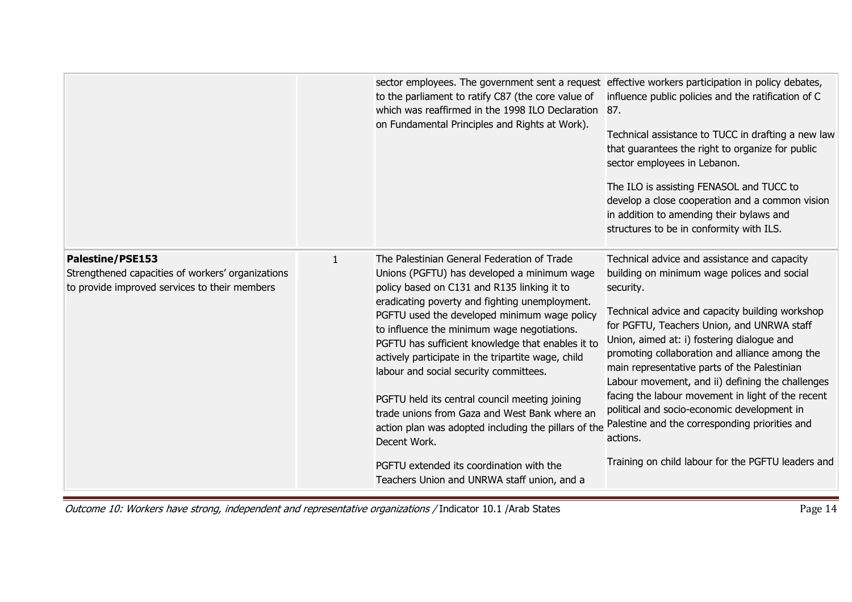|                                                                                                                               |   | sector employees. The government sent a request effective workers participation in policy debates,<br>to the parliament to ratify C87 (the core value of<br>which was reaffirmed in the 1998 ILO Declaration 87.<br>on Fundamental Principles and Rights at Work).                                                                                                                                                                                                                                                                                                                                                                                                                                                    | influence public policies and the ratification of C<br>Technical assistance to TUCC in drafting a new law<br>that guarantees the right to organize for public<br>sector employees in Lebanon.<br>The ILO is assisting FENASOL and TUCC to<br>develop a close cooperation and a common vision<br>in addition to amending their bylaws and<br>structures to be in conformity with ILS.                                                                                                                                                                                                                                                  |
|-------------------------------------------------------------------------------------------------------------------------------|---|-----------------------------------------------------------------------------------------------------------------------------------------------------------------------------------------------------------------------------------------------------------------------------------------------------------------------------------------------------------------------------------------------------------------------------------------------------------------------------------------------------------------------------------------------------------------------------------------------------------------------------------------------------------------------------------------------------------------------|---------------------------------------------------------------------------------------------------------------------------------------------------------------------------------------------------------------------------------------------------------------------------------------------------------------------------------------------------------------------------------------------------------------------------------------------------------------------------------------------------------------------------------------------------------------------------------------------------------------------------------------|
| <b>Palestine/PSE153</b><br>Strengthened capacities of workers' organizations<br>to provide improved services to their members | 1 | The Palestinian General Federation of Trade<br>Unions (PGFTU) has developed a minimum wage<br>policy based on C131 and R135 linking it to<br>eradicating poverty and fighting unemployment.<br>PGFTU used the developed minimum wage policy<br>to influence the minimum wage negotiations.<br>PGFTU has sufficient knowledge that enables it to<br>actively participate in the tripartite wage, child<br>labour and social security committees.<br>PGFTU held its central council meeting joining<br>trade unions from Gaza and West Bank where an<br>action plan was adopted including the pillars of the<br>Decent Work.<br>PGFTU extended its coordination with the<br>Teachers Union and UNRWA staff union, and a | Technical advice and assistance and capacity<br>building on minimum wage polices and social<br>security.<br>Technical advice and capacity building workshop<br>for PGFTU, Teachers Union, and UNRWA staff<br>Union, aimed at: i) fostering dialogue and<br>promoting collaboration and alliance among the<br>main representative parts of the Palestinian<br>Labour movement, and ii) defining the challenges<br>facing the labour movement in light of the recent<br>political and socio-economic development in<br>Palestine and the corresponding priorities and<br>actions.<br>Training on child labour for the PGFTU leaders and |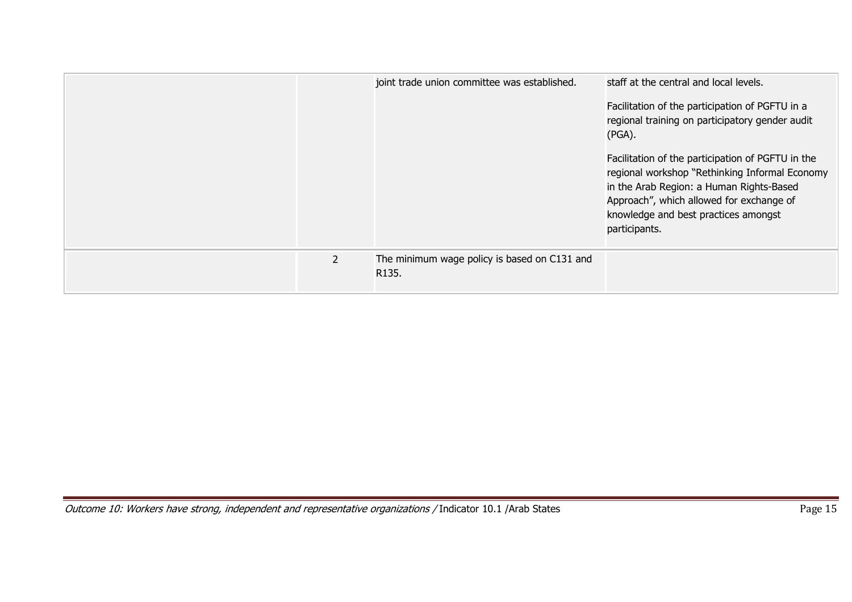|                | joint trade union committee was established.          | staff at the central and local levels.<br>Facilitation of the participation of PGFTU in a<br>regional training on participatory gender audit<br>$(PGA)$ .<br>Facilitation of the participation of PGFTU in the<br>regional workshop "Rethinking Informal Economy<br>in the Arab Region: a Human Rights-Based<br>Approach", which allowed for exchange of<br>knowledge and best practices amongst<br>participants. |
|----------------|-------------------------------------------------------|-------------------------------------------------------------------------------------------------------------------------------------------------------------------------------------------------------------------------------------------------------------------------------------------------------------------------------------------------------------------------------------------------------------------|
| $\overline{2}$ | The minimum wage policy is based on C131 and<br>R135. |                                                                                                                                                                                                                                                                                                                                                                                                                   |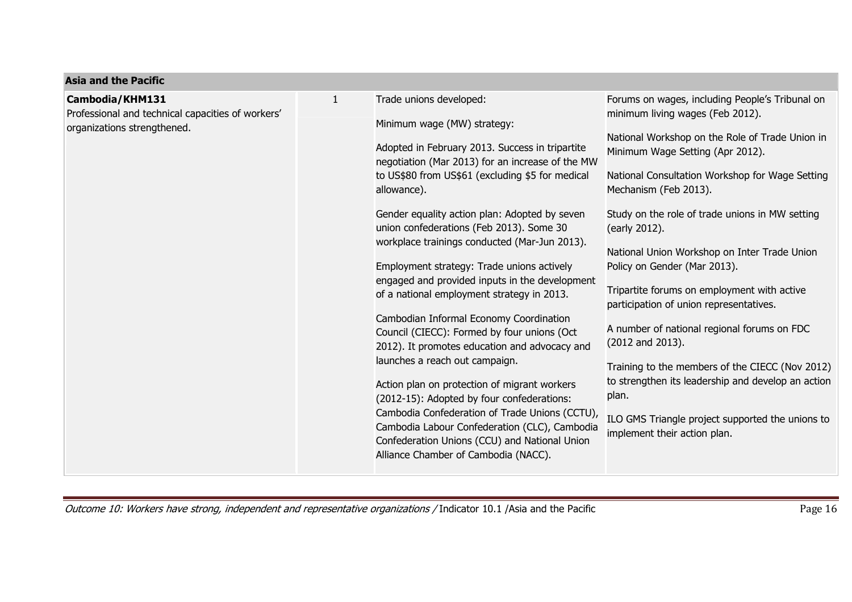| <b>Asia and the Pacific</b>                                                                         |              |                                                                                                                                                                                                                                                                                                                                                                                                                                                                                                                                                                                                                                                                                                                                                                                                                                                                                                                                                                                                     |                                                                                                                                                                                                                                                                                                                                                                                                                                                                                                                                                                                                                                                                                                                                                                               |
|-----------------------------------------------------------------------------------------------------|--------------|-----------------------------------------------------------------------------------------------------------------------------------------------------------------------------------------------------------------------------------------------------------------------------------------------------------------------------------------------------------------------------------------------------------------------------------------------------------------------------------------------------------------------------------------------------------------------------------------------------------------------------------------------------------------------------------------------------------------------------------------------------------------------------------------------------------------------------------------------------------------------------------------------------------------------------------------------------------------------------------------------------|-------------------------------------------------------------------------------------------------------------------------------------------------------------------------------------------------------------------------------------------------------------------------------------------------------------------------------------------------------------------------------------------------------------------------------------------------------------------------------------------------------------------------------------------------------------------------------------------------------------------------------------------------------------------------------------------------------------------------------------------------------------------------------|
| Cambodia/KHM131<br>Professional and technical capacities of workers'<br>organizations strengthened. | $\mathbf{1}$ | Trade unions developed:<br>Minimum wage (MW) strategy:<br>Adopted in February 2013. Success in tripartite<br>negotiation (Mar 2013) for an increase of the MW<br>to US\$80 from US\$61 (excluding \$5 for medical<br>allowance).<br>Gender equality action plan: Adopted by seven<br>union confederations (Feb 2013). Some 30<br>workplace trainings conducted (Mar-Jun 2013).<br>Employment strategy: Trade unions actively<br>engaged and provided inputs in the development<br>of a national employment strategy in 2013.<br>Cambodian Informal Economy Coordination<br>Council (CIECC): Formed by four unions (Oct<br>2012). It promotes education and advocacy and<br>launches a reach out campaign.<br>Action plan on protection of migrant workers<br>(2012-15): Adopted by four confederations:<br>Cambodia Confederation of Trade Unions (CCTU),<br>Cambodia Labour Confederation (CLC), Cambodia<br>Confederation Unions (CCU) and National Union<br>Alliance Chamber of Cambodia (NACC). | Forums on wages, including People's Tribunal on<br>minimum living wages (Feb 2012).<br>National Workshop on the Role of Trade Union in<br>Minimum Wage Setting (Apr 2012).<br>National Consultation Workshop for Wage Setting<br>Mechanism (Feb 2013).<br>Study on the role of trade unions in MW setting<br>(early 2012).<br>National Union Workshop on Inter Trade Union<br>Policy on Gender (Mar 2013).<br>Tripartite forums on employment with active<br>participation of union representatives.<br>A number of national regional forums on FDC<br>(2012 and 2013).<br>Training to the members of the CIECC (Nov 2012)<br>to strengthen its leadership and develop an action<br>plan.<br>ILO GMS Triangle project supported the unions to<br>implement their action plan. |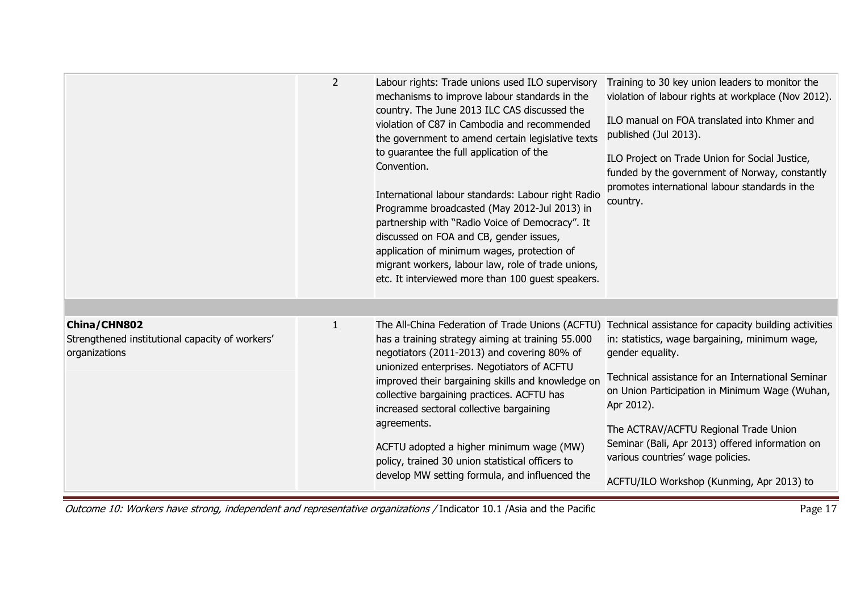|                                                                                  | $\overline{2}$ | Labour rights: Trade unions used ILO supervisory<br>mechanisms to improve labour standards in the<br>country. The June 2013 ILC CAS discussed the<br>violation of C87 in Cambodia and recommended<br>the government to amend certain legislative texts<br>to guarantee the full application of the<br>Convention.<br>International labour standards: Labour right Radio<br>Programme broadcasted (May 2012-Jul 2013) in<br>partnership with "Radio Voice of Democracy". It<br>discussed on FOA and CB, gender issues,<br>application of minimum wages, protection of<br>migrant workers, labour law, role of trade unions,<br>etc. It interviewed more than 100 guest speakers. | Training to 30 key union leaders to monitor the<br>violation of labour rights at workplace (Nov 2012).<br>ILO manual on FOA translated into Khmer and<br>published (Jul 2013).<br>ILO Project on Trade Union for Social Justice,<br>funded by the government of Norway, constantly<br>promotes international labour standards in the<br>country.                                                                               |
|----------------------------------------------------------------------------------|----------------|---------------------------------------------------------------------------------------------------------------------------------------------------------------------------------------------------------------------------------------------------------------------------------------------------------------------------------------------------------------------------------------------------------------------------------------------------------------------------------------------------------------------------------------------------------------------------------------------------------------------------------------------------------------------------------|--------------------------------------------------------------------------------------------------------------------------------------------------------------------------------------------------------------------------------------------------------------------------------------------------------------------------------------------------------------------------------------------------------------------------------|
| China/CHN802<br>Strengthened institutional capacity of workers'<br>organizations | $\mathbf{1}$   | The All-China Federation of Trade Unions (ACFTU)<br>has a training strategy aiming at training 55.000<br>negotiators (2011-2013) and covering 80% of<br>unionized enterprises. Negotiators of ACFTU<br>improved their bargaining skills and knowledge on<br>collective bargaining practices. ACFTU has<br>increased sectoral collective bargaining<br>agreements.<br>ACFTU adopted a higher minimum wage (MW)<br>policy, trained 30 union statistical officers to<br>develop MW setting formula, and influenced the                                                                                                                                                             | Technical assistance for capacity building activities<br>in: statistics, wage bargaining, minimum wage,<br>gender equality.<br>Technical assistance for an International Seminar<br>on Union Participation in Minimum Wage (Wuhan,<br>Apr 2012).<br>The ACTRAV/ACFTU Regional Trade Union<br>Seminar (Bali, Apr 2013) offered information on<br>various countries' wage policies.<br>ACFTU/ILO Workshop (Kunming, Apr 2013) to |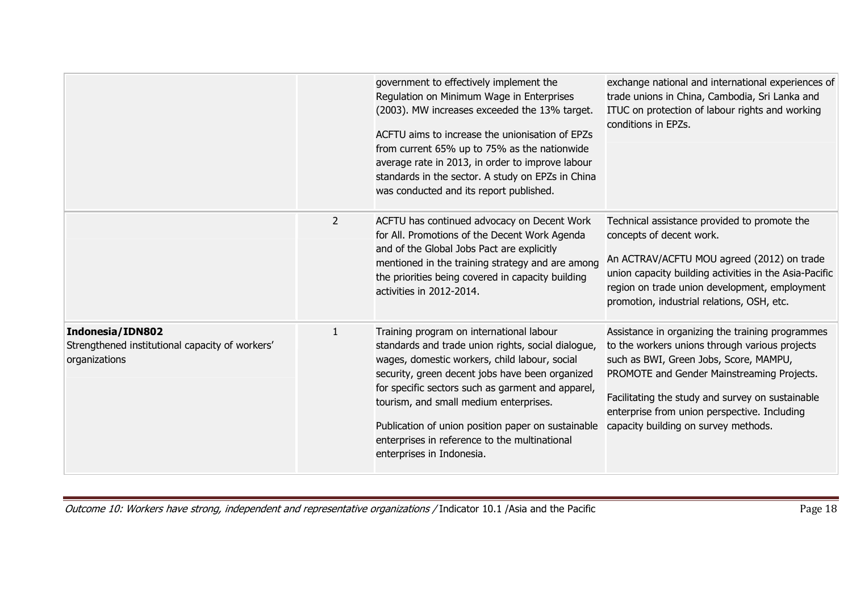|                                                                                             |                | government to effectively implement the<br>Regulation on Minimum Wage in Enterprises<br>(2003). MW increases exceeded the 13% target.<br>ACFTU aims to increase the unionisation of EPZs<br>from current 65% up to 75% as the nationwide<br>average rate in 2013, in order to improve labour<br>standards in the sector. A study on EPZs in China<br>was conducted and its report published.                                          | exchange national and international experiences of<br>trade unions in China, Cambodia, Sri Lanka and<br>ITUC on protection of labour rights and working<br>conditions in EPZs.                                                                                                                                                         |
|---------------------------------------------------------------------------------------------|----------------|---------------------------------------------------------------------------------------------------------------------------------------------------------------------------------------------------------------------------------------------------------------------------------------------------------------------------------------------------------------------------------------------------------------------------------------|----------------------------------------------------------------------------------------------------------------------------------------------------------------------------------------------------------------------------------------------------------------------------------------------------------------------------------------|
|                                                                                             | $\overline{2}$ | ACFTU has continued advocacy on Decent Work<br>for All. Promotions of the Decent Work Agenda<br>and of the Global Jobs Pact are explicitly<br>mentioned in the training strategy and are among<br>the priorities being covered in capacity building<br>activities in 2012-2014.                                                                                                                                                       | Technical assistance provided to promote the<br>concepts of decent work.<br>An ACTRAV/ACFTU MOU agreed (2012) on trade<br>union capacity building activities in the Asia-Pacific<br>region on trade union development, employment<br>promotion, industrial relations, OSH, etc.                                                        |
| <b>Indonesia/IDN802</b><br>Strengthened institutional capacity of workers'<br>organizations | $\mathbf{1}$   | Training program on international labour<br>standards and trade union rights, social dialogue,<br>wages, domestic workers, child labour, social<br>security, green decent jobs have been organized<br>for specific sectors such as garment and apparel,<br>tourism, and small medium enterprises.<br>Publication of union position paper on sustainable<br>enterprises in reference to the multinational<br>enterprises in Indonesia. | Assistance in organizing the training programmes<br>to the workers unions through various projects<br>such as BWI, Green Jobs, Score, MAMPU,<br>PROMOTE and Gender Mainstreaming Projects.<br>Facilitating the study and survey on sustainable<br>enterprise from union perspective. Including<br>capacity building on survey methods. |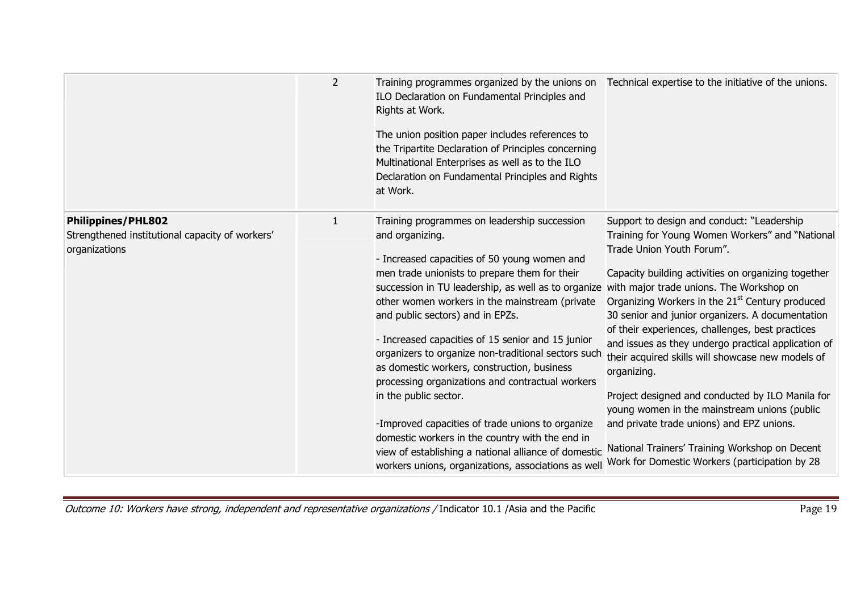|                                                                                               | $\overline{2}$ | Training programmes organized by the unions on<br>ILO Declaration on Fundamental Principles and<br>Rights at Work.<br>The union position paper includes references to<br>the Tripartite Declaration of Principles concerning<br>Multinational Enterprises as well as to the ILO<br>Declaration on Fundamental Principles and Rights<br>at Work.                                                                                                                                                                                                                                                                                                                                                                                                                             | Technical expertise to the initiative of the unions.                                                                                                                                                                                                                                                                                                                                                                                                                                                                                                                                                                                                                                                                                                                                 |
|-----------------------------------------------------------------------------------------------|----------------|-----------------------------------------------------------------------------------------------------------------------------------------------------------------------------------------------------------------------------------------------------------------------------------------------------------------------------------------------------------------------------------------------------------------------------------------------------------------------------------------------------------------------------------------------------------------------------------------------------------------------------------------------------------------------------------------------------------------------------------------------------------------------------|--------------------------------------------------------------------------------------------------------------------------------------------------------------------------------------------------------------------------------------------------------------------------------------------------------------------------------------------------------------------------------------------------------------------------------------------------------------------------------------------------------------------------------------------------------------------------------------------------------------------------------------------------------------------------------------------------------------------------------------------------------------------------------------|
| <b>Philippines/PHL802</b><br>Strengthened institutional capacity of workers'<br>organizations | 1              | Training programmes on leadership succession<br>and organizing.<br>- Increased capacities of 50 young women and<br>men trade unionists to prepare them for their<br>succession in TU leadership, as well as to organize<br>other women workers in the mainstream (private<br>and public sectors) and in EPZs.<br>- Increased capacities of 15 senior and 15 junior<br>organizers to organize non-traditional sectors such<br>as domestic workers, construction, business<br>processing organizations and contractual workers<br>in the public sector.<br>-Improved capacities of trade unions to organize<br>domestic workers in the country with the end in<br>view of establishing a national alliance of domestic<br>workers unions, organizations, associations as well | Support to design and conduct: "Leadership<br>Training for Young Women Workers" and "National<br>Trade Union Youth Forum".<br>Capacity building activities on organizing together<br>with major trade unions. The Workshop on<br>Organizing Workers in the 21 <sup>st</sup> Century produced<br>30 senior and junior organizers. A documentation<br>of their experiences, challenges, best practices<br>and issues as they undergo practical application of<br>their acquired skills will showcase new models of<br>organizing.<br>Project designed and conducted by ILO Manila for<br>young women in the mainstream unions (public<br>and private trade unions) and EPZ unions.<br>National Trainers' Training Workshop on Decent<br>Work for Domestic Workers (participation by 28 |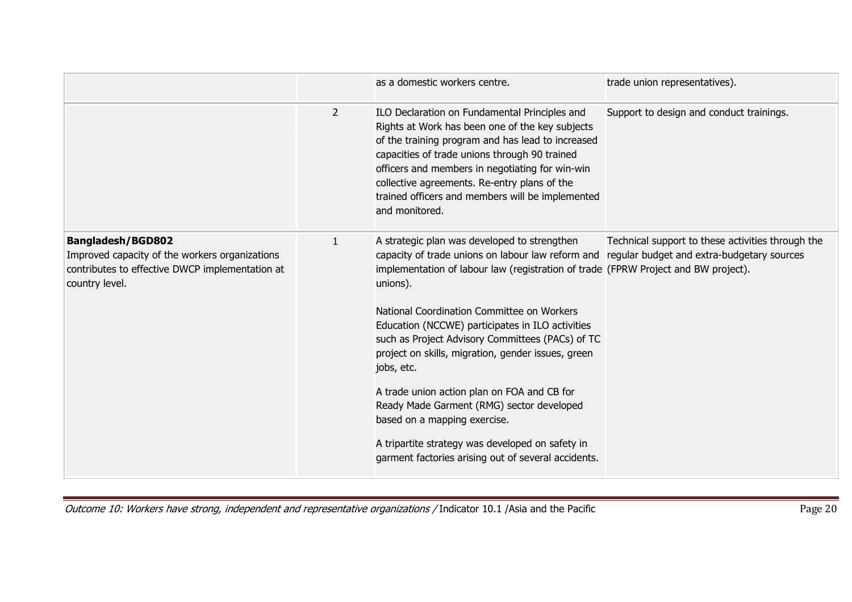|                                                                                                                                                 |                | as a domestic workers centre.                                                                                                                                                                                                                                                                                                                                                                                                                                                                                                                                                                                                                                                                                   | trade union representatives).                     |
|-------------------------------------------------------------------------------------------------------------------------------------------------|----------------|-----------------------------------------------------------------------------------------------------------------------------------------------------------------------------------------------------------------------------------------------------------------------------------------------------------------------------------------------------------------------------------------------------------------------------------------------------------------------------------------------------------------------------------------------------------------------------------------------------------------------------------------------------------------------------------------------------------------|---------------------------------------------------|
|                                                                                                                                                 | $\overline{2}$ | ILO Declaration on Fundamental Principles and<br>Rights at Work has been one of the key subjects<br>of the training program and has lead to increased<br>capacities of trade unions through 90 trained<br>officers and members in negotiating for win-win<br>collective agreements. Re-entry plans of the<br>trained officers and members will be implemented<br>and monitored.                                                                                                                                                                                                                                                                                                                                 | Support to design and conduct trainings.          |
| <b>Bangladesh/BGD802</b><br>Improved capacity of the workers organizations<br>contributes to effective DWCP implementation at<br>country level. | $\mathbf{1}$   | A strategic plan was developed to strengthen<br>capacity of trade unions on labour law reform and regular budget and extra-budgetary sources<br>implementation of labour law (registration of trade (FPRW Project and BW project).<br>unions).<br>National Coordination Committee on Workers<br>Education (NCCWE) participates in ILO activities<br>such as Project Advisory Committees (PACs) of TC<br>project on skills, migration, gender issues, green<br>jobs, etc.<br>A trade union action plan on FOA and CB for<br>Ready Made Garment (RMG) sector developed<br>based on a mapping exercise.<br>A tripartite strategy was developed on safety in<br>garment factories arising out of several accidents. | Technical support to these activities through the |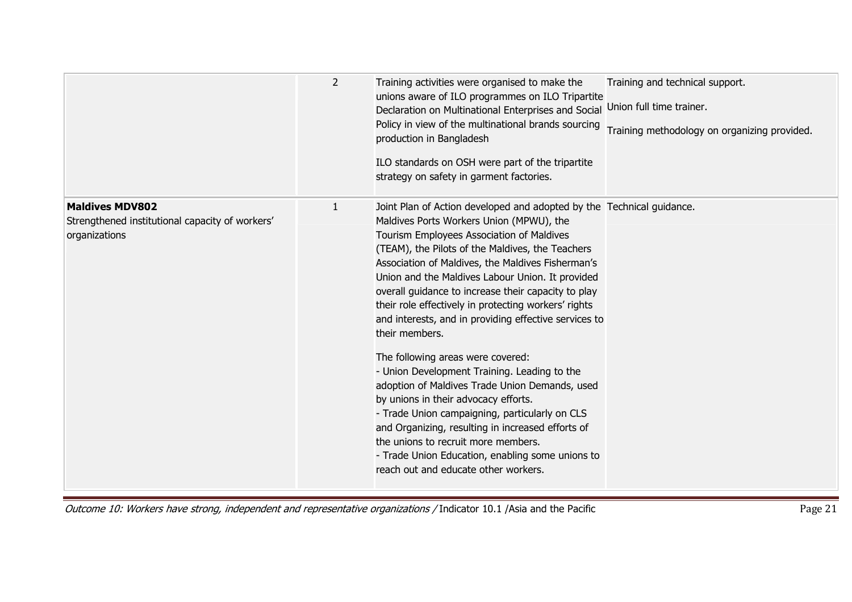|                                                                                            | $\overline{2}$ | Training activities were organised to make the<br>unions aware of ILO programmes on ILO Tripartite<br>Declaration on Multinational Enterprises and Social<br>Policy in view of the multinational brands sourcing<br>production in Bangladesh<br>ILO standards on OSH were part of the tripartite<br>strategy on safety in garment factories.                                                                                                                                                                                                                                                                                                                                                                                                                                                                                                                                                                                                   | Training and technical support.<br>Union full time trainer.<br>Training methodology on organizing provided. |
|--------------------------------------------------------------------------------------------|----------------|------------------------------------------------------------------------------------------------------------------------------------------------------------------------------------------------------------------------------------------------------------------------------------------------------------------------------------------------------------------------------------------------------------------------------------------------------------------------------------------------------------------------------------------------------------------------------------------------------------------------------------------------------------------------------------------------------------------------------------------------------------------------------------------------------------------------------------------------------------------------------------------------------------------------------------------------|-------------------------------------------------------------------------------------------------------------|
| <b>Maldives MDV802</b><br>Strengthened institutional capacity of workers'<br>organizations | $\mathbf{1}$   | Joint Plan of Action developed and adopted by the Technical guidance.<br>Maldives Ports Workers Union (MPWU), the<br>Tourism Employees Association of Maldives<br>(TEAM), the Pilots of the Maldives, the Teachers<br>Association of Maldives, the Maldives Fisherman's<br>Union and the Maldives Labour Union. It provided<br>overall guidance to increase their capacity to play<br>their role effectively in protecting workers' rights<br>and interests, and in providing effective services to<br>their members.<br>The following areas were covered:<br>- Union Development Training. Leading to the<br>adoption of Maldives Trade Union Demands, used<br>by unions in their advocacy efforts.<br>- Trade Union campaigning, particularly on CLS<br>and Organizing, resulting in increased efforts of<br>the unions to recruit more members.<br>- Trade Union Education, enabling some unions to<br>reach out and educate other workers. |                                                                                                             |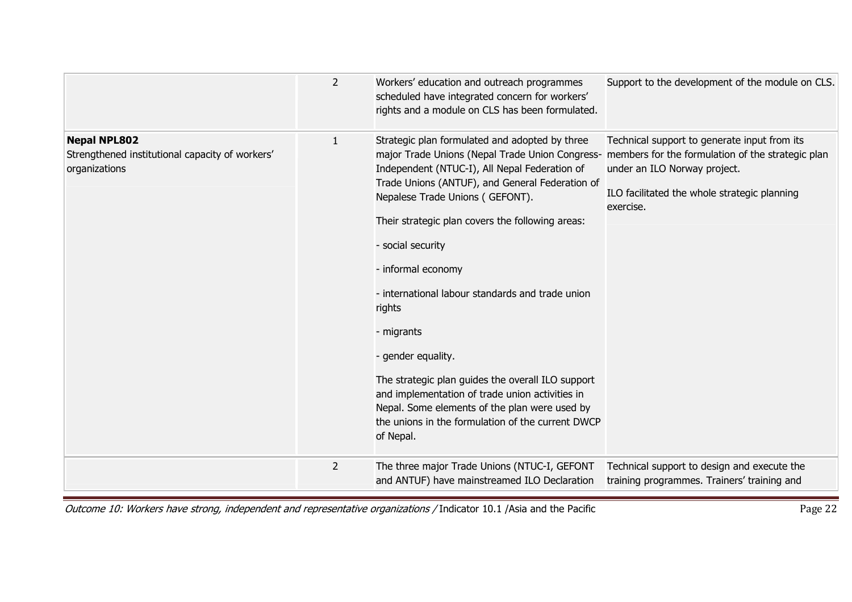|                                                                                         | $\overline{2}$ | Workers' education and outreach programmes<br>scheduled have integrated concern for workers'<br>rights and a module on CLS has been formulated.                                                                                                                                                                                                                                                                                                                                                                                                                                                                                                                                                                        | Support to the development of the module on CLS.                                                                                          |
|-----------------------------------------------------------------------------------------|----------------|------------------------------------------------------------------------------------------------------------------------------------------------------------------------------------------------------------------------------------------------------------------------------------------------------------------------------------------------------------------------------------------------------------------------------------------------------------------------------------------------------------------------------------------------------------------------------------------------------------------------------------------------------------------------------------------------------------------------|-------------------------------------------------------------------------------------------------------------------------------------------|
| <b>Nepal NPL802</b><br>Strengthened institutional capacity of workers'<br>organizations | $\mathbf{1}$   | Strategic plan formulated and adopted by three<br>major Trade Unions (Nepal Trade Union Congress- members for the formulation of the strategic plan<br>Independent (NTUC-I), All Nepal Federation of<br>Trade Unions (ANTUF), and General Federation of<br>Nepalese Trade Unions (GEFONT).<br>Their strategic plan covers the following areas:<br>- social security<br>- informal economy<br>- international labour standards and trade union<br>rights<br>- migrants<br>- gender equality.<br>The strategic plan guides the overall ILO support<br>and implementation of trade union activities in<br>Nepal. Some elements of the plan were used by<br>the unions in the formulation of the current DWCP<br>of Nepal. | Technical support to generate input from its<br>under an ILO Norway project.<br>ILO facilitated the whole strategic planning<br>exercise. |
|                                                                                         | $\overline{2}$ | The three major Trade Unions (NTUC-I, GEFONT<br>and ANTUF) have mainstreamed ILO Declaration                                                                                                                                                                                                                                                                                                                                                                                                                                                                                                                                                                                                                           | Technical support to design and execute the<br>training programmes. Trainers' training and                                                |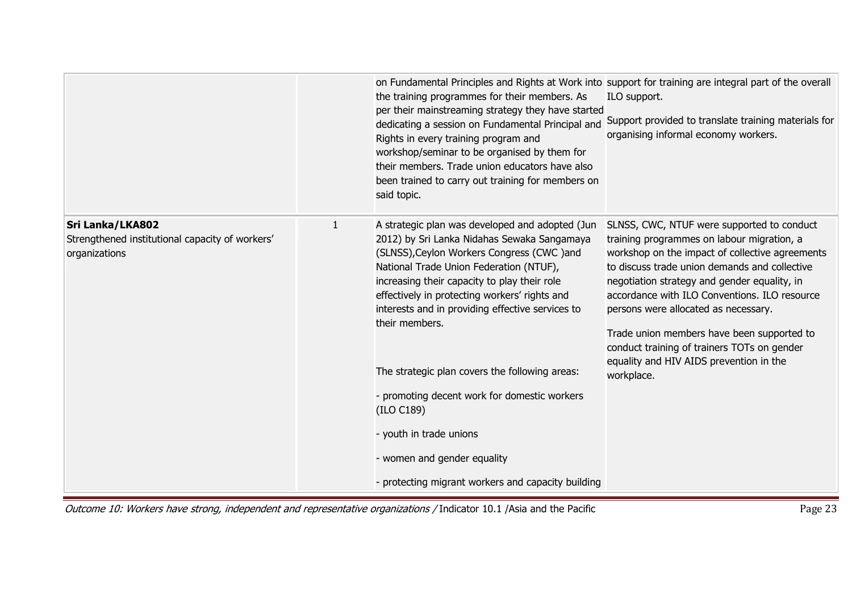|                                                                                      |              | on Fundamental Principles and Rights at Work into support for training are integral part of the overall<br>the training programmes for their members. As<br>per their mainstreaming strategy they have started<br>dedicating a session on Fundamental Principal and<br>Rights in every training program and<br>workshop/seminar to be organised by them for<br>their members. Trade union educators have also<br>been trained to carry out training for members on<br>said topic.                                                                                                              | ILO support.<br>Support provided to translate training materials for<br>organising informal economy workers.                                                                                                                                                                                                                                                                                                                                                                                |
|--------------------------------------------------------------------------------------|--------------|------------------------------------------------------------------------------------------------------------------------------------------------------------------------------------------------------------------------------------------------------------------------------------------------------------------------------------------------------------------------------------------------------------------------------------------------------------------------------------------------------------------------------------------------------------------------------------------------|---------------------------------------------------------------------------------------------------------------------------------------------------------------------------------------------------------------------------------------------------------------------------------------------------------------------------------------------------------------------------------------------------------------------------------------------------------------------------------------------|
| Sri Lanka/LKA802<br>Strengthened institutional capacity of workers'<br>organizations | $\mathbf{1}$ | A strategic plan was developed and adopted (Jun<br>2012) by Sri Lanka Nidahas Sewaka Sangamaya<br>(SLNSS), Ceylon Workers Congress (CWC) and<br>National Trade Union Federation (NTUF),<br>increasing their capacity to play their role<br>effectively in protecting workers' rights and<br>interests and in providing effective services to<br>their members.<br>The strategic plan covers the following areas:<br>- promoting decent work for domestic workers<br>(ILO C189)<br>- youth in trade unions<br>- women and gender equality<br>- protecting migrant workers and capacity building | SLNSS, CWC, NTUF were supported to conduct<br>training programmes on labour migration, a<br>workshop on the impact of collective agreements<br>to discuss trade union demands and collective<br>negotiation strategy and gender equality, in<br>accordance with ILO Conventions. ILO resource<br>persons were allocated as necessary.<br>Trade union members have been supported to<br>conduct training of trainers TOTs on gender<br>equality and HIV AIDS prevention in the<br>workplace. |

Outcome 10: Workers have strong, independent and representative organizations / Indicator 10.1 /Asia and the Pacific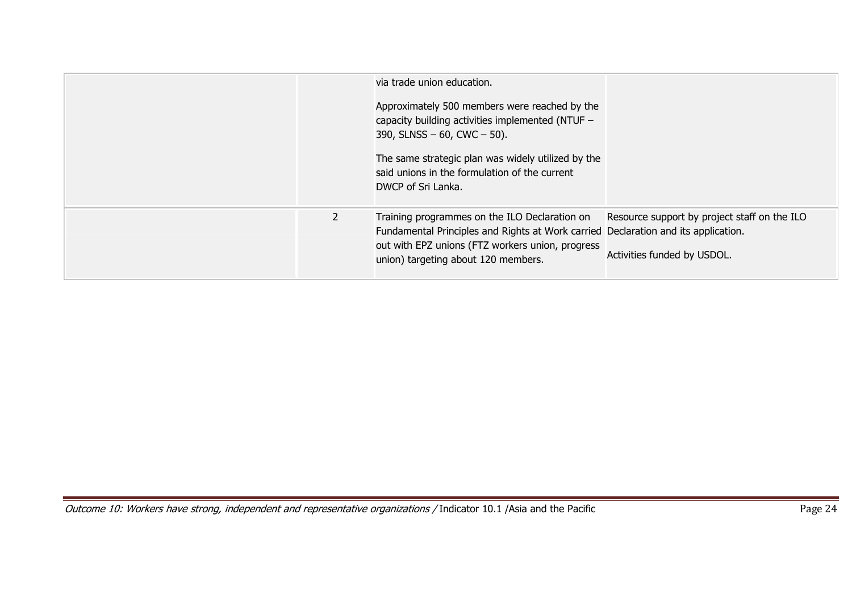|              | via trade union education.<br>Approximately 500 members were reached by the<br>capacity building activities implemented (NTUF -<br>390, SLNSS $-60$ , CWC $-50$ ).<br>The same strategic plan was widely utilized by the<br>said unions in the formulation of the current<br>DWCP of Sri Lanka. |                                                                             |
|--------------|-------------------------------------------------------------------------------------------------------------------------------------------------------------------------------------------------------------------------------------------------------------------------------------------------|-----------------------------------------------------------------------------|
| $\mathbf{2}$ | Training programmes on the ILO Declaration on<br>Fundamental Principles and Rights at Work carried Declaration and its application.<br>out with EPZ unions (FTZ workers union, progress<br>union) targeting about 120 members.                                                                  | Resource support by project staff on the ILO<br>Activities funded by USDOL. |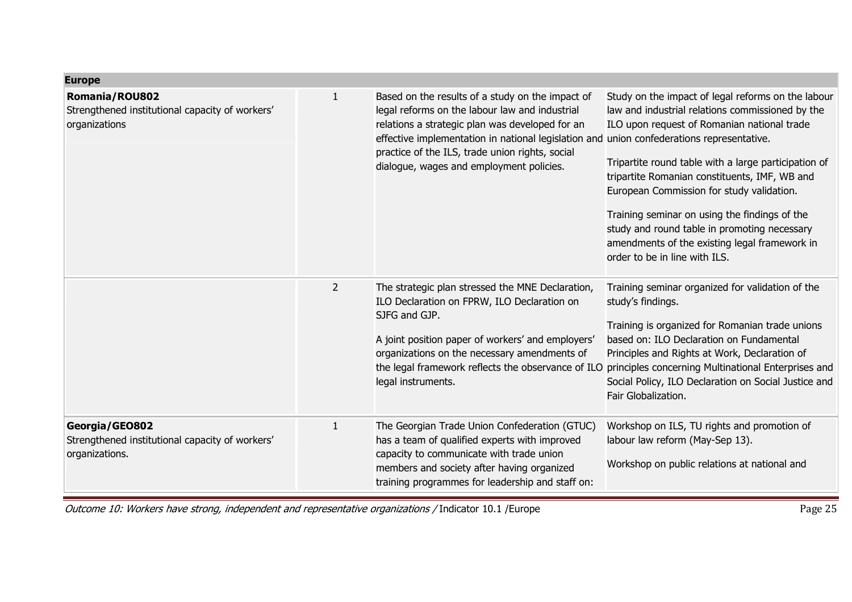| <b>Europe</b>                                                                             |                |                                                                                                                                                                                                                                                                                                                                                   |                                                                                                                                                                                                                                                                                                                                                                                                                                                                                                |
|-------------------------------------------------------------------------------------------|----------------|---------------------------------------------------------------------------------------------------------------------------------------------------------------------------------------------------------------------------------------------------------------------------------------------------------------------------------------------------|------------------------------------------------------------------------------------------------------------------------------------------------------------------------------------------------------------------------------------------------------------------------------------------------------------------------------------------------------------------------------------------------------------------------------------------------------------------------------------------------|
| <b>Romania/ROU802</b><br>Strengthened institutional capacity of workers'<br>organizations | $\mathbf{1}$   | Based on the results of a study on the impact of<br>legal reforms on the labour law and industrial<br>relations a strategic plan was developed for an<br>effective implementation in national legislation and union confederations representative.<br>practice of the ILS, trade union rights, social<br>dialogue, wages and employment policies. | Study on the impact of legal reforms on the labour<br>law and industrial relations commissioned by the<br>ILO upon request of Romanian national trade<br>Tripartite round table with a large participation of<br>tripartite Romanian constituents, IMF, WB and<br>European Commission for study validation.<br>Training seminar on using the findings of the<br>study and round table in promoting necessary<br>amendments of the existing legal framework in<br>order to be in line with ILS. |
|                                                                                           | $\overline{2}$ | The strategic plan stressed the MNE Declaration,<br>ILO Declaration on FPRW, ILO Declaration on<br>SJFG and GJP.<br>A joint position paper of workers' and employers'<br>organizations on the necessary amendments of<br>legal instruments.                                                                                                       | Training seminar organized for validation of the<br>study's findings.<br>Training is organized for Romanian trade unions<br>based on: ILO Declaration on Fundamental<br>Principles and Rights at Work, Declaration of<br>the legal framework reflects the observance of ILO principles concerning Multinational Enterprises and<br>Social Policy, ILO Declaration on Social Justice and<br>Fair Globalization.                                                                                 |
| Georgia/GEO802<br>Strengthened institutional capacity of workers'<br>organizations.       | $\mathbf{1}$   | The Georgian Trade Union Confederation (GTUC)<br>has a team of qualified experts with improved<br>capacity to communicate with trade union<br>members and society after having organized<br>training programmes for leadership and staff on:                                                                                                      | Workshop on ILS, TU rights and promotion of<br>labour law reform (May-Sep 13).<br>Workshop on public relations at national and                                                                                                                                                                                                                                                                                                                                                                 |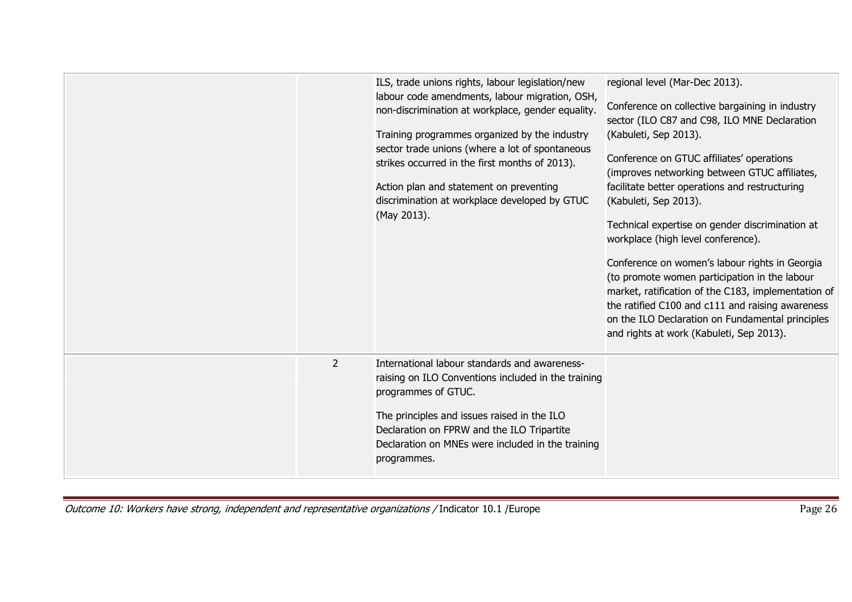|                | ILS, trade unions rights, labour legislation/new<br>labour code amendments, labour migration, OSH,<br>non-discrimination at workplace, gender equality.<br>Training programmes organized by the industry<br>sector trade unions (where a lot of spontaneous<br>strikes occurred in the first months of 2013).<br>Action plan and statement on preventing<br>discrimination at workplace developed by GTUC<br>(May 2013). | regional level (Mar-Dec 2013).<br>Conference on collective bargaining in industry<br>sector (ILO C87 and C98, ILO MNE Declaration<br>(Kabuleti, Sep 2013).<br>Conference on GTUC affiliates' operations<br>(improves networking between GTUC affiliates,<br>facilitate better operations and restructuring<br>(Kabuleti, Sep 2013).<br>Technical expertise on gender discrimination at<br>workplace (high level conference).<br>Conference on women's labour rights in Georgia<br>(to promote women participation in the labour<br>market, ratification of the C183, implementation of<br>the ratified C100 and c111 and raising awareness<br>on the ILO Declaration on Fundamental principles<br>and rights at work (Kabuleti, Sep 2013). |
|----------------|--------------------------------------------------------------------------------------------------------------------------------------------------------------------------------------------------------------------------------------------------------------------------------------------------------------------------------------------------------------------------------------------------------------------------|--------------------------------------------------------------------------------------------------------------------------------------------------------------------------------------------------------------------------------------------------------------------------------------------------------------------------------------------------------------------------------------------------------------------------------------------------------------------------------------------------------------------------------------------------------------------------------------------------------------------------------------------------------------------------------------------------------------------------------------------|
| $\overline{2}$ | International labour standards and awareness-<br>raising on ILO Conventions included in the training<br>programmes of GTUC.<br>The principles and issues raised in the ILO<br>Declaration on FPRW and the ILO Tripartite<br>Declaration on MNEs were included in the training<br>programmes.                                                                                                                             |                                                                                                                                                                                                                                                                                                                                                                                                                                                                                                                                                                                                                                                                                                                                            |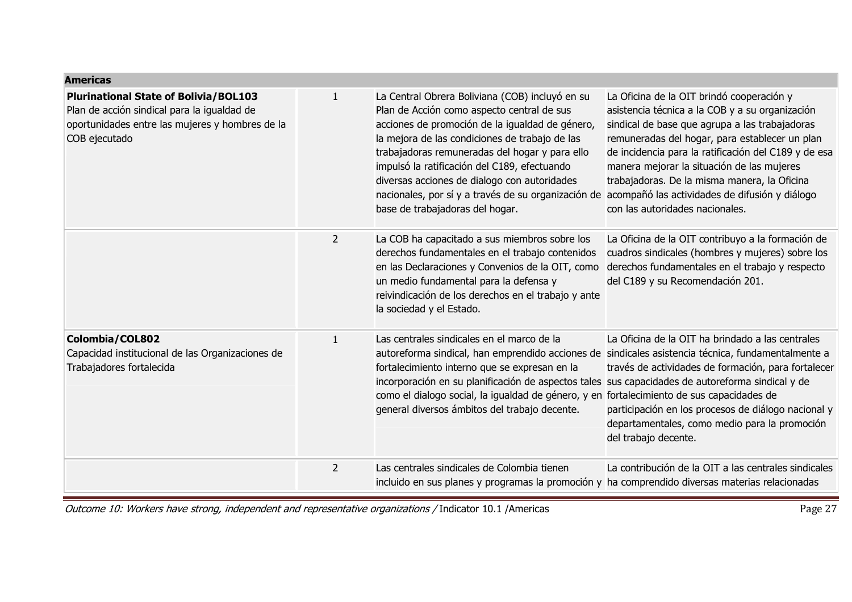| <b>Americas</b>                                                                                                                                                 |                |                                                                                                                                                                                                                                                                                                                                                                                                                                                |                                                                                                                                                                                                                                                                                                                                                                                                                                             |
|-----------------------------------------------------------------------------------------------------------------------------------------------------------------|----------------|------------------------------------------------------------------------------------------------------------------------------------------------------------------------------------------------------------------------------------------------------------------------------------------------------------------------------------------------------------------------------------------------------------------------------------------------|---------------------------------------------------------------------------------------------------------------------------------------------------------------------------------------------------------------------------------------------------------------------------------------------------------------------------------------------------------------------------------------------------------------------------------------------|
| <b>Plurinational State of Bolivia/BOL103</b><br>Plan de acción sindical para la igualdad de<br>oportunidades entre las mujeres y hombres de la<br>COB ejecutado | $\mathbf{1}$   | La Central Obrera Boliviana (COB) incluyó en su<br>Plan de Acción como aspecto central de sus<br>acciones de promoción de la igualdad de género,<br>la mejora de las condiciones de trabajo de las<br>trabajadoras remuneradas del hogar y para ello<br>impulsó la ratificación del C189, efectuando<br>diversas acciones de dialogo con autoridades<br>nacionales, por sí y a través de su organización de<br>base de trabajadoras del hogar. | La Oficina de la OIT brindó cooperación y<br>asistencia técnica a la COB y a su organización<br>sindical de base que agrupa a las trabajadoras<br>remuneradas del hogar, para establecer un plan<br>de incidencia para la ratificación del C189 y de esa<br>manera mejorar la situación de las mujeres<br>trabajadoras. De la misma manera, la Oficina<br>acompañó las actividades de difusión y diálogo<br>con las autoridades nacionales. |
|                                                                                                                                                                 | $\overline{2}$ | La COB ha capacitado a sus miembros sobre los<br>derechos fundamentales en el trabajo contenidos<br>en las Declaraciones y Convenios de la OIT, como<br>un medio fundamental para la defensa y<br>reivindicación de los derechos en el trabajo y ante<br>la sociedad y el Estado.                                                                                                                                                              | La Oficina de la OIT contribuyo a la formación de<br>cuadros sindicales (hombres y mujeres) sobre los<br>derechos fundamentales en el trabajo y respecto<br>del C189 y su Recomendación 201.                                                                                                                                                                                                                                                |
| Colombia/COL802<br>Capacidad institucional de las Organizaciones de<br>Trabajadores fortalecida                                                                 | $\mathbf{1}$   | Las centrales sindicales en el marco de la<br>autoreforma sindical, han emprendido acciones de sindicales asistencia técnica, fundamentalmente a<br>fortalecimiento interno que se expresan en la<br>incorporación en su planificación de aspectos tales sus capacidades de autoreforma sindical y de<br>como el dialogo social, la igualdad de género, y en<br>general diversos ámbitos del trabajo decente.                                  | La Oficina de la OIT ha brindado a las centrales<br>través de actividades de formación, para fortalecer<br>fortalecimiento de sus capacidades de<br>participación en los procesos de diálogo nacional y<br>departamentales, como medio para la promoción<br>del trabajo decente.                                                                                                                                                            |
|                                                                                                                                                                 | $\overline{2}$ | Las centrales sindicales de Colombia tienen<br>incluido en sus planes y programas la promoción y ha comprendido diversas materias relacionadas                                                                                                                                                                                                                                                                                                 | La contribución de la OIT a las centrales sindicales                                                                                                                                                                                                                                                                                                                                                                                        |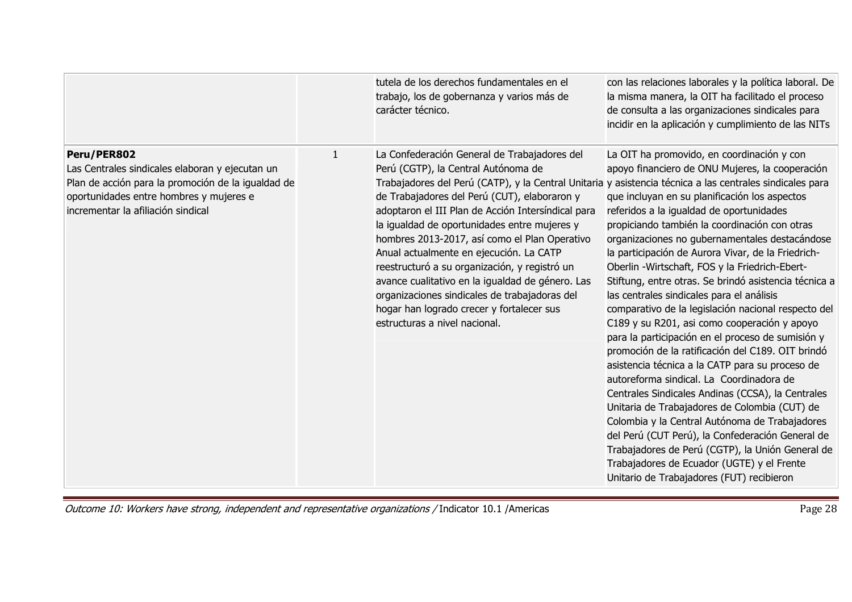|                                                                                                                                                                                                       |              | tutela de los derechos fundamentales en el<br>trabajo, los de gobernanza y varios más de<br>carácter técnico.                                                                                                                                                                                                                                                                                                                                                                                                                                                                                                                                                                         | con las relaciones laborales y la política laboral. De<br>la misma manera, la OIT ha facilitado el proceso<br>de consulta a las organizaciones sindicales para<br>incidir en la aplicación y cumplimiento de las NITs                                                                                                                                                                                                                                                                                                                                                                                                                                                                                                                                                                                                                                                                                                                                                                                                                                                                                                                                                                   |
|-------------------------------------------------------------------------------------------------------------------------------------------------------------------------------------------------------|--------------|---------------------------------------------------------------------------------------------------------------------------------------------------------------------------------------------------------------------------------------------------------------------------------------------------------------------------------------------------------------------------------------------------------------------------------------------------------------------------------------------------------------------------------------------------------------------------------------------------------------------------------------------------------------------------------------|-----------------------------------------------------------------------------------------------------------------------------------------------------------------------------------------------------------------------------------------------------------------------------------------------------------------------------------------------------------------------------------------------------------------------------------------------------------------------------------------------------------------------------------------------------------------------------------------------------------------------------------------------------------------------------------------------------------------------------------------------------------------------------------------------------------------------------------------------------------------------------------------------------------------------------------------------------------------------------------------------------------------------------------------------------------------------------------------------------------------------------------------------------------------------------------------|
| Peru/PER802<br>Las Centrales sindicales elaboran y ejecutan un<br>Plan de acción para la promoción de la igualdad de<br>oportunidades entre hombres y mujeres e<br>incrementar la afiliación sindical | $\mathbf{1}$ | La Confederación General de Trabajadores del<br>Perú (CGTP), la Central Autónoma de<br>Trabajadores del Perú (CATP), y la Central Unitaria y asistencia técnica a las centrales sindicales para<br>de Trabajadores del Perú (CUT), elaboraron y<br>adoptaron el III Plan de Acción Intersíndical para<br>la igualdad de oportunidades entre mujeres y<br>hombres 2013-2017, así como el Plan Operativo<br>Anual actualmente en ejecución. La CATP<br>reestructuró a su organización, y registró un<br>avance cualitativo en la igualdad de género. Las<br>organizaciones sindicales de trabajadoras del<br>hogar han logrado crecer y fortalecer sus<br>estructuras a nivel nacional. | La OIT ha promovido, en coordinación y con<br>apoyo financiero de ONU Mujeres, la cooperación<br>que incluyan en su planificación los aspectos<br>referidos a la igualdad de oportunidades<br>propiciando también la coordinación con otras<br>organizaciones no gubernamentales destacándose<br>la participación de Aurora Vivar, de la Friedrich-<br>Oberlin - Wirtschaft, FOS y la Friedrich-Ebert-<br>Stiftung, entre otras. Se brindó asistencia técnica a<br>las centrales sindicales para el análisis<br>comparativo de la legislación nacional respecto del<br>C189 y su R201, asi como cooperación y apoyo<br>para la participación en el proceso de sumisión y<br>promoción de la ratificación del C189. OIT brindó<br>asistencia técnica a la CATP para su proceso de<br>autoreforma sindical. La Coordinadora de<br>Centrales Sindicales Andinas (CCSA), la Centrales<br>Unitaria de Trabajadores de Colombia (CUT) de<br>Colombia y la Central Autónoma de Trabajadores<br>del Perú (CUT Perú), la Confederación General de<br>Trabajadores de Perú (CGTP), la Unión General de<br>Trabajadores de Ecuador (UGTE) y el Frente<br>Unitario de Trabajadores (FUT) recibieron |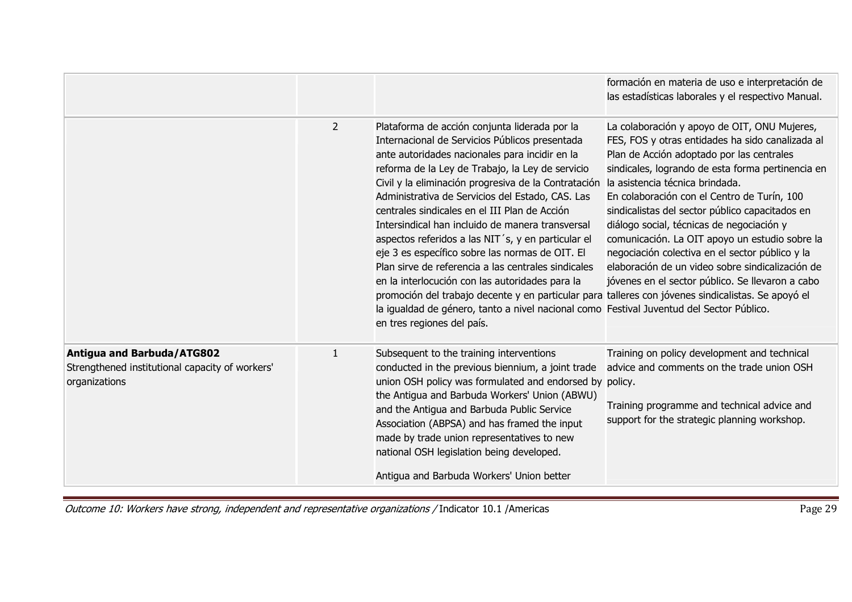|                                                                                                |                |                                                                                                                                                                                                                                                                                                                                                                                                                                                                                                                                                                                                                                                                                                                                                                                                                                                                           | formación en materia de uso e interpretación de<br>las estadísticas laborales y el respectivo Manual.                                                                                                                                                                                                                                                                                                                                                                                                                                                                                             |
|------------------------------------------------------------------------------------------------|----------------|---------------------------------------------------------------------------------------------------------------------------------------------------------------------------------------------------------------------------------------------------------------------------------------------------------------------------------------------------------------------------------------------------------------------------------------------------------------------------------------------------------------------------------------------------------------------------------------------------------------------------------------------------------------------------------------------------------------------------------------------------------------------------------------------------------------------------------------------------------------------------|---------------------------------------------------------------------------------------------------------------------------------------------------------------------------------------------------------------------------------------------------------------------------------------------------------------------------------------------------------------------------------------------------------------------------------------------------------------------------------------------------------------------------------------------------------------------------------------------------|
|                                                                                                | $\overline{2}$ | Plataforma de acción conjunta liderada por la<br>Internacional de Servicios Públicos presentada<br>ante autoridades nacionales para incidir en la<br>reforma de la Ley de Trabajo, la Ley de servicio<br>Civil y la eliminación progresiva de la Contratación<br>Administrativa de Servicios del Estado, CAS. Las<br>centrales sindicales en el III Plan de Acción<br>Intersindical han incluido de manera transversal<br>aspectos referidos a las NIT's, y en particular el<br>eje 3 es específico sobre las normas de OIT. El<br>Plan sirve de referencia a las centrales sindicales<br>en la interlocución con las autoridades para la<br>promoción del trabajo decente y en particular para talleres con jóvenes sindicalistas. Se apoyó el<br>la igualdad de género, tanto a nivel nacional como Festival Juventud del Sector Público.<br>en tres regiones del país. | La colaboración y apoyo de OIT, ONU Mujeres,<br>FES, FOS y otras entidades ha sido canalizada al<br>Plan de Acción adoptado por las centrales<br>sindicales, logrando de esta forma pertinencia en<br>la asistencia técnica brindada.<br>En colaboración con el Centro de Turín, 100<br>sindicalistas del sector público capacitados en<br>diálogo social, técnicas de negociación y<br>comunicación. La OIT apoyo un estudio sobre la<br>negociación colectiva en el sector público y la<br>elaboración de un video sobre sindicalización de<br>jóvenes en el sector público. Se llevaron a cabo |
| Antigua and Barbuda/ATG802<br>Strengthened institutional capacity of workers'<br>organizations | $\mathbf{1}$   | Subsequent to the training interventions<br>conducted in the previous biennium, a joint trade<br>union OSH policy was formulated and endorsed by policy.<br>the Antigua and Barbuda Workers' Union (ABWU)<br>and the Antigua and Barbuda Public Service<br>Association (ABPSA) and has framed the input<br>made by trade union representatives to new<br>national OSH legislation being developed.<br>Antigua and Barbuda Workers' Union better                                                                                                                                                                                                                                                                                                                                                                                                                           | Training on policy development and technical<br>advice and comments on the trade union OSH<br>Training programme and technical advice and<br>support for the strategic planning workshop.                                                                                                                                                                                                                                                                                                                                                                                                         |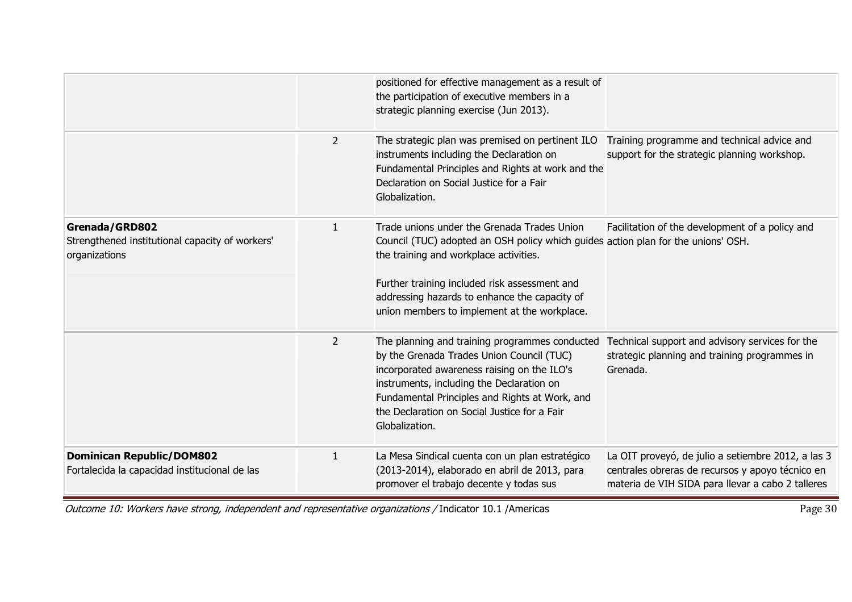|                                                                                    |                | positioned for effective management as a result of<br>the participation of executive members in a<br>strategic planning exercise (Jun 2013).                                                                                                                                                                                 |                                                                                                                                                             |
|------------------------------------------------------------------------------------|----------------|------------------------------------------------------------------------------------------------------------------------------------------------------------------------------------------------------------------------------------------------------------------------------------------------------------------------------|-------------------------------------------------------------------------------------------------------------------------------------------------------------|
|                                                                                    | $\overline{2}$ | The strategic plan was premised on pertinent ILO<br>instruments including the Declaration on<br>Fundamental Principles and Rights at work and the<br>Declaration on Social Justice for a Fair<br>Globalization.                                                                                                              | Training programme and technical advice and<br>support for the strategic planning workshop.                                                                 |
| Grenada/GRD802<br>Strengthened institutional capacity of workers'<br>organizations | $\mathbf{1}$   | Trade unions under the Grenada Trades Union<br>Council (TUC) adopted an OSH policy which guides action plan for the unions' OSH.<br>the training and workplace activities.<br>Further training included risk assessment and<br>addressing hazards to enhance the capacity of<br>union members to implement at the workplace. | Facilitation of the development of a policy and                                                                                                             |
|                                                                                    | $\overline{2}$ | The planning and training programmes conducted<br>by the Grenada Trades Union Council (TUC)<br>incorporated awareness raising on the ILO's<br>instruments, including the Declaration on<br>Fundamental Principles and Rights at Work, and<br>the Declaration on Social Justice for a Fair<br>Globalization.                  | Technical support and advisory services for the<br>strategic planning and training programmes in<br>Grenada.                                                |
| <b>Dominican Republic/DOM802</b><br>Fortalecida la capacidad institucional de las  | $\mathbf{1}$   | La Mesa Sindical cuenta con un plan estratégico<br>(2013-2014), elaborado en abril de 2013, para<br>promover el trabajo decente y todas sus                                                                                                                                                                                  | La OIT proveyó, de julio a setiembre 2012, a las 3<br>centrales obreras de recursos y apoyo técnico en<br>materia de VIH SIDA para llevar a cabo 2 talleres |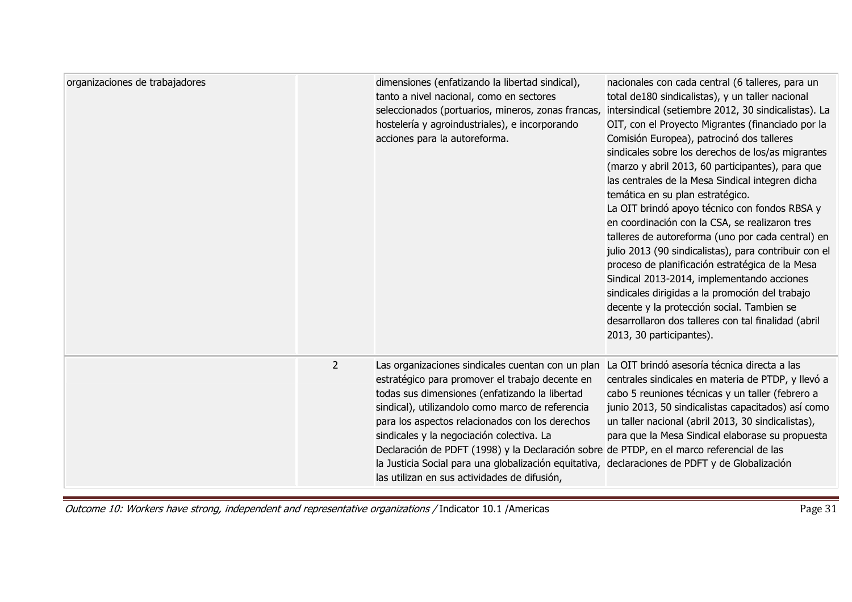| organizaciones de trabajadores | dimensiones (enfatizando la libertad sindical),<br>tanto a nivel nacional, como en sectores<br>seleccionados (portuarios, mineros, zonas francas,<br>hostelería y agroindustriales), e incorporando<br>acciones para la autoreforma.                                                                                                                                                                                                                                                                                                                      | nacionales con cada central (6 talleres, para un<br>total de180 sindicalistas), y un taller nacional<br>intersindical (setiembre 2012, 30 sindicalistas). La<br>OIT, con el Proyecto Migrantes (financiado por la<br>Comisión Europea), patrocinó dos talleres<br>sindicales sobre los derechos de los/as migrantes<br>(marzo y abril 2013, 60 participantes), para que<br>las centrales de la Mesa Sindical integren dicha<br>temática en su plan estratégico.<br>La OIT brindó apoyo técnico con fondos RBSA y<br>en coordinación con la CSA, se realizaron tres<br>talleres de autoreforma (uno por cada central) en<br>julio 2013 (90 sindicalistas), para contribuir con el<br>proceso de planificación estratégica de la Mesa<br>Sindical 2013-2014, implementando acciones<br>sindicales dirigidas a la promoción del trabajo<br>decente y la protección social. Tambien se<br>desarrollaron dos talleres con tal finalidad (abril<br>2013, 30 participantes). |
|--------------------------------|-----------------------------------------------------------------------------------------------------------------------------------------------------------------------------------------------------------------------------------------------------------------------------------------------------------------------------------------------------------------------------------------------------------------------------------------------------------------------------------------------------------------------------------------------------------|-----------------------------------------------------------------------------------------------------------------------------------------------------------------------------------------------------------------------------------------------------------------------------------------------------------------------------------------------------------------------------------------------------------------------------------------------------------------------------------------------------------------------------------------------------------------------------------------------------------------------------------------------------------------------------------------------------------------------------------------------------------------------------------------------------------------------------------------------------------------------------------------------------------------------------------------------------------------------|
| $\overline{2}$                 | Las organizaciones sindicales cuentan con un plan<br>estratégico para promover el trabajo decente en<br>todas sus dimensiones (enfatizando la libertad<br>sindical), utilizandolo como marco de referencia<br>para los aspectos relacionados con los derechos<br>sindicales y la negociación colectiva. La<br>Declaración de PDFT (1998) y la Declaración sobre de PTDP, en el marco referencial de las<br>la Justicia Social para una globalización equitativa, declaraciones de PDFT y de Globalización<br>las utilizan en sus actividades de difusión, | La OIT brindó asesoría técnica directa a las<br>centrales sindicales en materia de PTDP, y llevó a<br>cabo 5 reuniones técnicas y un taller (febrero a<br>junio 2013, 50 sindicalistas capacitados) así como<br>un taller nacional (abril 2013, 30 sindicalistas),<br>para que la Mesa Sindical elaborase su propuesta                                                                                                                                                                                                                                                                                                                                                                                                                                                                                                                                                                                                                                                |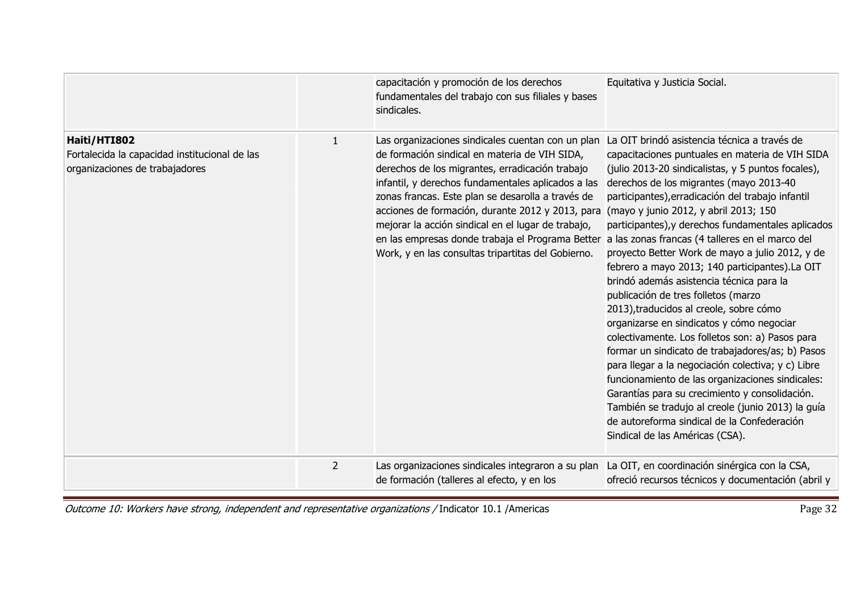|                                                                                                 |                | capacitación y promoción de los derechos<br>fundamentales del trabajo con sus filiales y bases<br>sindicales.                                                                                                                                                                                                                                                                                                                                                                        | Equitativa y Justicia Social.                                                                                                                                                                                                                                                                                                                                                                                                                                                                                                                                                                                                                                                                                                                                                                                                                                                                                                                                                                                                                                                                     |
|-------------------------------------------------------------------------------------------------|----------------|--------------------------------------------------------------------------------------------------------------------------------------------------------------------------------------------------------------------------------------------------------------------------------------------------------------------------------------------------------------------------------------------------------------------------------------------------------------------------------------|---------------------------------------------------------------------------------------------------------------------------------------------------------------------------------------------------------------------------------------------------------------------------------------------------------------------------------------------------------------------------------------------------------------------------------------------------------------------------------------------------------------------------------------------------------------------------------------------------------------------------------------------------------------------------------------------------------------------------------------------------------------------------------------------------------------------------------------------------------------------------------------------------------------------------------------------------------------------------------------------------------------------------------------------------------------------------------------------------|
| Haiti/HTI802<br>Fortalecida la capacidad institucional de las<br>organizaciones de trabajadores | $\mathbf{1}$   | Las organizaciones sindicales cuentan con un plan<br>de formación sindical en materia de VIH SIDA,<br>derechos de los migrantes, erradicación trabajo<br>infantil, y derechos fundamentales aplicados a las<br>zonas francas. Este plan se desarolla a través de<br>acciones de formación, durante 2012 y 2013, para<br>mejorar la acción sindical en el lugar de trabajo,<br>en las empresas donde trabaja el Programa Better<br>Work, y en las consultas tripartitas del Gobierno. | La OIT brindó asistencia técnica a través de<br>capacitaciones puntuales en materia de VIH SIDA<br>(julio 2013-20 sindicalistas, y 5 puntos focales),<br>derechos de los migrantes (mayo 2013-40<br>participantes), erradicación del trabajo infantil<br>(mayo y junio 2012, y abril 2013; 150<br>participantes), y derechos fundamentales aplicados<br>a las zonas francas (4 talleres en el marco del<br>proyecto Better Work de mayo a julio 2012, y de<br>febrero a mayo 2013; 140 participantes).La OIT<br>brindó además asistencia técnica para la<br>publicación de tres folletos (marzo<br>2013), traducidos al creole, sobre cómo<br>organizarse en sindicatos y cómo negociar<br>colectivamente. Los folletos son: a) Pasos para<br>formar un sindicato de trabajadores/as; b) Pasos<br>para llegar a la negociación colectiva; y c) Libre<br>funcionamiento de las organizaciones sindicales:<br>Garantías para su crecimiento y consolidación.<br>También se tradujo al creole (junio 2013) la guía<br>de autoreforma sindical de la Confederación<br>Sindical de las Américas (CSA). |
|                                                                                                 | $\overline{2}$ | Las organizaciones sindicales integraron a su plan<br>de formación (talleres al efecto, y en los                                                                                                                                                                                                                                                                                                                                                                                     | La OIT, en coordinación sinérgica con la CSA,<br>ofreció recursos técnicos y documentación (abril y                                                                                                                                                                                                                                                                                                                                                                                                                                                                                                                                                                                                                                                                                                                                                                                                                                                                                                                                                                                               |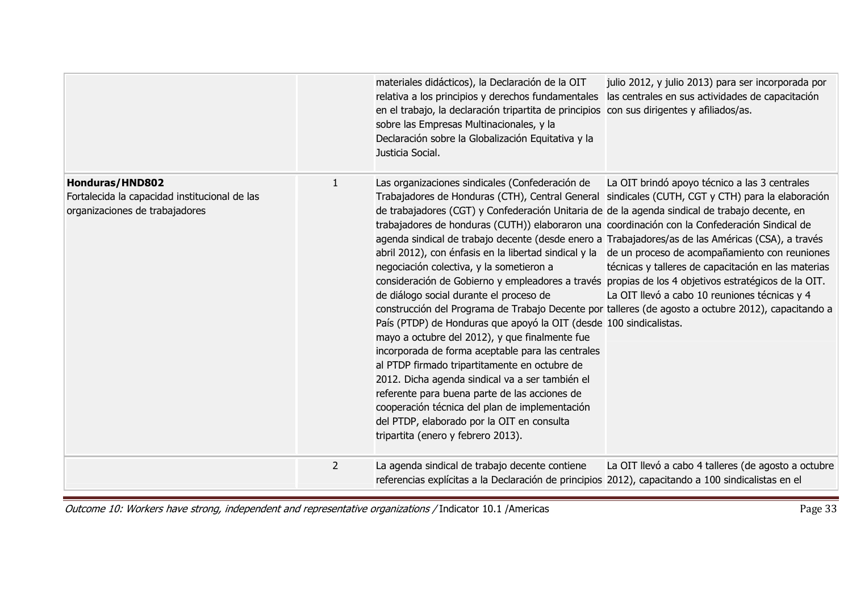|                                                                                                           |                | materiales didácticos), la Declaración de la OIT<br>julio 2012, y julio 2013) para ser incorporada por<br>relativa a los principios y derechos fundamentales<br>las centrales en sus actividades de capacitación<br>en el trabajo, la declaración tripartita de principios con sus dirigentes y afiliados/as.<br>sobre las Empresas Multinacionales, y la<br>Declaración sobre la Globalización Equitativa y la<br>Justicia Social.                                                                                                                                                                                                                                                                                                                                                                                                                                                                                                                                                                                                                                                                                                                                                                                                                                                                                                                                                                                                                                                                      |
|-----------------------------------------------------------------------------------------------------------|----------------|----------------------------------------------------------------------------------------------------------------------------------------------------------------------------------------------------------------------------------------------------------------------------------------------------------------------------------------------------------------------------------------------------------------------------------------------------------------------------------------------------------------------------------------------------------------------------------------------------------------------------------------------------------------------------------------------------------------------------------------------------------------------------------------------------------------------------------------------------------------------------------------------------------------------------------------------------------------------------------------------------------------------------------------------------------------------------------------------------------------------------------------------------------------------------------------------------------------------------------------------------------------------------------------------------------------------------------------------------------------------------------------------------------------------------------------------------------------------------------------------------------|
| <b>Honduras/HND802</b><br>Fortalecida la capacidad institucional de las<br>organizaciones de trabajadores | 1              | La OIT brindó apoyo técnico a las 3 centrales<br>Las organizaciones sindicales (Confederación de<br>Trabajadores de Honduras (CTH), Central General sindicales (CUTH, CGT y CTH) para la elaboración<br>de trabajadores (CGT) y Confederación Unitaria de de la agenda sindical de trabajo decente, en<br>trabajadores de honduras (CUTH)) elaboraron una coordinación con la Confederación Sindical de<br>agenda sindical de trabajo decente (desde enero a Trabajadores/as de las Américas (CSA), a través<br>abril 2012), con énfasis en la libertad sindical y la de un proceso de acompañamiento con reuniones<br>negociación colectiva, y la sometieron a<br>técnicas y talleres de capacitación en las materias<br>consideración de Gobierno y empleadores a través propias de los 4 objetivos estratégicos de la OIT.<br>de diálogo social durante el proceso de<br>La OIT llevó a cabo 10 reuniones técnicas y 4<br>construcción del Programa de Trabajo Decente por talleres (de agosto a octubre 2012), capacitando a<br>País (PTDP) de Honduras que apoyó la OIT (desde 100 sindicalistas.<br>mayo a octubre del 2012), y que finalmente fue<br>incorporada de forma aceptable para las centrales<br>al PTDP firmado tripartitamente en octubre de<br>2012. Dicha agenda sindical va a ser también el<br>referente para buena parte de las acciones de<br>cooperación técnica del plan de implementación<br>del PTDP, elaborado por la OIT en consulta<br>tripartita (enero y febrero 2013). |
|                                                                                                           | $\overline{2}$ | La agenda sindical de trabajo decente contiene<br>La OIT llevó a cabo 4 talleres (de agosto a octubre<br>referencias explícitas a la Declaración de principios 2012), capacitando a 100 sindicalistas en el                                                                                                                                                                                                                                                                                                                                                                                                                                                                                                                                                                                                                                                                                                                                                                                                                                                                                                                                                                                                                                                                                                                                                                                                                                                                                              |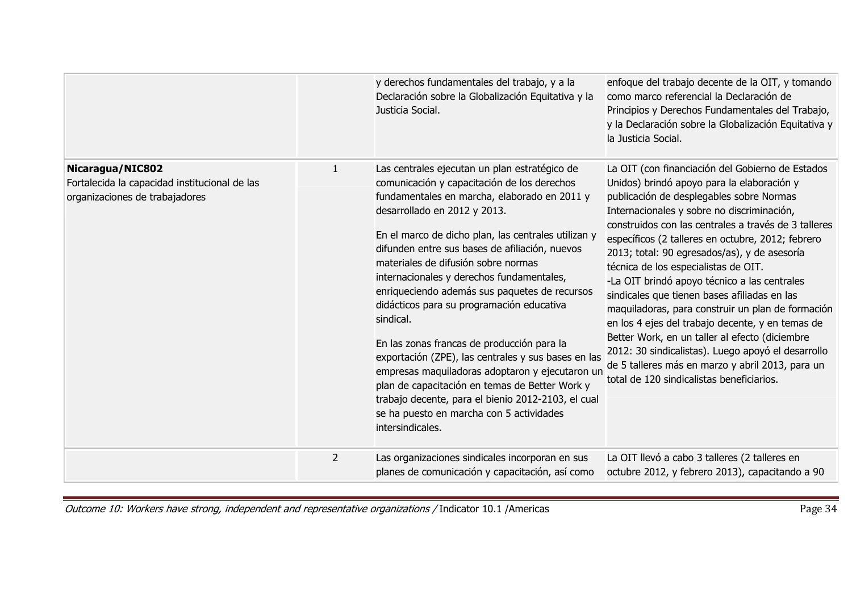|                                                                                                     |                | y derechos fundamentales del trabajo, y a la<br>Declaración sobre la Globalización Equitativa y la<br>Justicia Social.                                                                                                                                                                                                                                                                                                                                                                                                                                                                                                                                                                                                                                                                                               | enfoque del trabajo decente de la OIT, y tomando<br>como marco referencial la Declaración de<br>Principios y Derechos Fundamentales del Trabajo,<br>y la Declaración sobre la Globalización Equitativa y<br>la Justicia Social.                                                                                                                                                                                                                                                                                                                                                                                                                                                                                                                                                                                 |
|-----------------------------------------------------------------------------------------------------|----------------|----------------------------------------------------------------------------------------------------------------------------------------------------------------------------------------------------------------------------------------------------------------------------------------------------------------------------------------------------------------------------------------------------------------------------------------------------------------------------------------------------------------------------------------------------------------------------------------------------------------------------------------------------------------------------------------------------------------------------------------------------------------------------------------------------------------------|-----------------------------------------------------------------------------------------------------------------------------------------------------------------------------------------------------------------------------------------------------------------------------------------------------------------------------------------------------------------------------------------------------------------------------------------------------------------------------------------------------------------------------------------------------------------------------------------------------------------------------------------------------------------------------------------------------------------------------------------------------------------------------------------------------------------|
| Nicaragua/NIC802<br>Fortalecida la capacidad institucional de las<br>organizaciones de trabajadores | 1              | Las centrales ejecutan un plan estratégico de<br>comunicación y capacitación de los derechos<br>fundamentales en marcha, elaborado en 2011 y<br>desarrollado en 2012 y 2013.<br>En el marco de dicho plan, las centrales utilizan y<br>difunden entre sus bases de afiliación, nuevos<br>materiales de difusión sobre normas<br>internacionales y derechos fundamentales,<br>enriqueciendo además sus paquetes de recursos<br>didácticos para su programación educativa<br>sindical.<br>En las zonas francas de producción para la<br>exportación (ZPE), las centrales y sus bases en las<br>empresas maquiladoras adoptaron y ejecutaron un<br>plan de capacitación en temas de Better Work y<br>trabajo decente, para el bienio 2012-2103, el cual<br>se ha puesto en marcha con 5 actividades<br>intersindicales. | La OIT (con financiación del Gobierno de Estados<br>Unidos) brindó apoyo para la elaboración y<br>publicación de desplegables sobre Normas<br>Internacionales y sobre no discriminación,<br>construidos con las centrales a través de 3 talleres<br>específicos (2 talleres en octubre, 2012; febrero<br>2013; total: 90 egresados/as), y de asesoría<br>técnica de los especialistas de OIT.<br>-La OIT brindó apoyo técnico a las centrales<br>sindicales que tienen bases afiliadas en las<br>maquiladoras, para construir un plan de formación<br>en los 4 ejes del trabajo decente, y en temas de<br>Better Work, en un taller al efecto (diciembre<br>2012: 30 sindicalistas). Luego apoyó el desarrollo<br>de 5 talleres más en marzo y abril 2013, para un<br>total de 120 sindicalistas beneficiarios. |
|                                                                                                     | $\overline{2}$ | Las organizaciones sindicales incorporan en sus<br>planes de comunicación y capacitación, así como                                                                                                                                                                                                                                                                                                                                                                                                                                                                                                                                                                                                                                                                                                                   | La OIT llevó a cabo 3 talleres (2 talleres en<br>octubre 2012, y febrero 2013), capacitando a 90                                                                                                                                                                                                                                                                                                                                                                                                                                                                                                                                                                                                                                                                                                                |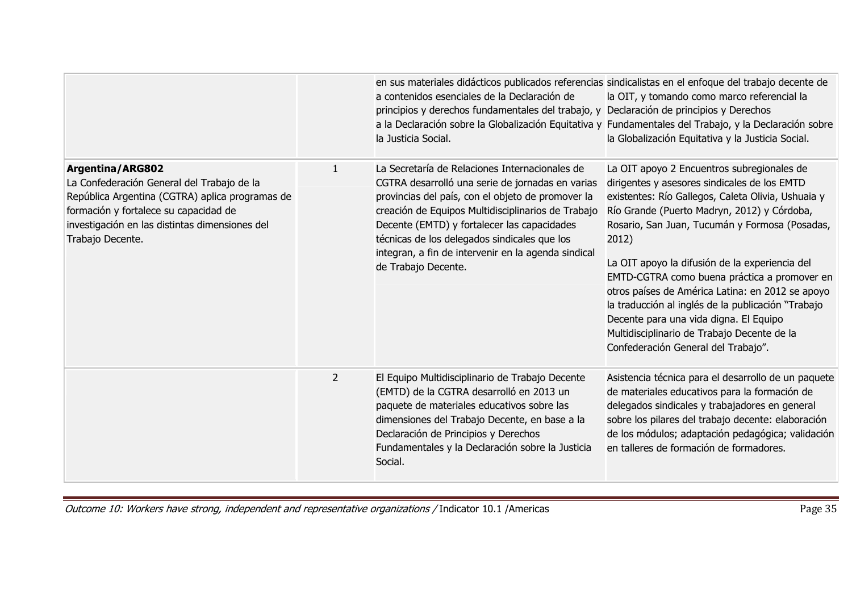|                                                                                                                                                                                                                                  |                | en sus materiales didácticos publicados referencias sindicalistas en el enfoque del trabajo decente de<br>a contenidos esenciales de la Declaración de<br>principios y derechos fundamentales del trabajo, y Declaración de principios y Derechos<br>la Justicia Social.                                                                                                                   | la OIT, y tomando como marco referencial la<br>a la Declaración sobre la Globalización Equitativa y Fundamentales del Trabajo, y la Declaración sobre<br>la Globalización Equitativa y la Justicia Social.                                                                                                                                                                                                                                                                                                                                                                                             |
|----------------------------------------------------------------------------------------------------------------------------------------------------------------------------------------------------------------------------------|----------------|--------------------------------------------------------------------------------------------------------------------------------------------------------------------------------------------------------------------------------------------------------------------------------------------------------------------------------------------------------------------------------------------|--------------------------------------------------------------------------------------------------------------------------------------------------------------------------------------------------------------------------------------------------------------------------------------------------------------------------------------------------------------------------------------------------------------------------------------------------------------------------------------------------------------------------------------------------------------------------------------------------------|
| Argentina/ARG802<br>La Confederación General del Trabajo de la<br>República Argentina (CGTRA) aplica programas de<br>formación y fortalece su capacidad de<br>investigación en las distintas dimensiones del<br>Trabajo Decente. | 1              | La Secretaría de Relaciones Internacionales de<br>CGTRA desarrolló una serie de jornadas en varias<br>provincias del país, con el objeto de promover la<br>creación de Equipos Multidisciplinarios de Trabajo<br>Decente (EMTD) y fortalecer las capacidades<br>técnicas de los delegados sindicales que los<br>integran, a fin de intervenir en la agenda sindical<br>de Trabajo Decente. | La OIT apoyo 2 Encuentros subregionales de<br>dirigentes y asesores sindicales de los EMTD<br>existentes: Río Gallegos, Caleta Olivia, Ushuaia y<br>Río Grande (Puerto Madryn, 2012) y Córdoba,<br>Rosario, San Juan, Tucumán y Formosa (Posadas,<br>2012)<br>La OIT apoyo la difusión de la experiencia del<br>EMTD-CGTRA como buena práctica a promover en<br>otros países de América Latina: en 2012 se apoyo<br>la traducción al inglés de la publicación "Trabajo<br>Decente para una vida digna. El Equipo<br>Multidisciplinario de Trabajo Decente de la<br>Confederación General del Trabajo". |
|                                                                                                                                                                                                                                  | $\overline{2}$ | El Equipo Multidisciplinario de Trabajo Decente<br>(EMTD) de la CGTRA desarrolló en 2013 un<br>paquete de materiales educativos sobre las<br>dimensiones del Trabajo Decente, en base a la<br>Declaración de Principios y Derechos<br>Fundamentales y la Declaración sobre la Justicia<br>Social.                                                                                          | Asistencia técnica para el desarrollo de un paquete<br>de materiales educativos para la formación de<br>delegados sindicales y trabajadores en general<br>sobre los pilares del trabajo decente: elaboración<br>de los módulos; adaptación pedagógica; validación<br>en talleres de formación de formadores.                                                                                                                                                                                                                                                                                           |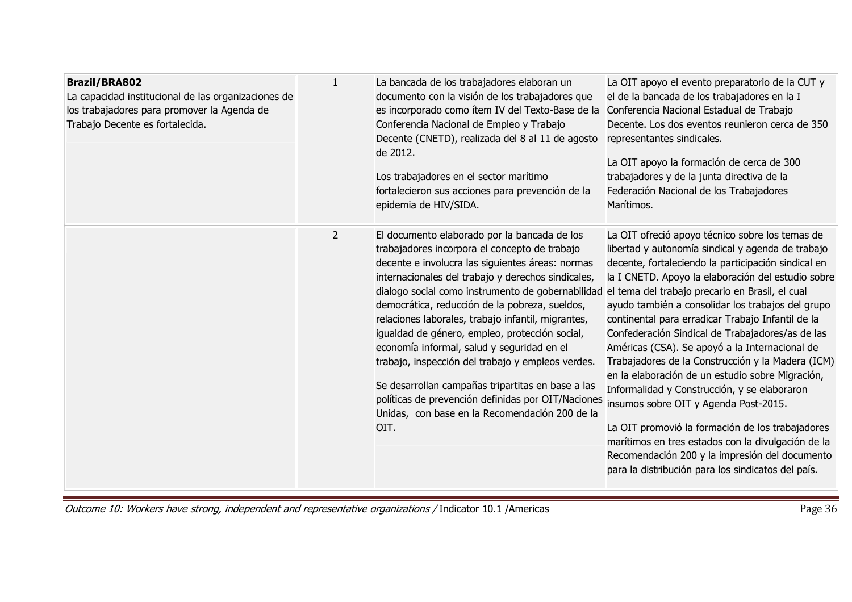| <b>Brazil/BRA802</b><br>La capacidad institucional de las organizaciones de<br>los trabajadores para promover la Agenda de<br>Trabajo Decente es fortalecida. | $\mathbf{1}$   | La bancada de los trabajadores elaboran un<br>documento con la visión de los trabajadores que<br>es incorporado como ítem IV del Texto-Base de la<br>Conferencia Nacional de Empleo y Trabajo<br>Decente (CNETD), realizada del 8 al 11 de agosto<br>de 2012.<br>Los trabajadores en el sector marítimo<br>fortalecieron sus acciones para prevención de la<br>epidemia de HIV/SIDA.                                                                                                                                                                                                                                                                                                           | La OIT apoyo el evento preparatorio de la CUT y<br>el de la bancada de los trabajadores en la I<br>Conferencia Nacional Estadual de Trabajo<br>Decente. Los dos eventos reunieron cerca de 350<br>representantes sindicales.<br>La OIT apoyo la formación de cerca de 300<br>trabajadores y de la junta directiva de la<br>Federación Nacional de los Trabajadores<br>Marítimos.                                                                                                                                                                                                                                                                                                                                                                                                                                                                                                                         |
|---------------------------------------------------------------------------------------------------------------------------------------------------------------|----------------|------------------------------------------------------------------------------------------------------------------------------------------------------------------------------------------------------------------------------------------------------------------------------------------------------------------------------------------------------------------------------------------------------------------------------------------------------------------------------------------------------------------------------------------------------------------------------------------------------------------------------------------------------------------------------------------------|----------------------------------------------------------------------------------------------------------------------------------------------------------------------------------------------------------------------------------------------------------------------------------------------------------------------------------------------------------------------------------------------------------------------------------------------------------------------------------------------------------------------------------------------------------------------------------------------------------------------------------------------------------------------------------------------------------------------------------------------------------------------------------------------------------------------------------------------------------------------------------------------------------|
|                                                                                                                                                               | $\overline{2}$ | El documento elaborado por la bancada de los<br>trabajadores incorpora el concepto de trabajo<br>decente e involucra las siguientes áreas: normas<br>internacionales del trabajo y derechos sindicales,<br>dialogo social como instrumento de gobernabilidad<br>democrática, reducción de la pobreza, sueldos,<br>relaciones laborales, trabajo infantil, migrantes,<br>igualdad de género, empleo, protección social,<br>economía informal, salud y seguridad en el<br>trabajo, inspección del trabajo y empleos verdes.<br>Se desarrollan campañas tripartitas en base a las<br>políticas de prevención definidas por OIT/Naciones<br>Unidas, con base en la Recomendación 200 de la<br>OIT. | La OIT ofreció apoyo técnico sobre los temas de<br>libertad y autonomía sindical y agenda de trabajo<br>decente, fortaleciendo la participación sindical en<br>la I CNETD. Apoyo la elaboración del estudio sobre<br>el tema del trabajo precario en Brasil, el cual<br>ayudo también a consolidar los trabajos del grupo<br>continental para erradicar Trabajo Infantil de la<br>Confederación Sindical de Trabajadores/as de las<br>Américas (CSA). Se apoyó a la Internacional de<br>Trabajadores de la Construcción y la Madera (ICM)<br>en la elaboración de un estudio sobre Migración,<br>Informalidad y Construcción, y se elaboraron<br>insumos sobre OIT y Agenda Post-2015.<br>La OIT promovió la formación de los trabajadores<br>marítimos en tres estados con la divulgación de la<br>Recomendación 200 y la impresión del documento<br>para la distribución para los sindicatos del país. |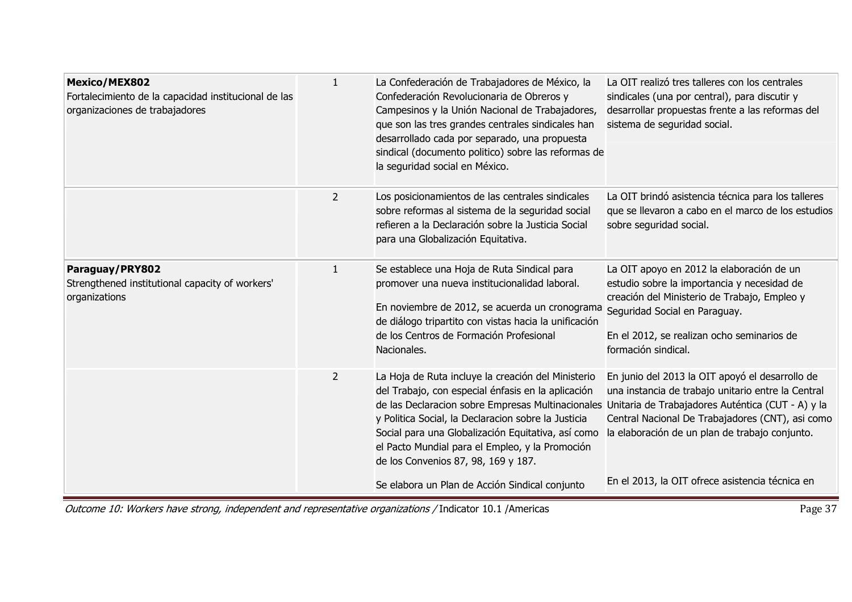| <b>Mexico/MEX802</b><br>Fortalecimiento de la capacidad institucional de las<br>organizaciones de trabajadores | $\mathbf{1}$   | La Confederación de Trabajadores de México, la<br>Confederación Revolucionaria de Obreros y<br>Campesinos y la Unión Nacional de Trabajadores,<br>que son las tres grandes centrales sindicales han<br>desarrollado cada por separado, una propuesta<br>sindical (documento politico) sobre las reformas de<br>la seguridad social en México.                                                                          | La OIT realizó tres talleres con los centrales<br>sindicales (una por central), para discutir y<br>desarrollar propuestas frente a las reformas del<br>sistema de seguridad social.                           |
|----------------------------------------------------------------------------------------------------------------|----------------|------------------------------------------------------------------------------------------------------------------------------------------------------------------------------------------------------------------------------------------------------------------------------------------------------------------------------------------------------------------------------------------------------------------------|---------------------------------------------------------------------------------------------------------------------------------------------------------------------------------------------------------------|
|                                                                                                                | $\overline{2}$ | Los posicionamientos de las centrales sindicales<br>sobre reformas al sistema de la seguridad social<br>refieren a la Declaración sobre la Justicia Social<br>para una Globalización Equitativa.                                                                                                                                                                                                                       | La OIT brindó asistencia técnica para los talleres<br>que se llevaron a cabo en el marco de los estudios<br>sobre seguridad social.                                                                           |
| Paraguay/PRY802<br>Strengthened institutional capacity of workers'<br>organizations                            | $\mathbf{1}$   | Se establece una Hoja de Ruta Sindical para<br>promover una nueva institucionalidad laboral.<br>En noviembre de 2012, se acuerda un cronograma Seguridad Social en Paraguay.<br>de diálogo tripartito con vistas hacia la unificación<br>de los Centros de Formación Profesional<br>Nacionales.                                                                                                                        | La OIT apoyo en 2012 la elaboración de un<br>estudio sobre la importancia y necesidad de<br>creación del Ministerio de Trabajo, Empleo y<br>En el 2012, se realizan ocho seminarios de<br>formación sindical. |
|                                                                                                                | $\overline{2}$ | La Hoja de Ruta incluye la creación del Ministerio<br>del Trabajo, con especial énfasis en la aplicación<br>de las Declaracion sobre Empresas Multinacionales Unitaria de Trabajadores Auténtica (CUT - A) y la<br>y Politica Social, la Declaracion sobre la Justicia<br>Social para una Globalización Equitativa, así como<br>el Pacto Mundial para el Empleo, y la Promoción<br>de los Convenios 87, 98, 169 y 187. | En junio del 2013 la OIT apoyó el desarrollo de<br>una instancia de trabajo unitario entre la Central<br>Central Nacional De Trabajadores (CNT), asi como<br>la elaboración de un plan de trabajo conjunto.   |
|                                                                                                                |                | Se elabora un Plan de Acción Sindical conjunto                                                                                                                                                                                                                                                                                                                                                                         | En el 2013, la OIT ofrece asistencia técnica en                                                                                                                                                               |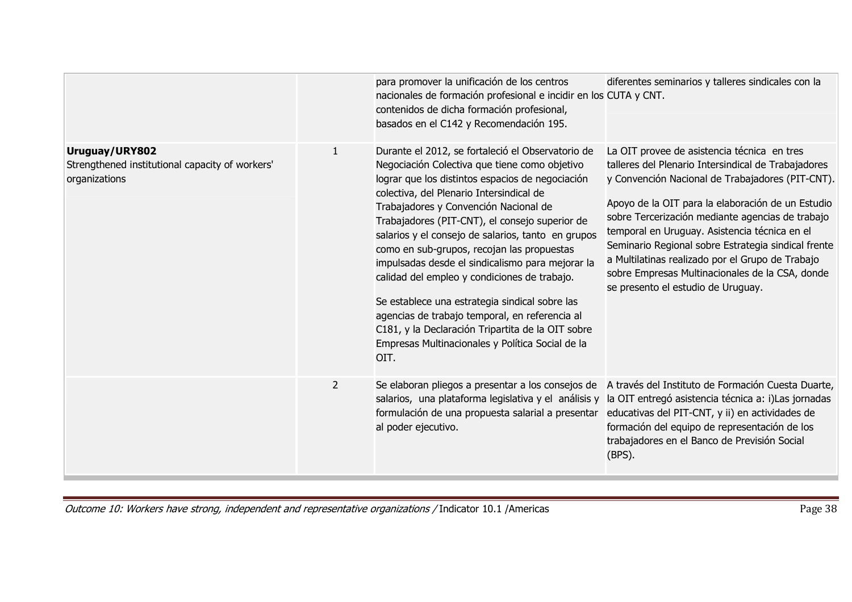|                                                                                    |                | para promover la unificación de los centros<br>nacionales de formación profesional e incidir en los CUTA y CNT.<br>contenidos de dicha formación profesional,<br>basados en el C142 y Recomendación 195.                                                                                                                                                                                                                                                                                                                                                                                                                                                                                                                   | diferentes seminarios y talleres sindicales con la                                                                                                                                                                                                                                                                                                                                                                                                                                                                   |
|------------------------------------------------------------------------------------|----------------|----------------------------------------------------------------------------------------------------------------------------------------------------------------------------------------------------------------------------------------------------------------------------------------------------------------------------------------------------------------------------------------------------------------------------------------------------------------------------------------------------------------------------------------------------------------------------------------------------------------------------------------------------------------------------------------------------------------------------|----------------------------------------------------------------------------------------------------------------------------------------------------------------------------------------------------------------------------------------------------------------------------------------------------------------------------------------------------------------------------------------------------------------------------------------------------------------------------------------------------------------------|
| Uruguay/URY802<br>Strengthened institutional capacity of workers'<br>organizations |                | Durante el 2012, se fortaleció el Observatorio de<br>Negociación Colectiva que tiene como objetivo<br>lograr que los distintos espacios de negociación<br>colectiva, del Plenario Intersindical de<br>Trabajadores y Convención Nacional de<br>Trabajadores (PIT-CNT), el consejo superior de<br>salarios y el consejo de salarios, tanto en grupos<br>como en sub-grupos, recojan las propuestas<br>impulsadas desde el sindicalismo para mejorar la<br>calidad del empleo y condiciones de trabajo.<br>Se establece una estrategia sindical sobre las<br>agencias de trabajo temporal, en referencia al<br>C181, y la Declaración Tripartita de la OIT sobre<br>Empresas Multinacionales y Política Social de la<br>OIT. | La OIT provee de asistencia técnica en tres<br>talleres del Plenario Intersindical de Trabajadores<br>y Convención Nacional de Trabajadores (PIT-CNT).<br>Apoyo de la OIT para la elaboración de un Estudio<br>sobre Tercerización mediante agencias de trabajo<br>temporal en Uruguay. Asistencia técnica en el<br>Seminario Regional sobre Estrategia sindical frente<br>a Multilatinas realizado por el Grupo de Trabajo<br>sobre Empresas Multinacionales de la CSA, donde<br>se presento el estudio de Uruguay. |
|                                                                                    | $\overline{2}$ | Se elaboran pliegos a presentar a los consejos de<br>salarios, una plataforma legislativa y el análisis y<br>formulación de una propuesta salarial a presentar<br>al poder ejecutivo.                                                                                                                                                                                                                                                                                                                                                                                                                                                                                                                                      | A través del Instituto de Formación Cuesta Duarte,<br>la OIT entregó asistencia técnica a: i) Las jornadas<br>educativas del PIT-CNT, y ii) en actividades de<br>formación del equipo de representación de los<br>trabajadores en el Banco de Previsión Social<br>(BPS).                                                                                                                                                                                                                                             |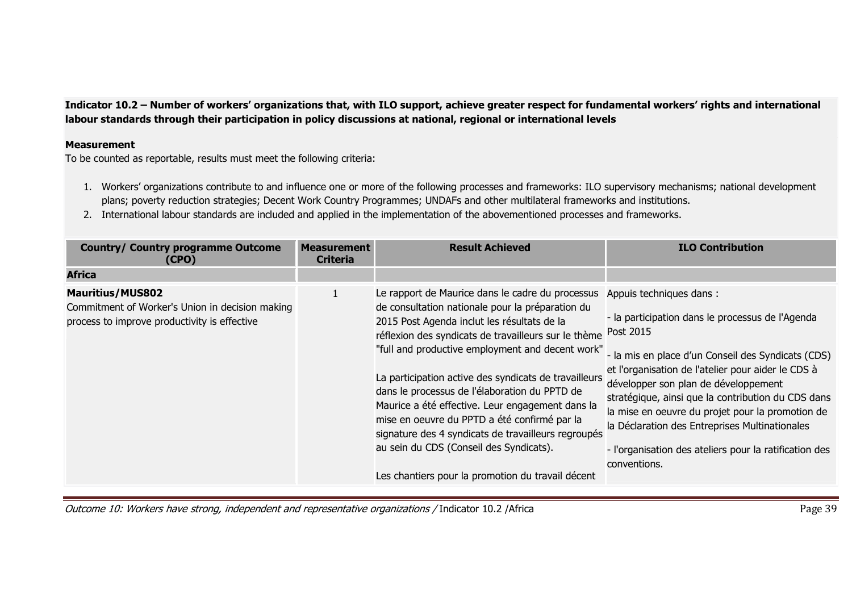**Indicator 10.2 – Number of workers' organizations that, with ILO support, achieve greater respect for fundamental workers' rights and international labour standards through their participation in policy discussions at national, regional or international levels** 

## **Measurement**

To be counted as reportable, results must meet the following criteria:

- 1. Workers' organizations contribute to and influence one or more of the following processes and frameworks: ILO supervisory mechanisms; national development plans; poverty reduction strategies; Decent Work Country Programmes; UNDAFs and other multilateral frameworks and institutions.
- 2. International labour standards are included and applied in the implementation of the abovementioned processes and frameworks.

| <b>Country/ Country programme Outcome</b><br>(CPO)                                                                         | <b>Measurement</b><br><b>Criteria</b> | <b>Result Achieved</b>                                                                                                                                                                                                                                                                                                                                                                                                                                                                                                                                                                                                               | <b>ILO Contribution</b>                                                                                                                                                                                                                                                                                                                                                                                                                                                            |
|----------------------------------------------------------------------------------------------------------------------------|---------------------------------------|--------------------------------------------------------------------------------------------------------------------------------------------------------------------------------------------------------------------------------------------------------------------------------------------------------------------------------------------------------------------------------------------------------------------------------------------------------------------------------------------------------------------------------------------------------------------------------------------------------------------------------------|------------------------------------------------------------------------------------------------------------------------------------------------------------------------------------------------------------------------------------------------------------------------------------------------------------------------------------------------------------------------------------------------------------------------------------------------------------------------------------|
| <b>Africa</b>                                                                                                              |                                       |                                                                                                                                                                                                                                                                                                                                                                                                                                                                                                                                                                                                                                      |                                                                                                                                                                                                                                                                                                                                                                                                                                                                                    |
| <b>Mauritius/MUS802</b><br>Commitment of Worker's Union in decision making<br>process to improve productivity is effective | 1                                     | Le rapport de Maurice dans le cadre du processus<br>de consultation nationale pour la préparation du<br>2015 Post Agenda inclut les résultats de la<br>réflexion des syndicats de travailleurs sur le thème<br>"full and productive employment and decent work"<br>La participation active des syndicats de travailleurs<br>dans le processus de l'élaboration du PPTD de<br>Maurice a été effective. Leur engagement dans la<br>mise en oeuvre du PPTD a été confirmé par la<br>signature des 4 syndicats de travailleurs regroupés<br>au sein du CDS (Conseil des Syndicats).<br>Les chantiers pour la promotion du travail décent | Appuis techniques dans:<br>- la participation dans le processus de l'Agenda<br>Post 2015<br>- la mis en place d'un Conseil des Syndicats (CDS)<br>et l'organisation de l'atelier pour aider le CDS à<br>développer son plan de développement<br>stratégique, ainsi que la contribution du CDS dans<br>la mise en oeuvre du projet pour la promotion de<br>la Déclaration des Entreprises Multinationales<br>- l'organisation des ateliers pour la ratification des<br>conventions. |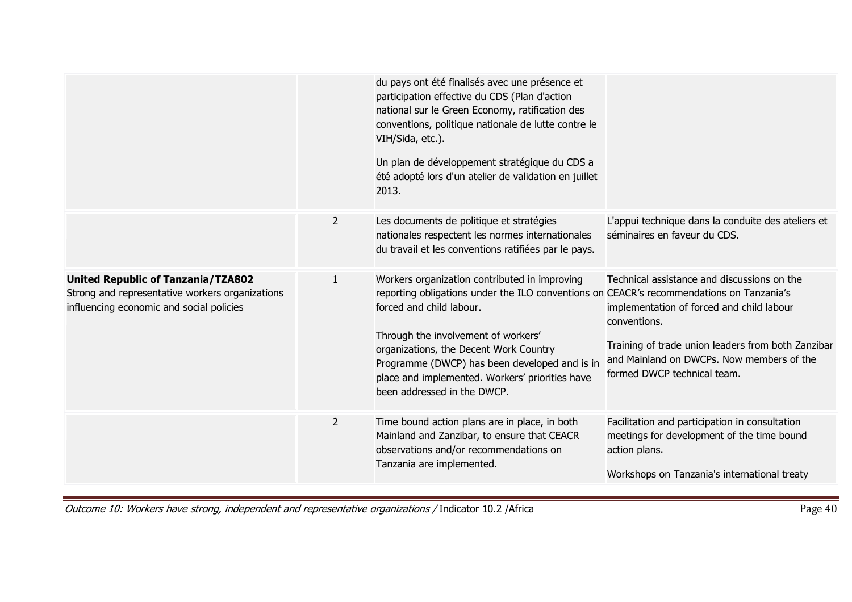|                                                                                                                                          |                | du pays ont été finalisés avec une présence et<br>participation effective du CDS (Plan d'action<br>national sur le Green Economy, ratification des<br>conventions, politique nationale de lutte contre le<br>VIH/Sida, etc.).<br>Un plan de développement stratégique du CDS a<br>été adopté lors d'un atelier de validation en juillet<br>2013.                                          |                                                                                                                                                                                                                                            |
|------------------------------------------------------------------------------------------------------------------------------------------|----------------|-------------------------------------------------------------------------------------------------------------------------------------------------------------------------------------------------------------------------------------------------------------------------------------------------------------------------------------------------------------------------------------------|--------------------------------------------------------------------------------------------------------------------------------------------------------------------------------------------------------------------------------------------|
|                                                                                                                                          | $\overline{2}$ | Les documents de politique et stratégies<br>nationales respectent les normes internationales<br>du travail et les conventions ratifiées par le pays.                                                                                                                                                                                                                                      | L'appui technique dans la conduite des ateliers et<br>séminaires en faveur du CDS.                                                                                                                                                         |
| <b>United Republic of Tanzania/TZA802</b><br>Strong and representative workers organizations<br>influencing economic and social policies | 1              | Workers organization contributed in improving<br>reporting obligations under the ILO conventions on CEACR's recommendations on Tanzania's<br>forced and child labour.<br>Through the involvement of workers'<br>organizations, the Decent Work Country<br>Programme (DWCP) has been developed and is in<br>place and implemented. Workers' priorities have<br>been addressed in the DWCP. | Technical assistance and discussions on the<br>implementation of forced and child labour<br>conventions.<br>Training of trade union leaders from both Zanzibar<br>and Mainland on DWCPs. Now members of the<br>formed DWCP technical team. |
|                                                                                                                                          | $\overline{2}$ | Time bound action plans are in place, in both<br>Mainland and Zanzibar, to ensure that CEACR<br>observations and/or recommendations on<br>Tanzania are implemented.                                                                                                                                                                                                                       | Facilitation and participation in consultation<br>meetings for development of the time bound<br>action plans.<br>Workshops on Tanzania's international treaty                                                                              |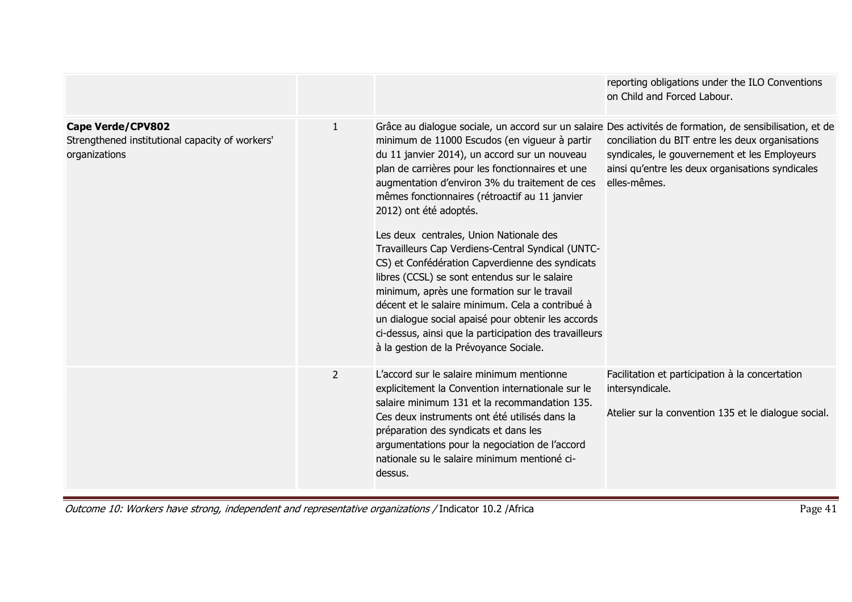|                                                                                              |                |                                                                                                                                                                                                                                                                                                                                                                                                                                                                                                                                                                                                                                                                                                                                                   | reporting obligations under the ILO Conventions<br>on Child and Forced Labour.                                                                                                                                                                                                     |
|----------------------------------------------------------------------------------------------|----------------|---------------------------------------------------------------------------------------------------------------------------------------------------------------------------------------------------------------------------------------------------------------------------------------------------------------------------------------------------------------------------------------------------------------------------------------------------------------------------------------------------------------------------------------------------------------------------------------------------------------------------------------------------------------------------------------------------------------------------------------------------|------------------------------------------------------------------------------------------------------------------------------------------------------------------------------------------------------------------------------------------------------------------------------------|
| <b>Cape Verde/CPV802</b><br>Strengthened institutional capacity of workers'<br>organizations | $\mathbf{1}$   | minimum de 11000 Escudos (en vigueur à partir<br>du 11 janvier 2014), un accord sur un nouveau<br>plan de carrières pour les fonctionnaires et une<br>augmentation d'environ 3% du traitement de ces<br>mêmes fonctionnaires (rétroactif au 11 janvier<br>2012) ont été adoptés.<br>Les deux centrales, Union Nationale des<br>Travailleurs Cap Verdiens-Central Syndical (UNTC-<br>CS) et Confédération Capverdienne des syndicats<br>libres (CCSL) se sont entendus sur le salaire<br>minimum, après une formation sur le travail<br>décent et le salaire minimum. Cela a contribué à<br>un dialogue social apaisé pour obtenir les accords<br>ci-dessus, ainsi que la participation des travailleurs<br>à la gestion de la Prévoyance Sociale. | Grâce au dialogue sociale, un accord sur un salaire Des activités de formation, de sensibilisation, et de<br>conciliation du BIT entre les deux organisations<br>syndicales, le gouvernement et les Employeurs<br>ainsi qu'entre les deux organisations syndicales<br>elles-mêmes. |
|                                                                                              | $\overline{2}$ | L'accord sur le salaire minimum mentionne<br>explicitement la Convention internationale sur le<br>salaire minimum 131 et la recommandation 135.<br>Ces deux instruments ont été utilisés dans la<br>préparation des syndicats et dans les<br>argumentations pour la negociation de l'accord<br>nationale su le salaire minimum mentioné ci-<br>dessus.                                                                                                                                                                                                                                                                                                                                                                                            | Facilitation et participation à la concertation<br>intersyndicale.<br>Atelier sur la convention 135 et le dialogue social.                                                                                                                                                         |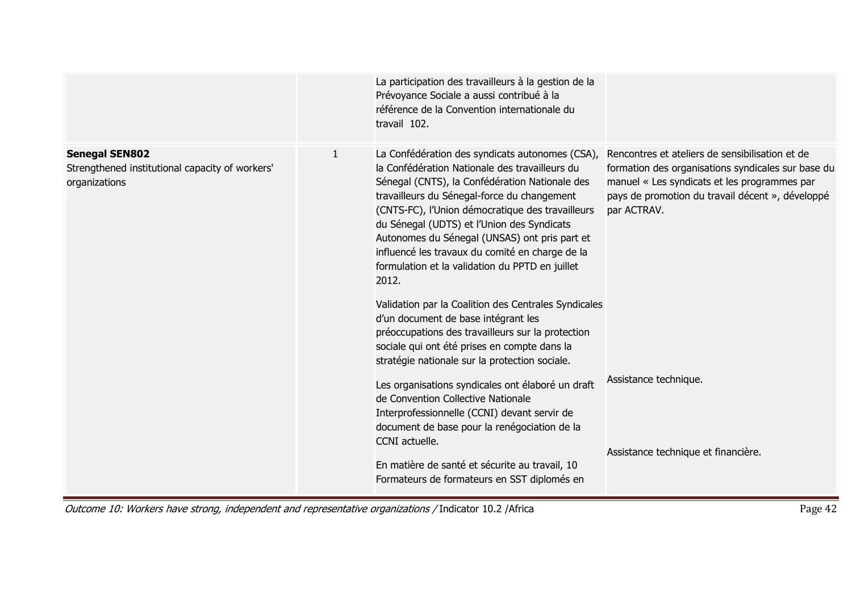|                                                                                           |              | La participation des travailleurs à la gestion de la<br>Prévoyance Sociale a aussi contribué à la<br>référence de la Convention internationale du<br>travail 102.                                                                                                                                                                                                                                                                                                                                                            |                                                                                                                                                                                                                          |
|-------------------------------------------------------------------------------------------|--------------|------------------------------------------------------------------------------------------------------------------------------------------------------------------------------------------------------------------------------------------------------------------------------------------------------------------------------------------------------------------------------------------------------------------------------------------------------------------------------------------------------------------------------|--------------------------------------------------------------------------------------------------------------------------------------------------------------------------------------------------------------------------|
| <b>Senegal SEN802</b><br>Strengthened institutional capacity of workers'<br>organizations | $\mathbf{1}$ | La Confédération des syndicats autonomes (CSA),<br>la Confédération Nationale des travailleurs du<br>Sénegal (CNTS), la Confédération Nationale des<br>travailleurs du Sénegal-force du changement<br>(CNTS-FC), l'Union démocratique des travailleurs<br>du Sénegal (UDTS) et l'Union des Syndicats<br>Autonomes du Sénegal (UNSAS) ont pris part et<br>influencé les travaux du comité en charge de la<br>formulation et la validation du PPTD en juillet<br>2012.<br>Validation par la Coalition des Centrales Syndicales | Rencontres et ateliers de sensibilisation et de<br>formation des organisations syndicales sur base du<br>manuel « Les syndicats et les programmes par<br>pays de promotion du travail décent », développé<br>par ACTRAV. |
|                                                                                           |              | d'un document de base intégrant les<br>préoccupations des travailleurs sur la protection<br>sociale qui ont été prises en compte dans la<br>stratégie nationale sur la protection sociale.<br>Les organisations syndicales ont élaboré un draft<br>de Convention Collective Nationale<br>Interprofessionnelle (CCNI) devant servir de<br>document de base pour la renégociation de la<br>CCNI actuelle.                                                                                                                      | Assistance technique.                                                                                                                                                                                                    |
|                                                                                           |              | En matière de santé et sécurite au travail, 10<br>Formateurs de formateurs en SST diplomés en                                                                                                                                                                                                                                                                                                                                                                                                                                | Assistance technique et financière.                                                                                                                                                                                      |

Outcome 10: Workers have strong, independent and representative organizations / Indicator 10.2 /Africa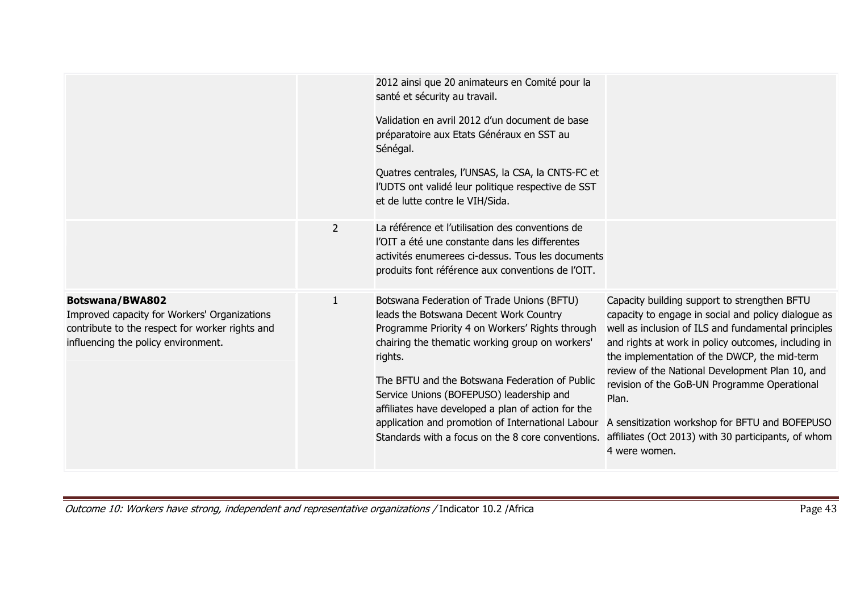|                                                                                                                                                                  |              | 2012 ainsi que 20 animateurs en Comité pour la<br>santé et sécurity au travail.<br>Validation en avril 2012 d'un document de base<br>préparatoire aux Etats Généraux en SST au<br>Sénégal.<br>Quatres centrales, l'UNSAS, la CSA, la CNTS-FC et<br>l'UDTS ont validé leur politique respective de SST<br>et de lutte contre le VIH/Sida.                                                                                                                            |                                                                                                                                                                                                                                                                                                                                                                                                                                                                                                         |
|------------------------------------------------------------------------------------------------------------------------------------------------------------------|--------------|---------------------------------------------------------------------------------------------------------------------------------------------------------------------------------------------------------------------------------------------------------------------------------------------------------------------------------------------------------------------------------------------------------------------------------------------------------------------|---------------------------------------------------------------------------------------------------------------------------------------------------------------------------------------------------------------------------------------------------------------------------------------------------------------------------------------------------------------------------------------------------------------------------------------------------------------------------------------------------------|
|                                                                                                                                                                  | 2            | La référence et l'utilisation des conventions de<br>l'OIT a été une constante dans les differentes<br>activités enumerees ci-dessus. Tous les documents<br>produits font référence aux conventions de l'OIT.                                                                                                                                                                                                                                                        |                                                                                                                                                                                                                                                                                                                                                                                                                                                                                                         |
| <b>Botswana/BWA802</b><br>Improved capacity for Workers' Organizations<br>contribute to the respect for worker rights and<br>influencing the policy environment. | $\mathbf{1}$ | Botswana Federation of Trade Unions (BFTU)<br>leads the Botswana Decent Work Country<br>Programme Priority 4 on Workers' Rights through<br>chairing the thematic working group on workers'<br>rights.<br>The BFTU and the Botswana Federation of Public<br>Service Unions (BOFEPUSO) leadership and<br>affiliates have developed a plan of action for the<br>application and promotion of International Labour<br>Standards with a focus on the 8 core conventions. | Capacity building support to strengthen BFTU<br>capacity to engage in social and policy dialogue as<br>well as inclusion of ILS and fundamental principles<br>and rights at work in policy outcomes, including in<br>the implementation of the DWCP, the mid-term<br>review of the National Development Plan 10, and<br>revision of the GoB-UN Programme Operational<br>Plan.<br>A sensitization workshop for BFTU and BOFEPUSO<br>affiliates (Oct 2013) with 30 participants, of whom<br>4 were women. |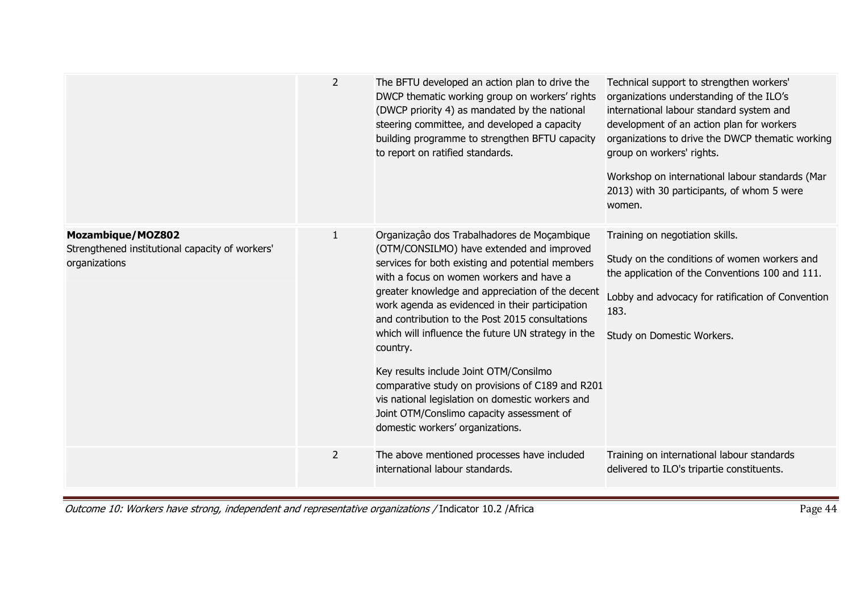|                                                                                              | $\overline{2}$ | The BFTU developed an action plan to drive the<br>DWCP thematic working group on workers' rights<br>(DWCP priority 4) as mandated by the national<br>steering committee, and developed a capacity<br>building programme to strengthen BFTU capacity<br>to report on ratified standards.                                                                                                                                                                                                                                                                                                                                                                 | Technical support to strengthen workers'<br>organizations understanding of the ILO's<br>international labour standard system and<br>development of an action plan for workers<br>organizations to drive the DWCP thematic working<br>group on workers' rights.<br>Workshop on international labour standards (Mar<br>2013) with 30 participants, of whom 5 were<br>women. |
|----------------------------------------------------------------------------------------------|----------------|---------------------------------------------------------------------------------------------------------------------------------------------------------------------------------------------------------------------------------------------------------------------------------------------------------------------------------------------------------------------------------------------------------------------------------------------------------------------------------------------------------------------------------------------------------------------------------------------------------------------------------------------------------|---------------------------------------------------------------------------------------------------------------------------------------------------------------------------------------------------------------------------------------------------------------------------------------------------------------------------------------------------------------------------|
| <b>Mozambique/MOZ802</b><br>Strengthened institutional capacity of workers'<br>organizations | $\mathbf{1}$   | Organização dos Trabalhadores de Moçambique<br>(OTM/CONSILMO) have extended and improved<br>services for both existing and potential members<br>with a focus on women workers and have a<br>greater knowledge and appreciation of the decent<br>work agenda as evidenced in their participation<br>and contribution to the Post 2015 consultations<br>which will influence the future UN strategy in the<br>country.<br>Key results include Joint OTM/Consilmo<br>comparative study on provisions of C189 and R201<br>vis national legislation on domestic workers and<br>Joint OTM/Conslimo capacity assessment of<br>domestic workers' organizations. | Training on negotiation skills.<br>Study on the conditions of women workers and<br>the application of the Conventions 100 and 111.<br>Lobby and advocacy for ratification of Convention<br>183.<br>Study on Domestic Workers.                                                                                                                                             |
|                                                                                              | $\overline{2}$ | The above mentioned processes have included<br>international labour standards.                                                                                                                                                                                                                                                                                                                                                                                                                                                                                                                                                                          | Training on international labour standards<br>delivered to ILO's tripartie constituents.                                                                                                                                                                                                                                                                                  |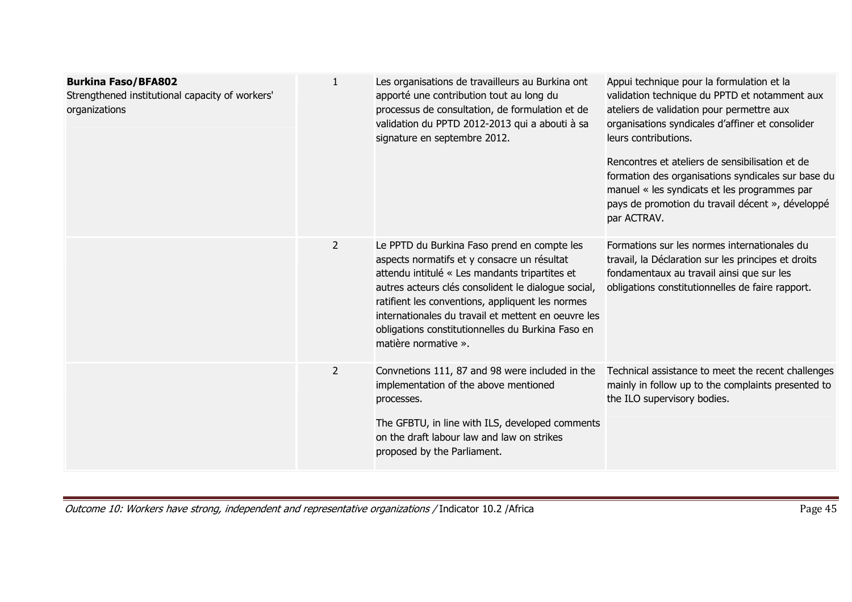| <b>Burkina Faso/BFA802</b><br>Strengthened institutional capacity of workers'<br>organizations | $\mathbf{1}$   | Les organisations de travailleurs au Burkina ont<br>apporté une contribution tout au long du<br>processus de consultation, de formulation et de<br>validation du PPTD 2012-2013 qui a abouti à sa<br>signature en septembre 2012.                                                                                                                                                           | Appui technique pour la formulation et la<br>validation technique du PPTD et notamment aux<br>ateliers de validation pour permettre aux<br>organisations syndicales d'affiner et consolider<br>leurs contributions.<br>Rencontres et ateliers de sensibilisation et de<br>formation des organisations syndicales sur base du<br>manuel « les syndicats et les programmes par<br>pays de promotion du travail décent », développé<br>par ACTRAV. |
|------------------------------------------------------------------------------------------------|----------------|---------------------------------------------------------------------------------------------------------------------------------------------------------------------------------------------------------------------------------------------------------------------------------------------------------------------------------------------------------------------------------------------|-------------------------------------------------------------------------------------------------------------------------------------------------------------------------------------------------------------------------------------------------------------------------------------------------------------------------------------------------------------------------------------------------------------------------------------------------|
|                                                                                                | $\overline{2}$ | Le PPTD du Burkina Faso prend en compte les<br>aspects normatifs et y consacre un résultat<br>attendu intitulé « Les mandants tripartites et<br>autres acteurs clés consolident le dialogue social,<br>ratifient les conventions, appliquent les normes<br>internationales du travail et mettent en oeuvre les<br>obligations constitutionnelles du Burkina Faso en<br>matière normative ». | Formations sur les normes internationales du<br>travail, la Déclaration sur les principes et droits<br>fondamentaux au travail ainsi que sur les<br>obligations constitutionnelles de faire rapport.                                                                                                                                                                                                                                            |
|                                                                                                | $\overline{2}$ | Convnetions 111, 87 and 98 were included in the<br>implementation of the above mentioned<br>processes.<br>The GFBTU, in line with ILS, developed comments<br>on the draft labour law and law on strikes<br>proposed by the Parliament.                                                                                                                                                      | Technical assistance to meet the recent challenges<br>mainly in follow up to the complaints presented to<br>the ILO supervisory bodies.                                                                                                                                                                                                                                                                                                         |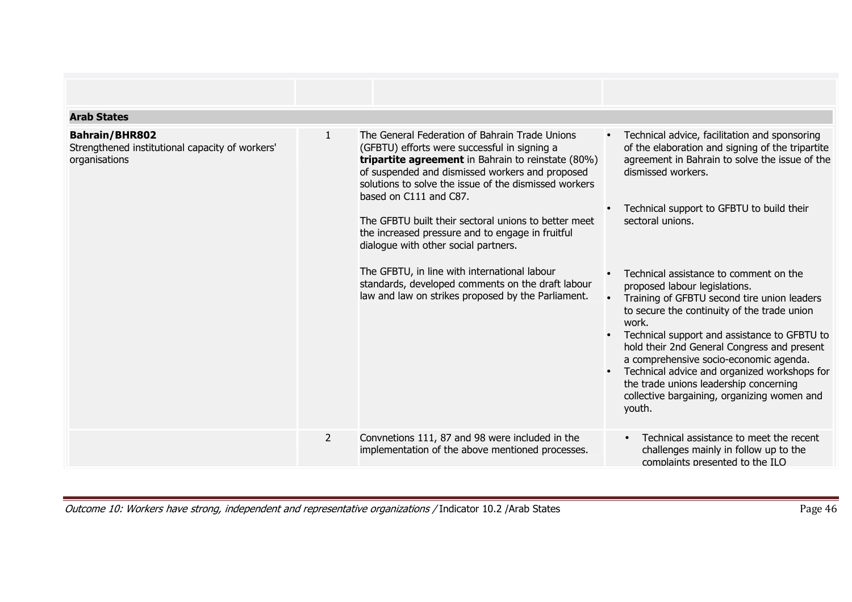| <b>Arab States</b>                                                                        |                |                                                                                                                                                                                                                                                                                                                                                                                                                                                                                                                                                                                                                  |                                                                                                                                                                                                                                                                                                                                                                                                                                                                                                                                                                                                                                                                                                                                                    |
|-------------------------------------------------------------------------------------------|----------------|------------------------------------------------------------------------------------------------------------------------------------------------------------------------------------------------------------------------------------------------------------------------------------------------------------------------------------------------------------------------------------------------------------------------------------------------------------------------------------------------------------------------------------------------------------------------------------------------------------------|----------------------------------------------------------------------------------------------------------------------------------------------------------------------------------------------------------------------------------------------------------------------------------------------------------------------------------------------------------------------------------------------------------------------------------------------------------------------------------------------------------------------------------------------------------------------------------------------------------------------------------------------------------------------------------------------------------------------------------------------------|
| <b>Bahrain/BHR802</b><br>Strengthened institutional capacity of workers'<br>organisations | $\mathbf{1}$   | The General Federation of Bahrain Trade Unions<br>(GFBTU) efforts were successful in signing a<br><b>tripartite agreement</b> in Bahrain to reinstate (80%)<br>of suspended and dismissed workers and proposed<br>solutions to solve the issue of the dismissed workers<br>based on C111 and C87.<br>The GFBTU built their sectoral unions to better meet<br>the increased pressure and to engage in fruitful<br>dialogue with other social partners.<br>The GFBTU, in line with international labour<br>standards, developed comments on the draft labour<br>law and law on strikes proposed by the Parliament. | Technical advice, facilitation and sponsoring<br>$\bullet$<br>of the elaboration and signing of the tripartite<br>agreement in Bahrain to solve the issue of the<br>dismissed workers.<br>Technical support to GFBTU to build their<br>sectoral unions.<br>Technical assistance to comment on the<br>proposed labour legislations.<br>Training of GFBTU second tire union leaders<br>to secure the continuity of the trade union<br>work.<br>Technical support and assistance to GFBTU to<br>$\bullet$<br>hold their 2nd General Congress and present<br>a comprehensive socio-economic agenda.<br>Technical advice and organized workshops for<br>the trade unions leadership concerning<br>collective bargaining, organizing women and<br>youth. |
|                                                                                           |                |                                                                                                                                                                                                                                                                                                                                                                                                                                                                                                                                                                                                                  |                                                                                                                                                                                                                                                                                                                                                                                                                                                                                                                                                                                                                                                                                                                                                    |
|                                                                                           | $\overline{2}$ | Convnetions 111, 87 and 98 were included in the<br>implementation of the above mentioned processes.                                                                                                                                                                                                                                                                                                                                                                                                                                                                                                              | Technical assistance to meet the recent<br>$\bullet$<br>challenges mainly in follow up to the<br>complaints presented to the ILO                                                                                                                                                                                                                                                                                                                                                                                                                                                                                                                                                                                                                   |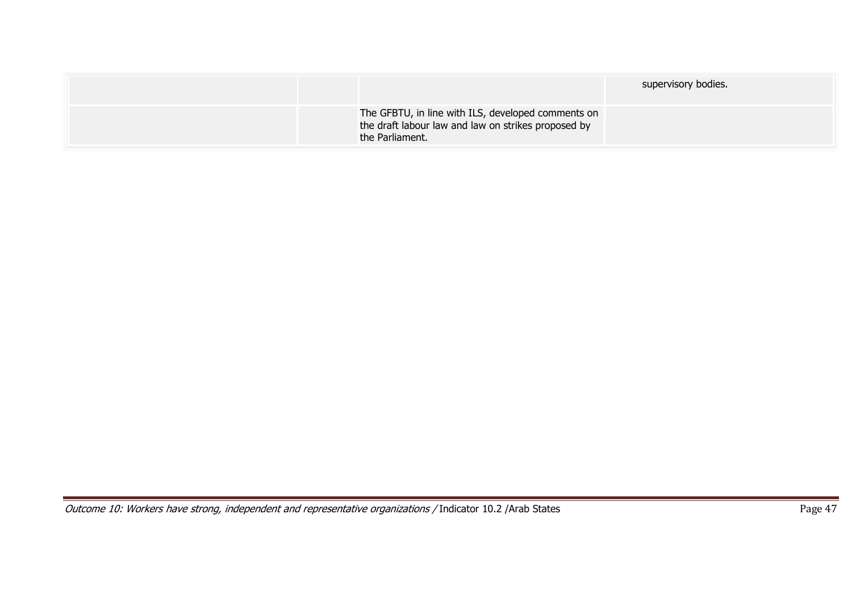|                                                                                                                              | supervisory bodies. |
|------------------------------------------------------------------------------------------------------------------------------|---------------------|
| The GFBTU, in line with ILS, developed comments on<br>the draft labour law and law on strikes proposed by<br>the Parliament. |                     |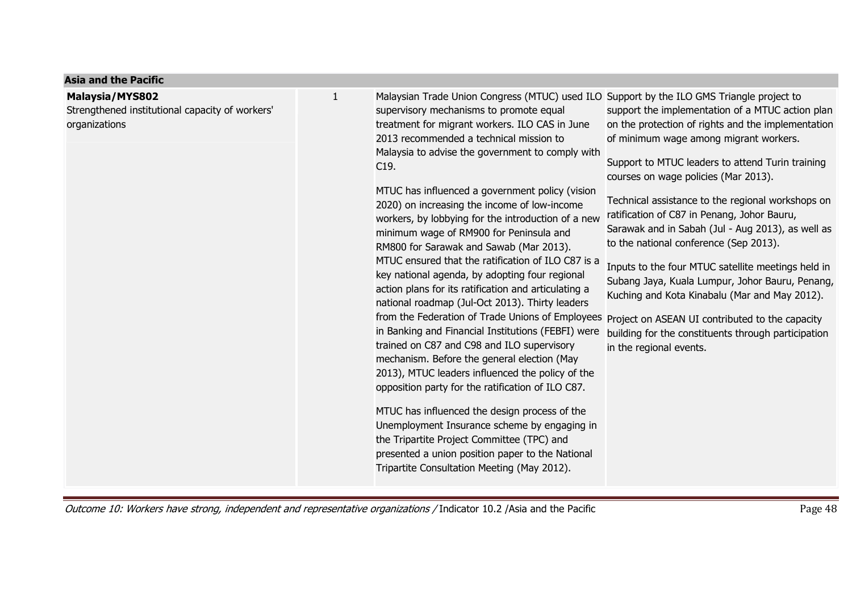| <b>Asia and the Pacific</b>                                                         |   |                                                                                                                                                                                                                                                                                                                                                                                                                                                                                                                                                                                                                                                                                                                                                                                                                                                                                                                                                                                                                                                                                                                                                                                                                                                                                                                                                                                   |                                                                                                                                                                                                                                                                                                                                                                                                                                                                                                                                                                                                                                                                                             |
|-------------------------------------------------------------------------------------|---|-----------------------------------------------------------------------------------------------------------------------------------------------------------------------------------------------------------------------------------------------------------------------------------------------------------------------------------------------------------------------------------------------------------------------------------------------------------------------------------------------------------------------------------------------------------------------------------------------------------------------------------------------------------------------------------------------------------------------------------------------------------------------------------------------------------------------------------------------------------------------------------------------------------------------------------------------------------------------------------------------------------------------------------------------------------------------------------------------------------------------------------------------------------------------------------------------------------------------------------------------------------------------------------------------------------------------------------------------------------------------------------|---------------------------------------------------------------------------------------------------------------------------------------------------------------------------------------------------------------------------------------------------------------------------------------------------------------------------------------------------------------------------------------------------------------------------------------------------------------------------------------------------------------------------------------------------------------------------------------------------------------------------------------------------------------------------------------------|
| Malaysia/MYS802<br>Strengthened institutional capacity of workers'<br>organizations | 1 | Malaysian Trade Union Congress (MTUC) used ILO Support by the ILO GMS Triangle project to<br>supervisory mechanisms to promote equal<br>treatment for migrant workers. ILO CAS in June<br>2013 recommended a technical mission to<br>Malaysia to advise the government to comply with<br>C19.<br>MTUC has influenced a government policy (vision<br>2020) on increasing the income of low-income<br>workers, by lobbying for the introduction of a new<br>minimum wage of RM900 for Peninsula and<br>RM800 for Sarawak and Sawab (Mar 2013).<br>MTUC ensured that the ratification of ILO C87 is a<br>key national agenda, by adopting four regional<br>action plans for its ratification and articulating a<br>national roadmap (Jul-Oct 2013). Thirty leaders<br>from the Federation of Trade Unions of Employees Project on ASEAN UI contributed to the capacity<br>in Banking and Financial Institutions (FEBFI) were<br>trained on C87 and C98 and ILO supervisory<br>mechanism. Before the general election (May<br>2013), MTUC leaders influenced the policy of the<br>opposition party for the ratification of ILO C87.<br>MTUC has influenced the design process of the<br>Unemployment Insurance scheme by engaging in<br>the Tripartite Project Committee (TPC) and<br>presented a union position paper to the National<br>Tripartite Consultation Meeting (May 2012). | support the implementation of a MTUC action plan<br>on the protection of rights and the implementation<br>of minimum wage among migrant workers.<br>Support to MTUC leaders to attend Turin training<br>courses on wage policies (Mar 2013).<br>Technical assistance to the regional workshops on<br>ratification of C87 in Penang, Johor Bauru,<br>Sarawak and in Sabah (Jul - Aug 2013), as well as<br>to the national conference (Sep 2013).<br>Inputs to the four MTUC satellite meetings held in<br>Subang Jaya, Kuala Lumpur, Johor Bauru, Penang,<br>Kuching and Kota Kinabalu (Mar and May 2012).<br>building for the constituents through participation<br>in the regional events. |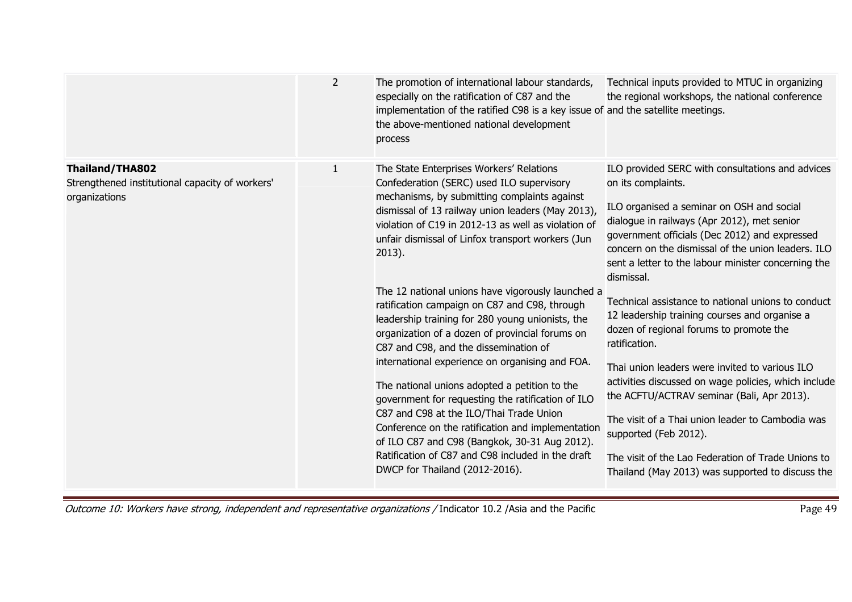|                                                                                     | $\overline{2}$ | The promotion of international labour standards,<br>especially on the ratification of C87 and the<br>implementation of the ratified C98 is a key issue of and the satellite meetings.<br>the above-mentioned national development<br>process                                                                                                                                                                                                                                                                                                                                                                                                                                                                                                                                                                                                                                                                                                                            | Technical inputs provided to MTUC in organizing<br>the regional workshops, the national conference                                                                                                                                                                                                                                                                                                                                                                                                                                                                                                                                                                                                                                                                                                                                                               |
|-------------------------------------------------------------------------------------|----------------|-------------------------------------------------------------------------------------------------------------------------------------------------------------------------------------------------------------------------------------------------------------------------------------------------------------------------------------------------------------------------------------------------------------------------------------------------------------------------------------------------------------------------------------------------------------------------------------------------------------------------------------------------------------------------------------------------------------------------------------------------------------------------------------------------------------------------------------------------------------------------------------------------------------------------------------------------------------------------|------------------------------------------------------------------------------------------------------------------------------------------------------------------------------------------------------------------------------------------------------------------------------------------------------------------------------------------------------------------------------------------------------------------------------------------------------------------------------------------------------------------------------------------------------------------------------------------------------------------------------------------------------------------------------------------------------------------------------------------------------------------------------------------------------------------------------------------------------------------|
| Thailand/THA802<br>Strengthened institutional capacity of workers'<br>organizations | $\mathbf{1}$   | The State Enterprises Workers' Relations<br>Confederation (SERC) used ILO supervisory<br>mechanisms, by submitting complaints against<br>dismissal of 13 railway union leaders (May 2013),<br>violation of C19 in 2012-13 as well as violation of<br>unfair dismissal of Linfox transport workers (Jun<br>2013).<br>The 12 national unions have vigorously launched a<br>ratification campaign on C87 and C98, through<br>leadership training for 280 young unionists, the<br>organization of a dozen of provincial forums on<br>C87 and C98, and the dissemination of<br>international experience on organising and FOA.<br>The national unions adopted a petition to the<br>government for requesting the ratification of ILO<br>C87 and C98 at the ILO/Thai Trade Union<br>Conference on the ratification and implementation<br>of ILO C87 and C98 (Bangkok, 30-31 Aug 2012).<br>Ratification of C87 and C98 included in the draft<br>DWCP for Thailand (2012-2016). | ILO provided SERC with consultations and advices<br>on its complaints.<br>ILO organised a seminar on OSH and social<br>dialogue in railways (Apr 2012), met senior<br>government officials (Dec 2012) and expressed<br>concern on the dismissal of the union leaders. ILO<br>sent a letter to the labour minister concerning the<br>dismissal.<br>Technical assistance to national unions to conduct<br>12 leadership training courses and organise a<br>dozen of regional forums to promote the<br>ratification.<br>Thai union leaders were invited to various ILO<br>activities discussed on wage policies, which include<br>the ACFTU/ACTRAV seminar (Bali, Apr 2013).<br>The visit of a Thai union leader to Cambodia was<br>supported (Feb 2012).<br>The visit of the Lao Federation of Trade Unions to<br>Thailand (May 2013) was supported to discuss the |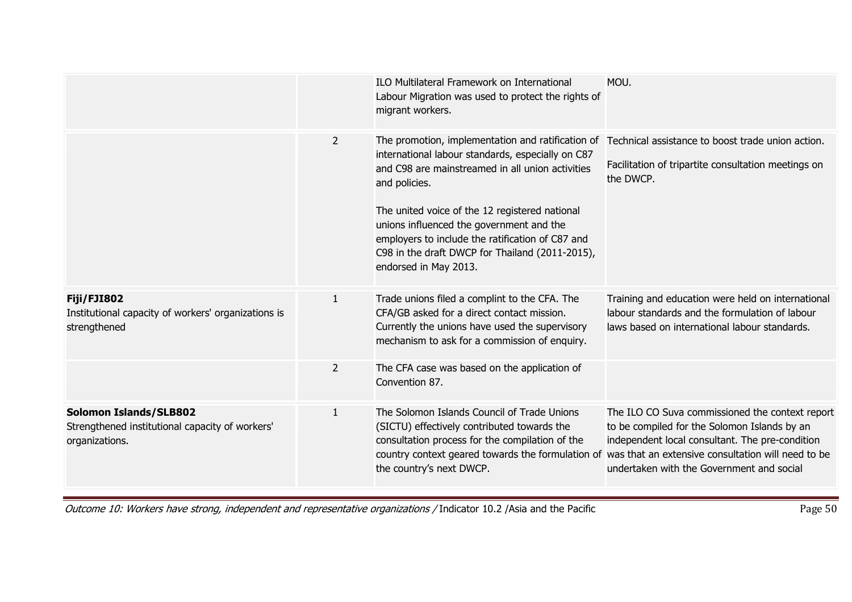|                                                                                                    |                | <b>ILO Multilateral Framework on International</b><br>Labour Migration was used to protect the rights of<br>migrant workers.                                                                                                                                                      | MOU.                                                                                                                                                                                            |
|----------------------------------------------------------------------------------------------------|----------------|-----------------------------------------------------------------------------------------------------------------------------------------------------------------------------------------------------------------------------------------------------------------------------------|-------------------------------------------------------------------------------------------------------------------------------------------------------------------------------------------------|
|                                                                                                    | 2              | The promotion, implementation and ratification of<br>international labour standards, especially on C87<br>and C98 are mainstreamed in all union activities<br>and policies.                                                                                                       | Technical assistance to boost trade union action.<br>Facilitation of tripartite consultation meetings on<br>the DWCP.                                                                           |
|                                                                                                    |                | The united voice of the 12 registered national<br>unions influenced the government and the<br>employers to include the ratification of C87 and<br>C98 in the draft DWCP for Thailand (2011-2015),<br>endorsed in May 2013.                                                        |                                                                                                                                                                                                 |
| <b>Fiji/FJI802</b><br>Institutional capacity of workers' organizations is<br>strengthened          | $\mathbf{1}$   | Trade unions filed a complint to the CFA. The<br>CFA/GB asked for a direct contact mission.<br>Currently the unions have used the supervisory<br>mechanism to ask for a commission of enquiry.                                                                                    | Training and education were held on international<br>labour standards and the formulation of labour<br>laws based on international labour standards.                                            |
|                                                                                                    | $\overline{2}$ | The CFA case was based on the application of<br>Convention 87.                                                                                                                                                                                                                    |                                                                                                                                                                                                 |
| <b>Solomon Islands/SLB802</b><br>Strengthened institutional capacity of workers'<br>organizations. | $\mathbf{1}$   | The Solomon Islands Council of Trade Unions<br>(SICTU) effectively contributed towards the<br>consultation process for the compilation of the<br>country context geared towards the formulation of was that an extensive consultation will need to be<br>the country's next DWCP. | The ILO CO Suva commissioned the context report<br>to be compiled for the Solomon Islands by an<br>independent local consultant. The pre-condition<br>undertaken with the Government and social |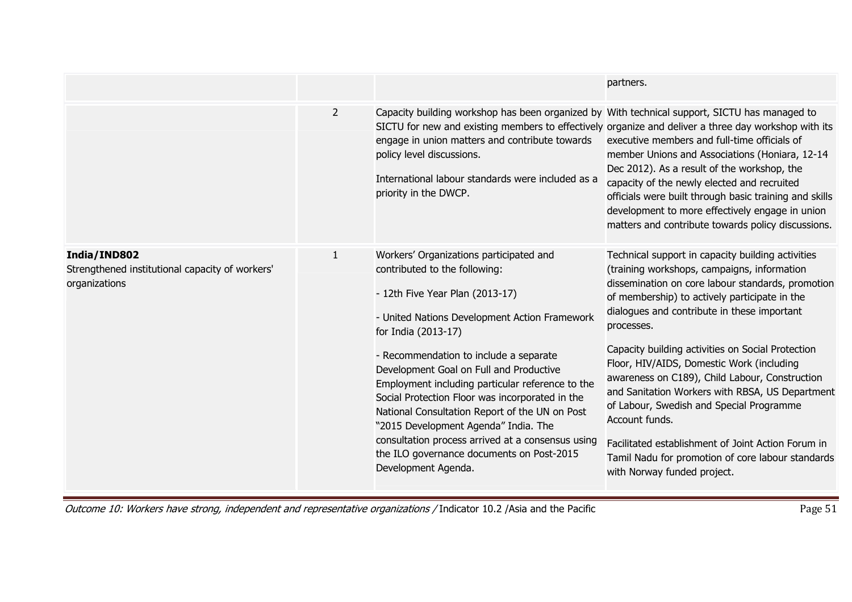|                                                                                  |                |                                                                                                                                                                                                                                                                                                                                                                                                                                                                                                                                                                                                    | partners.                                                                                                                                                                                                                                                                                                                                                                                                                                                                                                                                                                                                                                                                          |
|----------------------------------------------------------------------------------|----------------|----------------------------------------------------------------------------------------------------------------------------------------------------------------------------------------------------------------------------------------------------------------------------------------------------------------------------------------------------------------------------------------------------------------------------------------------------------------------------------------------------------------------------------------------------------------------------------------------------|------------------------------------------------------------------------------------------------------------------------------------------------------------------------------------------------------------------------------------------------------------------------------------------------------------------------------------------------------------------------------------------------------------------------------------------------------------------------------------------------------------------------------------------------------------------------------------------------------------------------------------------------------------------------------------|
|                                                                                  | $\overline{2}$ | Capacity building workshop has been organized by With technical support, SICTU has managed to<br>engage in union matters and contribute towards<br>policy level discussions.<br>International labour standards were included as a<br>priority in the DWCP.                                                                                                                                                                                                                                                                                                                                         | SICTU for new and existing members to effectively organize and deliver a three day workshop with its<br>executive members and full-time officials of<br>member Unions and Associations (Honiara, 12-14<br>Dec 2012). As a result of the workshop, the<br>capacity of the newly elected and recruited<br>officials were built through basic training and skills<br>development to more effectively engage in union<br>matters and contribute towards policy discussions.                                                                                                                                                                                                            |
| India/IND802<br>Strengthened institutional capacity of workers'<br>organizations | $\mathbf{1}$   | Workers' Organizations participated and<br>contributed to the following:<br>- 12th Five Year Plan (2013-17)<br>- United Nations Development Action Framework<br>for India (2013-17)<br>- Recommendation to include a separate<br>Development Goal on Full and Productive<br>Employment including particular reference to the<br>Social Protection Floor was incorporated in the<br>National Consultation Report of the UN on Post<br>"2015 Development Agenda" India. The<br>consultation process arrived at a consensus using<br>the ILO governance documents on Post-2015<br>Development Agenda. | Technical support in capacity building activities<br>(training workshops, campaigns, information<br>dissemination on core labour standards, promotion<br>of membership) to actively participate in the<br>dialogues and contribute in these important<br>processes.<br>Capacity building activities on Social Protection<br>Floor, HIV/AIDS, Domestic Work (including<br>awareness on C189), Child Labour, Construction<br>and Sanitation Workers with RBSA, US Department<br>of Labour, Swedish and Special Programme<br>Account funds.<br>Facilitated establishment of Joint Action Forum in<br>Tamil Nadu for promotion of core labour standards<br>with Norway funded project. |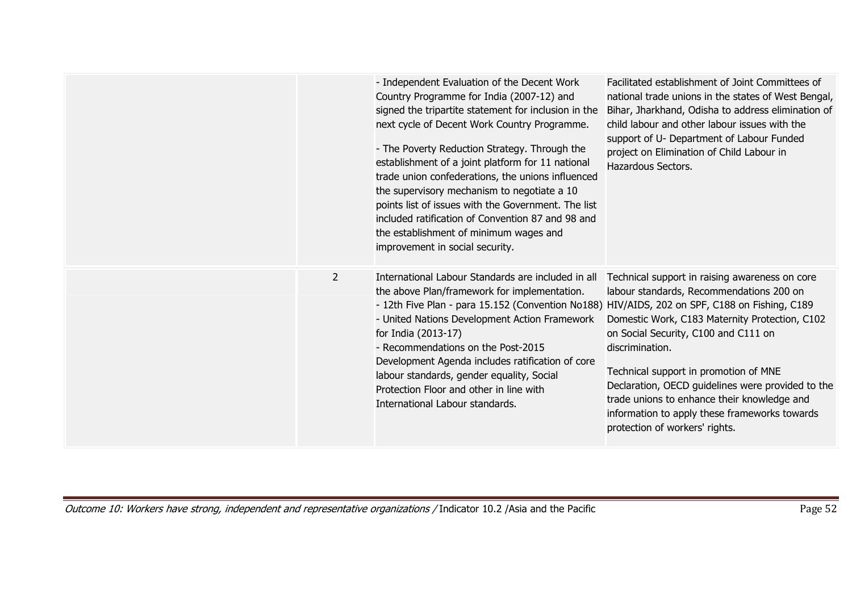|                | - Independent Evaluation of the Decent Work<br>Country Programme for India (2007-12) and<br>signed the tripartite statement for inclusion in the<br>next cycle of Decent Work Country Programme.<br>- The Poverty Reduction Strategy. Through the<br>establishment of a joint platform for 11 national<br>trade union confederations, the unions influenced<br>the supervisory mechanism to negotiate a 10<br>points list of issues with the Government. The list<br>included ratification of Convention 87 and 98 and<br>the establishment of minimum wages and<br>improvement in social security. | Facilitated establishment of Joint Committees of<br>national trade unions in the states of West Bengal,<br>Bihar, Jharkhand, Odisha to address elimination of<br>child labour and other labour issues with the<br>support of U- Department of Labour Funded<br>project on Elimination of Child Labour in<br>Hazardous Sectors.                                                                                                          |
|----------------|-----------------------------------------------------------------------------------------------------------------------------------------------------------------------------------------------------------------------------------------------------------------------------------------------------------------------------------------------------------------------------------------------------------------------------------------------------------------------------------------------------------------------------------------------------------------------------------------------------|-----------------------------------------------------------------------------------------------------------------------------------------------------------------------------------------------------------------------------------------------------------------------------------------------------------------------------------------------------------------------------------------------------------------------------------------|
| $\overline{2}$ | International Labour Standards are included in all<br>the above Plan/framework for implementation.<br>- 12th Five Plan - para 15.152 (Convention No188) HIV/AIDS, 202 on SPF, C188 on Fishing, C189<br>- United Nations Development Action Framework<br>for India (2013-17)<br>- Recommendations on the Post-2015<br>Development Agenda includes ratification of core<br>labour standards, gender equality, Social<br>Protection Floor and other in line with<br>International Labour standards.                                                                                                    | Technical support in raising awareness on core<br>labour standards, Recommendations 200 on<br>Domestic Work, C183 Maternity Protection, C102<br>on Social Security, C100 and C111 on<br>discrimination.<br>Technical support in promotion of MNE<br>Declaration, OECD guidelines were provided to the<br>trade unions to enhance their knowledge and<br>information to apply these frameworks towards<br>protection of workers' rights. |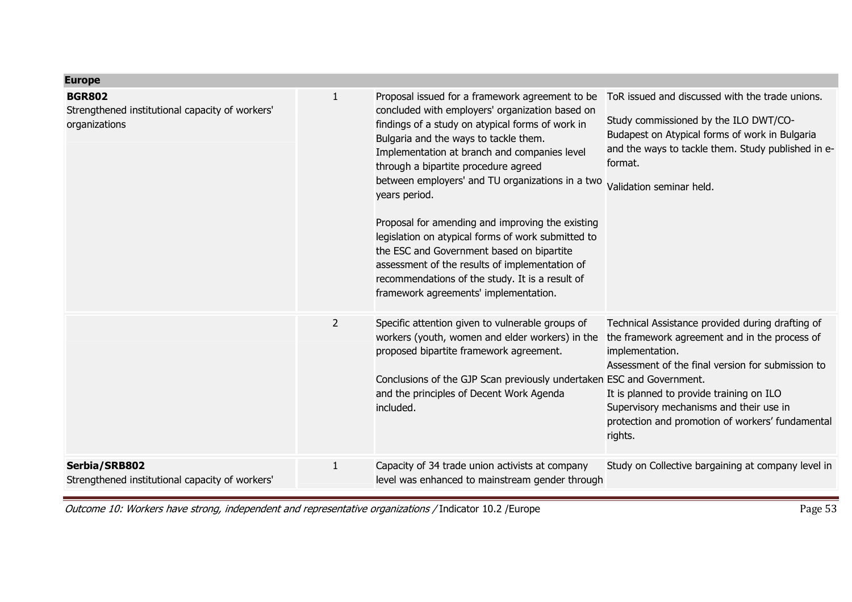| <b>Europe</b>                                                                     |                |                                                                                                                                                                                                                                                                                                                                                                                                                                                                                                                                                                                                                                                                   |                                                                                                                                                                                                                                                                                                                                 |
|-----------------------------------------------------------------------------------|----------------|-------------------------------------------------------------------------------------------------------------------------------------------------------------------------------------------------------------------------------------------------------------------------------------------------------------------------------------------------------------------------------------------------------------------------------------------------------------------------------------------------------------------------------------------------------------------------------------------------------------------------------------------------------------------|---------------------------------------------------------------------------------------------------------------------------------------------------------------------------------------------------------------------------------------------------------------------------------------------------------------------------------|
| <b>BGR802</b><br>Strengthened institutional capacity of workers'<br>organizations | 1              | Proposal issued for a framework agreement to be<br>concluded with employers' organization based on<br>findings of a study on atypical forms of work in<br>Bulgaria and the ways to tackle them.<br>Implementation at branch and companies level<br>through a bipartite procedure agreed<br>between employers' and TU organizations in a two<br>years period.<br>Proposal for amending and improving the existing<br>legislation on atypical forms of work submitted to<br>the ESC and Government based on bipartite<br>assessment of the results of implementation of<br>recommendations of the study. It is a result of<br>framework agreements' implementation. | ToR issued and discussed with the trade unions.<br>Study commissioned by the ILO DWT/CO-<br>Budapest on Atypical forms of work in Bulgaria<br>and the ways to tackle them. Study published in e-<br>format.<br>Validation seminar held.                                                                                         |
|                                                                                   | $\overline{2}$ | Specific attention given to vulnerable groups of<br>workers (youth, women and elder workers) in the<br>proposed bipartite framework agreement.<br>Conclusions of the GJP Scan previously undertaken ESC and Government.<br>and the principles of Decent Work Agenda<br>included.                                                                                                                                                                                                                                                                                                                                                                                  | Technical Assistance provided during drafting of<br>the framework agreement and in the process of<br>implementation.<br>Assessment of the final version for submission to<br>It is planned to provide training on ILO<br>Supervisory mechanisms and their use in<br>protection and promotion of workers' fundamental<br>rights. |
| Serbia/SRB802<br>Strengthened institutional capacity of workers'                  | $\mathbf{1}$   | Capacity of 34 trade union activists at company<br>level was enhanced to mainstream gender through                                                                                                                                                                                                                                                                                                                                                                                                                                                                                                                                                                | Study on Collective bargaining at company level in                                                                                                                                                                                                                                                                              |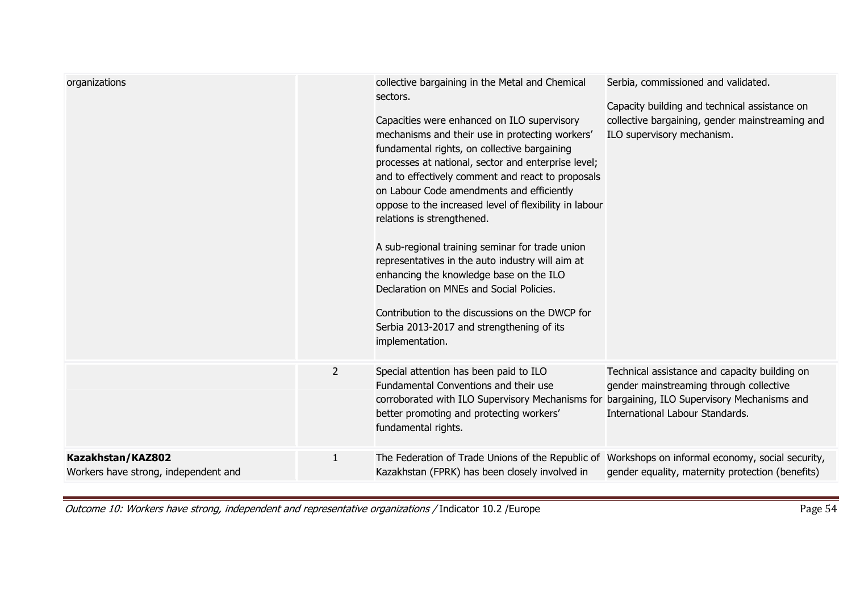| organizations                                             |                | collective bargaining in the Metal and Chemical<br>sectors.<br>Capacities were enhanced on ILO supervisory<br>mechanisms and their use in protecting workers'<br>fundamental rights, on collective bargaining<br>processes at national, sector and enterprise level;<br>and to effectively comment and react to proposals<br>on Labour Code amendments and efficiently<br>oppose to the increased level of flexibility in labour<br>relations is strengthened.<br>A sub-regional training seminar for trade union<br>representatives in the auto industry will aim at<br>enhancing the knowledge base on the ILO<br>Declaration on MNEs and Social Policies.<br>Contribution to the discussions on the DWCP for<br>Serbia 2013-2017 and strengthening of its<br>implementation. | Serbia, commissioned and validated.<br>Capacity building and technical assistance on<br>collective bargaining, gender mainstreaming and<br>ILO supervisory mechanism. |
|-----------------------------------------------------------|----------------|---------------------------------------------------------------------------------------------------------------------------------------------------------------------------------------------------------------------------------------------------------------------------------------------------------------------------------------------------------------------------------------------------------------------------------------------------------------------------------------------------------------------------------------------------------------------------------------------------------------------------------------------------------------------------------------------------------------------------------------------------------------------------------|-----------------------------------------------------------------------------------------------------------------------------------------------------------------------|
|                                                           | $\overline{2}$ | Special attention has been paid to ILO<br>Fundamental Conventions and their use<br>corroborated with ILO Supervisory Mechanisms for bargaining, ILO Supervisory Mechanisms and<br>better promoting and protecting workers'<br>fundamental rights.                                                                                                                                                                                                                                                                                                                                                                                                                                                                                                                               | Technical assistance and capacity building on<br>gender mainstreaming through collective<br>International Labour Standards.                                           |
| Kazakhstan/KAZ802<br>Workers have strong, independent and | 1              | The Federation of Trade Unions of the Republic of Workshops on informal economy, social security,<br>Kazakhstan (FPRK) has been closely involved in                                                                                                                                                                                                                                                                                                                                                                                                                                                                                                                                                                                                                             | gender equality, maternity protection (benefits)                                                                                                                      |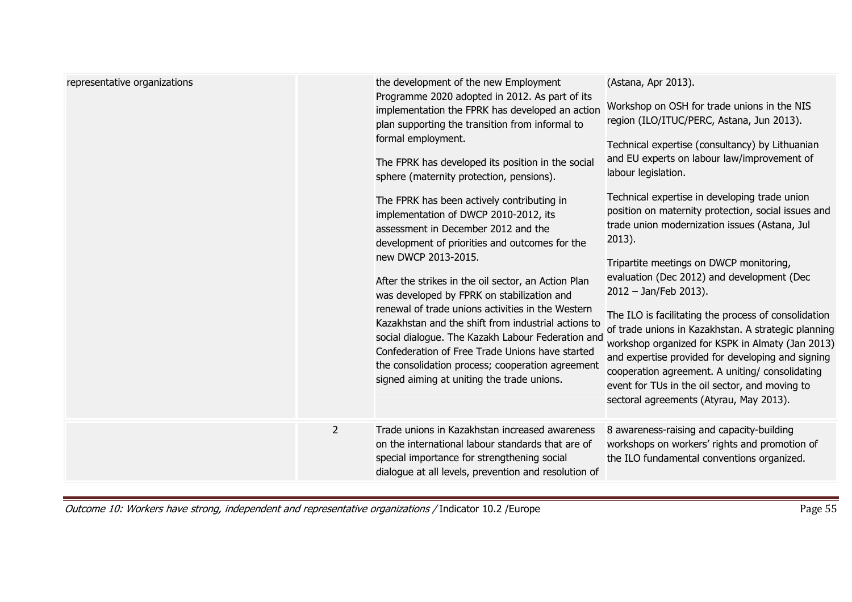| representative organizations |                | the development of the new Employment<br>Programme 2020 adopted in 2012. As part of its<br>implementation the FPRK has developed an action<br>plan supporting the transition from informal to<br>formal employment.<br>The FPRK has developed its position in the social<br>sphere (maternity protection, pensions).<br>The FPRK has been actively contributing in<br>implementation of DWCP 2010-2012, its<br>assessment in December 2012 and the<br>development of priorities and outcomes for the<br>new DWCP 2013-2015.<br>After the strikes in the oil sector, an Action Plan<br>was developed by FPRK on stabilization and<br>renewal of trade unions activities in the Western<br>Kazakhstan and the shift from industrial actions to<br>social dialogue. The Kazakh Labour Federation and<br>Confederation of Free Trade Unions have started<br>the consolidation process; cooperation agreement<br>signed aiming at uniting the trade unions. | (Astana, Apr 2013).<br>Workshop on OSH for trade unions in the NIS<br>region (ILO/ITUC/PERC, Astana, Jun 2013).<br>Technical expertise (consultancy) by Lithuanian<br>and EU experts on labour law/improvement of<br>labour legislation.<br>Technical expertise in developing trade union<br>position on maternity protection, social issues and<br>trade union modernization issues (Astana, Jul<br>$2013$ ).<br>Tripartite meetings on DWCP monitoring,<br>evaluation (Dec 2012) and development (Dec<br>$2012 - Jan/Feb 2013$ ).<br>The ILO is facilitating the process of consolidation<br>of trade unions in Kazakhstan. A strategic planning<br>workshop organized for KSPK in Almaty (Jan 2013)<br>and expertise provided for developing and signing<br>cooperation agreement. A uniting/ consolidating<br>event for TUs in the oil sector, and moving to<br>sectoral agreements (Atyrau, May 2013). |
|------------------------------|----------------|--------------------------------------------------------------------------------------------------------------------------------------------------------------------------------------------------------------------------------------------------------------------------------------------------------------------------------------------------------------------------------------------------------------------------------------------------------------------------------------------------------------------------------------------------------------------------------------------------------------------------------------------------------------------------------------------------------------------------------------------------------------------------------------------------------------------------------------------------------------------------------------------------------------------------------------------------------|-------------------------------------------------------------------------------------------------------------------------------------------------------------------------------------------------------------------------------------------------------------------------------------------------------------------------------------------------------------------------------------------------------------------------------------------------------------------------------------------------------------------------------------------------------------------------------------------------------------------------------------------------------------------------------------------------------------------------------------------------------------------------------------------------------------------------------------------------------------------------------------------------------------|
|                              | $\overline{2}$ | Trade unions in Kazakhstan increased awareness<br>on the international labour standards that are of<br>special importance for strengthening social<br>dialogue at all levels, prevention and resolution of                                                                                                                                                                                                                                                                                                                                                                                                                                                                                                                                                                                                                                                                                                                                             | 8 awareness-raising and capacity-building<br>workshops on workers' rights and promotion of<br>the ILO fundamental conventions organized.                                                                                                                                                                                                                                                                                                                                                                                                                                                                                                                                                                                                                                                                                                                                                                    |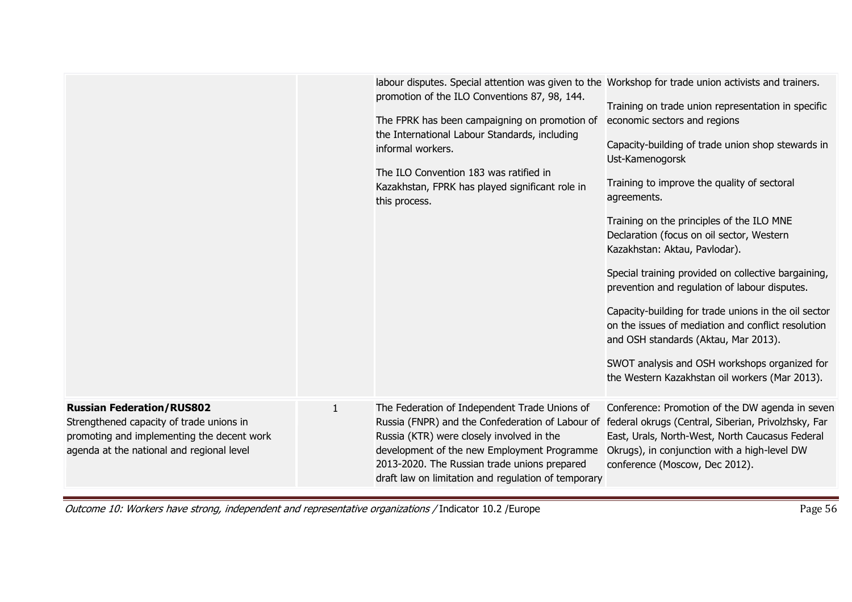|                                                                                                                                                                         |              | labour disputes. Special attention was given to the Workshop for trade union activists and trainers.<br>promotion of the ILO Conventions 87, 98, 144.<br>The FPRK has been campaigning on promotion of<br>the International Labour Standards, including<br>informal workers.<br>The ILO Convention 183 was ratified in<br>Kazakhstan, FPRK has played significant role in<br>this process. | Training on trade union representation in specific<br>economic sectors and regions<br>Capacity-building of trade union shop stewards in<br>Ust-Kamenogorsk<br>Training to improve the quality of sectoral<br>agreements.<br>Training on the principles of the ILO MNE<br>Declaration (focus on oil sector, Western<br>Kazakhstan: Aktau, Pavlodar).<br>Special training provided on collective bargaining,<br>prevention and regulation of labour disputes.<br>Capacity-building for trade unions in the oil sector<br>on the issues of mediation and conflict resolution<br>and OSH standards (Aktau, Mar 2013).<br>SWOT analysis and OSH workshops organized for<br>the Western Kazakhstan oil workers (Mar 2013). |
|-------------------------------------------------------------------------------------------------------------------------------------------------------------------------|--------------|--------------------------------------------------------------------------------------------------------------------------------------------------------------------------------------------------------------------------------------------------------------------------------------------------------------------------------------------------------------------------------------------|----------------------------------------------------------------------------------------------------------------------------------------------------------------------------------------------------------------------------------------------------------------------------------------------------------------------------------------------------------------------------------------------------------------------------------------------------------------------------------------------------------------------------------------------------------------------------------------------------------------------------------------------------------------------------------------------------------------------|
| <b>Russian Federation/RUS802</b><br>Strengthened capacity of trade unions in<br>promoting and implementing the decent work<br>agenda at the national and regional level | $\mathbf{1}$ | The Federation of Independent Trade Unions of<br>Russia (FNPR) and the Confederation of Labour of federal okrugs (Central, Siberian, Privolzhsky, Far<br>Russia (KTR) were closely involved in the<br>development of the new Employment Programme<br>2013-2020. The Russian trade unions prepared<br>draft law on limitation and regulation of temporary                                   | Conference: Promotion of the DW agenda in seven<br>East, Urals, North-West, North Caucasus Federal<br>Okrugs), in conjunction with a high-level DW<br>conference (Moscow, Dec 2012).                                                                                                                                                                                                                                                                                                                                                                                                                                                                                                                                 |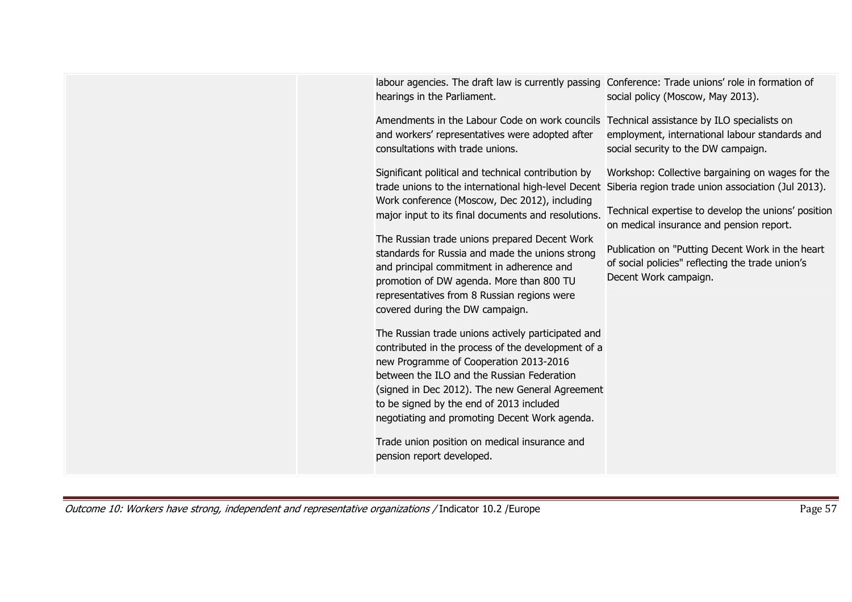| labour agencies. The draft law is currently passing Conference: Trade unions' role in formation of<br>hearings in the Parliament.<br>social policy (Moscow, May 2013).                                                                                                                                                                                                                                                       |
|------------------------------------------------------------------------------------------------------------------------------------------------------------------------------------------------------------------------------------------------------------------------------------------------------------------------------------------------------------------------------------------------------------------------------|
| Amendments in the Labour Code on work councils Technical assistance by ILO specialists on<br>employment, international labour standards and<br>and workers' representatives were adopted after<br>consultations with trade unions.<br>social security to the DW campaign.                                                                                                                                                    |
| Significant political and technical contribution by<br>Workshop: Collective bargaining on wages for the<br>trade unions to the international high-level Decent Siberia region trade union association (Jul 2013).<br>Work conference (Moscow, Dec 2012), including<br>Technical expertise to develop the unions' position<br>major input to its final documents and resolutions.<br>on medical insurance and pension report. |
| The Russian trade unions prepared Decent Work<br>Publication on "Putting Decent Work in the heart<br>standards for Russia and made the unions strong<br>of social policies" reflecting the trade union's<br>and principal commitment in adherence and<br>Decent Work campaign.<br>promotion of DW agenda. More than 800 TU<br>representatives from 8 Russian regions were<br>covered during the DW campaign.                 |
| The Russian trade unions actively participated and<br>contributed in the process of the development of a<br>new Programme of Cooperation 2013-2016<br>between the ILO and the Russian Federation<br>(signed in Dec 2012). The new General Agreement<br>to be signed by the end of 2013 included<br>negotiating and promoting Decent Work agenda.                                                                             |
| Trade union position on medical insurance and<br>pension report developed.                                                                                                                                                                                                                                                                                                                                                   |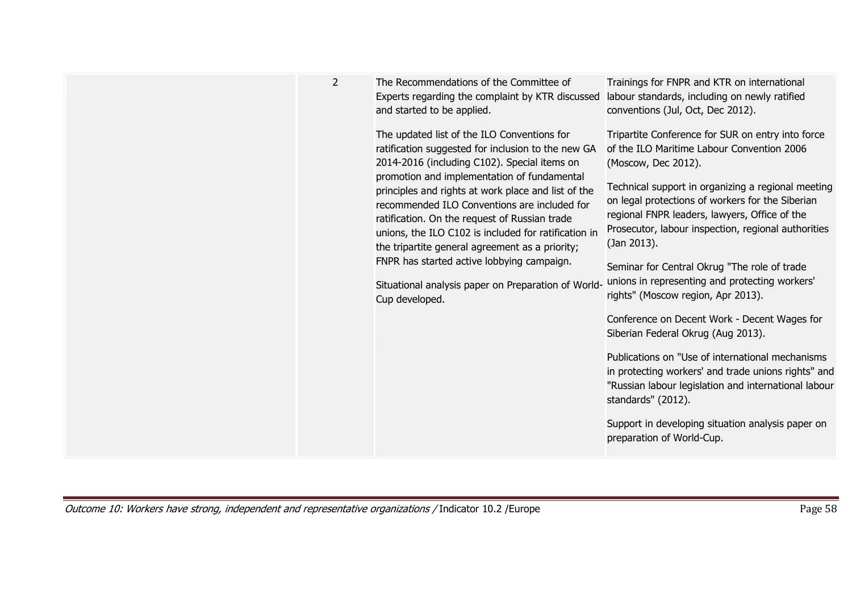| $\overline{2}$<br>The Recommendations of the Committee of<br>Trainings for FNPR and KTR on international<br>labour standards, including on newly ratified<br>Experts regarding the complaint by KTR discussed<br>and started to be applied.<br>conventions (Jul, Oct, Dec 2012).<br>The updated list of the ILO Conventions for<br>Tripartite Conference for SUR on entry into force<br>ratification suggested for inclusion to the new GA<br>of the ILO Maritime Labour Convention 2006<br>2014-2016 (including C102). Special items on<br>(Moscow, Dec 2012).<br>promotion and implementation of fundamental<br>Technical support in organizing a regional meeting<br>principles and rights at work place and list of the<br>on legal protections of workers for the Siberian<br>recommended ILO Conventions are included for<br>regional FNPR leaders, lawyers, Office of the<br>ratification. On the request of Russian trade<br>Prosecutor, labour inspection, regional authorities<br>unions, the ILO C102 is included for ratification in<br>(Jan 2013).<br>the tripartite general agreement as a priority;<br>FNPR has started active lobbying campaign.<br>Seminar for Central Okrug "The role of trade<br>unions in representing and protecting workers'<br>Situational analysis paper on Preparation of World-<br>rights" (Moscow region, Apr 2013).<br>Cup developed. |
|-----------------------------------------------------------------------------------------------------------------------------------------------------------------------------------------------------------------------------------------------------------------------------------------------------------------------------------------------------------------------------------------------------------------------------------------------------------------------------------------------------------------------------------------------------------------------------------------------------------------------------------------------------------------------------------------------------------------------------------------------------------------------------------------------------------------------------------------------------------------------------------------------------------------------------------------------------------------------------------------------------------------------------------------------------------------------------------------------------------------------------------------------------------------------------------------------------------------------------------------------------------------------------------------------------------------------------------------------------------------------------------|
|-----------------------------------------------------------------------------------------------------------------------------------------------------------------------------------------------------------------------------------------------------------------------------------------------------------------------------------------------------------------------------------------------------------------------------------------------------------------------------------------------------------------------------------------------------------------------------------------------------------------------------------------------------------------------------------------------------------------------------------------------------------------------------------------------------------------------------------------------------------------------------------------------------------------------------------------------------------------------------------------------------------------------------------------------------------------------------------------------------------------------------------------------------------------------------------------------------------------------------------------------------------------------------------------------------------------------------------------------------------------------------------|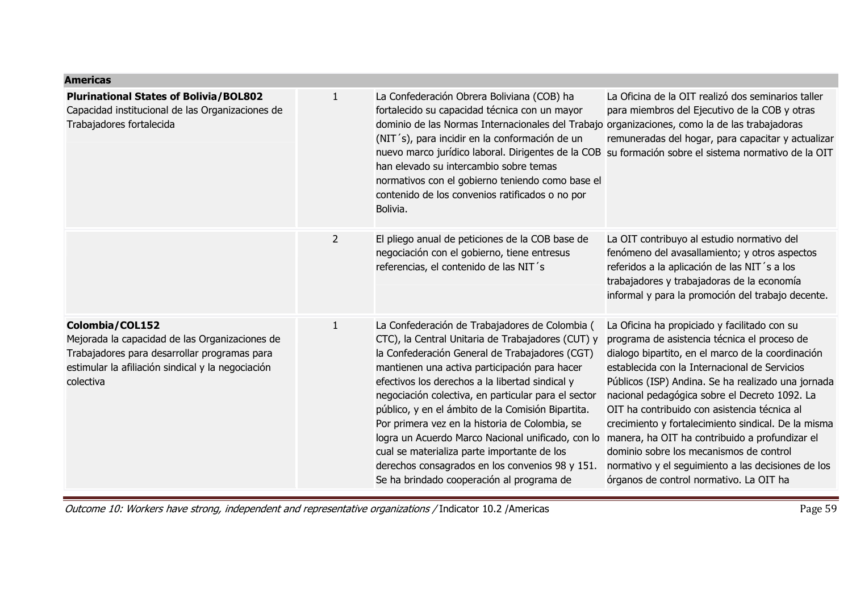| <b>Americas</b>                                                                                                                                                                     |                |                                                                                                                                                                                                                                                                                                                                                                                                                                                                                                                                                                                                                             |                                                                                                                                                                                                                                                                                                                                                                                                                                                                                                                                                                                                                |
|-------------------------------------------------------------------------------------------------------------------------------------------------------------------------------------|----------------|-----------------------------------------------------------------------------------------------------------------------------------------------------------------------------------------------------------------------------------------------------------------------------------------------------------------------------------------------------------------------------------------------------------------------------------------------------------------------------------------------------------------------------------------------------------------------------------------------------------------------------|----------------------------------------------------------------------------------------------------------------------------------------------------------------------------------------------------------------------------------------------------------------------------------------------------------------------------------------------------------------------------------------------------------------------------------------------------------------------------------------------------------------------------------------------------------------------------------------------------------------|
| <b>Plurinational States of Bolivia/BOL802</b><br>Capacidad institucional de las Organizaciones de<br>Trabajadores fortalecida                                                       | $\mathbf{1}$   | La Confederación Obrera Boliviana (COB) ha<br>fortalecido su capacidad técnica con un mayor<br>dominio de las Normas Internacionales del Trabajo organizaciones, como la de las trabajadoras<br>(NIT's), para incidir en la conformación de un<br>han elevado su intercambio sobre temas<br>normativos con el gobierno teniendo como base el<br>contenido de los convenios ratificados o no por<br>Bolivia.                                                                                                                                                                                                                 | La Oficina de la OIT realizó dos seminarios taller<br>para miembros del Ejecutivo de la COB y otras<br>remuneradas del hogar, para capacitar y actualizar<br>nuevo marco jurídico laboral. Dirigentes de la COB su formación sobre el sistema normativo de la OIT                                                                                                                                                                                                                                                                                                                                              |
|                                                                                                                                                                                     | $\overline{2}$ | El pliego anual de peticiones de la COB base de<br>negociación con el gobierno, tiene entresus<br>referencias, el contenido de las NIT's                                                                                                                                                                                                                                                                                                                                                                                                                                                                                    | La OIT contribuyo al estudio normativo del<br>fenómeno del avasallamiento; y otros aspectos<br>referidos a la aplicación de las NIT's a los<br>trabajadores y trabajadoras de la economía<br>informal y para la promoción del trabajo decente.                                                                                                                                                                                                                                                                                                                                                                 |
| Colombia/COL152<br>Mejorada la capacidad de las Organizaciones de<br>Trabajadores para desarrollar programas para<br>estimular la afiliación sindical y la negociación<br>colectiva | $\mathbf{1}$   | La Confederación de Trabajadores de Colombia (<br>CTC), la Central Unitaria de Trabajadores (CUT) y<br>la Confederación General de Trabajadores (CGT)<br>mantienen una activa participación para hacer<br>efectivos los derechos a la libertad sindical y<br>negociación colectiva, en particular para el sector<br>público, y en el ámbito de la Comisión Bipartita.<br>Por primera vez en la historia de Colombia, se<br>logra un Acuerdo Marco Nacional unificado, con lo<br>cual se materializa parte importante de los<br>derechos consagrados en los convenios 98 y 151.<br>Se ha brindado cooperación al programa de | La Oficina ha propiciado y facilitado con su<br>programa de asistencia técnica el proceso de<br>dialogo bipartito, en el marco de la coordinación<br>establecida con la Internacional de Servicios<br>Públicos (ISP) Andina. Se ha realizado una jornada<br>nacional pedagógica sobre el Decreto 1092. La<br>OIT ha contribuido con asistencia técnica al<br>crecimiento y fortalecimiento sindical. De la misma<br>manera, ha OIT ha contribuido a profundizar el<br>dominio sobre los mecanismos de control<br>normativo y el seguimiento a las decisiones de los<br>órganos de control normativo. La OIT ha |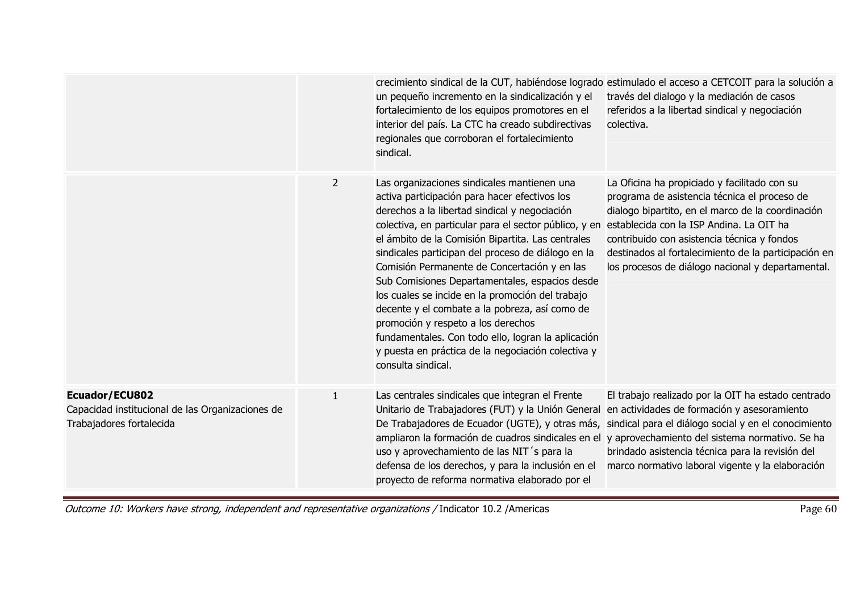|                                                                                                |                | un pequeño incremento en la sindicalización y el<br>fortalecimiento de los equipos promotores en el<br>interior del país. La CTC ha creado subdirectivas<br>regionales que corroboran el fortalecimiento<br>sindical.                                                                                                                                                                                                                                                                                                                                                                                                                                                                             | crecimiento sindical de la CUT, habiéndose logrado estimulado el acceso a CETCOIT para la solución a<br>través del dialogo y la mediación de casos<br>referidos a la libertad sindical y negociación<br>colectiva.                                                                                                                                        |
|------------------------------------------------------------------------------------------------|----------------|---------------------------------------------------------------------------------------------------------------------------------------------------------------------------------------------------------------------------------------------------------------------------------------------------------------------------------------------------------------------------------------------------------------------------------------------------------------------------------------------------------------------------------------------------------------------------------------------------------------------------------------------------------------------------------------------------|-----------------------------------------------------------------------------------------------------------------------------------------------------------------------------------------------------------------------------------------------------------------------------------------------------------------------------------------------------------|
|                                                                                                | $\overline{2}$ | Las organizaciones sindicales mantienen una<br>activa participación para hacer efectivos los<br>derechos a la libertad sindical y negociación<br>colectiva, en particular para el sector público, y en<br>el ámbito de la Comisión Bipartita. Las centrales<br>sindicales participan del proceso de diálogo en la<br>Comisión Permanente de Concertación y en las<br>Sub Comisiones Departamentales, espacios desde<br>los cuales se incide en la promoción del trabajo<br>decente y el combate a la pobreza, así como de<br>promoción y respeto a los derechos<br>fundamentales. Con todo ello, logran la aplicación<br>y puesta en práctica de la negociación colectiva y<br>consulta sindical. | La Oficina ha propiciado y facilitado con su<br>programa de asistencia técnica el proceso de<br>dialogo bipartito, en el marco de la coordinación<br>establecida con la ISP Andina. La OIT ha<br>contribuido con asistencia técnica y fondos<br>destinados al fortalecimiento de la participación en<br>los procesos de diálogo nacional y departamental. |
| Ecuador/ECU802<br>Capacidad institucional de las Organizaciones de<br>Trabajadores fortalecida | $\mathbf{1}$   | Las centrales sindicales que integran el Frente<br>Unitario de Trabajadores (FUT) y la Unión General<br>De Trabajadores de Ecuador (UGTE), y otras más,<br>ampliaron la formación de cuadros sindicales en el<br>uso y aprovechamiento de las NIT's para la<br>defensa de los derechos, y para la inclusión en el<br>proyecto de reforma normativa elaborado por el                                                                                                                                                                                                                                                                                                                               | El trabajo realizado por la OIT ha estado centrado<br>en actividades de formación y asesoramiento<br>sindical para el diálogo social y en el conocimiento<br>y aprovechamiento del sistema normativo. Se ha<br>brindado asistencia técnica para la revisión del<br>marco normativo laboral vigente y la elaboración                                       |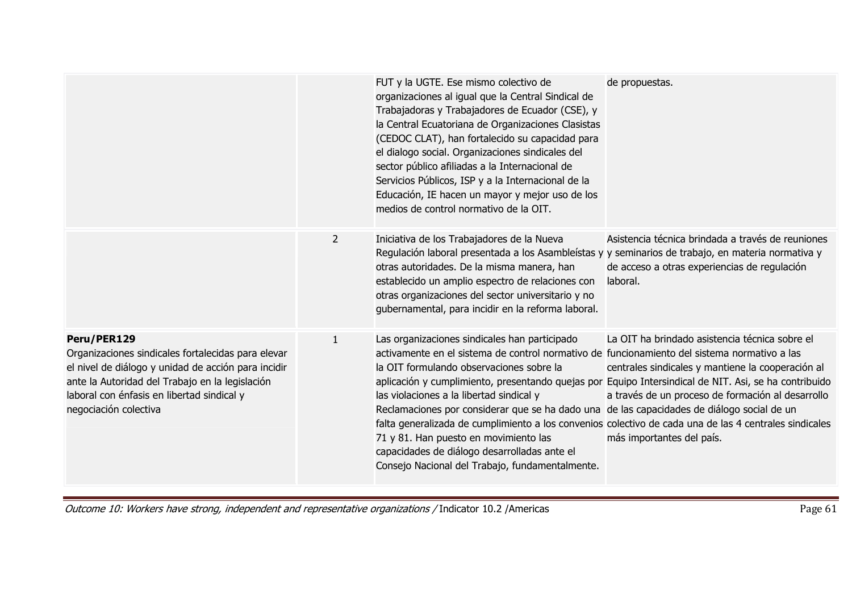|                                                                                                                                                                                                                                                    |                | FUT y la UGTE. Ese mismo colectivo de<br>organizaciones al igual que la Central Sindical de<br>Trabajadoras y Trabajadores de Ecuador (CSE), y<br>la Central Ecuatoriana de Organizaciones Clasistas<br>(CEDOC CLAT), han fortalecido su capacidad para<br>el dialogo social. Organizaciones sindicales del<br>sector público afiliadas a la Internacional de<br>Servicios Públicos, ISP y a la Internacional de la<br>Educación, IE hacen un mayor y mejor uso de los<br>medios de control normativo de la OIT.                                                                                                                                                                                   | de propuestas.                                                                                                                                                                        |
|----------------------------------------------------------------------------------------------------------------------------------------------------------------------------------------------------------------------------------------------------|----------------|----------------------------------------------------------------------------------------------------------------------------------------------------------------------------------------------------------------------------------------------------------------------------------------------------------------------------------------------------------------------------------------------------------------------------------------------------------------------------------------------------------------------------------------------------------------------------------------------------------------------------------------------------------------------------------------------------|---------------------------------------------------------------------------------------------------------------------------------------------------------------------------------------|
|                                                                                                                                                                                                                                                    | $\overline{2}$ | Iniciativa de los Trabajadores de la Nueva<br>Regulación laboral presentada a los Asambleístas y y seminarios de trabajo, en materia normativa y<br>otras autoridades. De la misma manera, han<br>establecido un amplio espectro de relaciones con<br>otras organizaciones del sector universitario y no<br>gubernamental, para incidir en la reforma laboral.                                                                                                                                                                                                                                                                                                                                     | Asistencia técnica brindada a través de reuniones<br>de acceso a otras experiencias de regulación<br>laboral.                                                                         |
| Peru/PER129<br>Organizaciones sindicales fortalecidas para elevar<br>el nivel de diálogo y unidad de acción para incidir<br>ante la Autoridad del Trabajo en la legislación<br>laboral con énfasis en libertad sindical y<br>negociación colectiva | $\mathbf{1}$   | Las organizaciones sindicales han participado<br>activamente en el sistema de control normativo de funcionamiento del sistema normativo a las<br>la OIT formulando observaciones sobre la<br>aplicación y cumplimiento, presentando quejas por Equipo Intersindical de NIT. Asi, se ha contribuido<br>las violaciones a la libertad sindical y<br>Reclamaciones por considerar que se ha dado una de las capacidades de diálogo social de un<br>falta generalizada de cumplimiento a los convenios colectivo de cada una de las 4 centrales sindicales<br>71 y 81. Han puesto en movimiento las<br>capacidades de diálogo desarrolladas ante el<br>Consejo Nacional del Trabajo, fundamentalmente. | La OIT ha brindado asistencia técnica sobre el<br>centrales sindicales y mantiene la cooperación al<br>a través de un proceso de formación al desarrollo<br>más importantes del país. |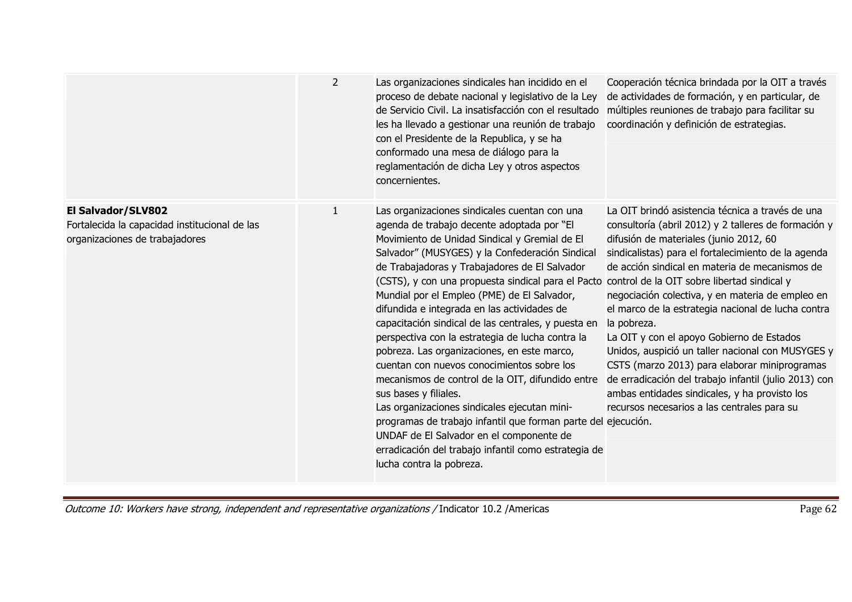|                                                                                                       | $\overline{2}$ | Las organizaciones sindicales han incidido en el<br>proceso de debate nacional y legislativo de la Ley<br>de Servicio Civil. La insatisfacción con el resultado<br>les ha llevado a gestionar una reunión de trabajo<br>con el Presidente de la Republica, y se ha<br>conformado una mesa de diálogo para la<br>reglamentación de dicha Ley y otros aspectos<br>concernientes.                                                                                                                                                                                                                                                                                                                                                                                                                                                                                                                                                             | Cooperación técnica brindada por la OIT a través<br>de actividades de formación, y en particular, de<br>múltiples reuniones de trabajo para facilitar su<br>coordinación y definición de estrategias.                                                                                                                                                                                                                                                                                                                                                                                                                                                                                                                                           |
|-------------------------------------------------------------------------------------------------------|----------------|--------------------------------------------------------------------------------------------------------------------------------------------------------------------------------------------------------------------------------------------------------------------------------------------------------------------------------------------------------------------------------------------------------------------------------------------------------------------------------------------------------------------------------------------------------------------------------------------------------------------------------------------------------------------------------------------------------------------------------------------------------------------------------------------------------------------------------------------------------------------------------------------------------------------------------------------|-------------------------------------------------------------------------------------------------------------------------------------------------------------------------------------------------------------------------------------------------------------------------------------------------------------------------------------------------------------------------------------------------------------------------------------------------------------------------------------------------------------------------------------------------------------------------------------------------------------------------------------------------------------------------------------------------------------------------------------------------|
| El Salvador/SLV802<br>Fortalecida la capacidad institucional de las<br>organizaciones de trabajadores | 1              | Las organizaciones sindicales cuentan con una<br>agenda de trabajo decente adoptada por "El<br>Movimiento de Unidad Sindical y Gremial de El<br>Salvador" (MUSYGES) y la Confederación Sindical<br>de Trabajadoras y Trabajadores de El Salvador<br>(CSTS), y con una propuesta sindical para el Pacto<br>Mundial por el Empleo (PME) de El Salvador,<br>difundida e integrada en las actividades de<br>capacitación sindical de las centrales, y puesta en<br>perspectiva con la estrategia de lucha contra la<br>pobreza. Las organizaciones, en este marco,<br>cuentan con nuevos conocimientos sobre los<br>mecanismos de control de la OIT, difundido entre<br>sus bases y filiales.<br>Las organizaciones sindicales ejecutan mini-<br>programas de trabajo infantil que forman parte del ejecución.<br>UNDAF de El Salvador en el componente de<br>erradicación del trabajo infantil como estrategia de<br>lucha contra la pobreza. | La OIT brindó asistencia técnica a través de una<br>consultoría (abril 2012) y 2 talleres de formación y<br>difusión de materiales (junio 2012, 60<br>sindicalistas) para el fortalecimiento de la agenda<br>de acción sindical en materia de mecanismos de<br>control de la OIT sobre libertad sindical y<br>negociación colectiva, y en materia de empleo en<br>el marco de la estrategia nacional de lucha contra<br>la pobreza.<br>La OIT y con el apoyo Gobierno de Estados<br>Unidos, auspició un taller nacional con MUSYGES y<br>CSTS (marzo 2013) para elaborar miniprogramas<br>de erradicación del trabajo infantil (julio 2013) con<br>ambas entidades sindicales, y ha provisto los<br>recursos necesarios a las centrales para su |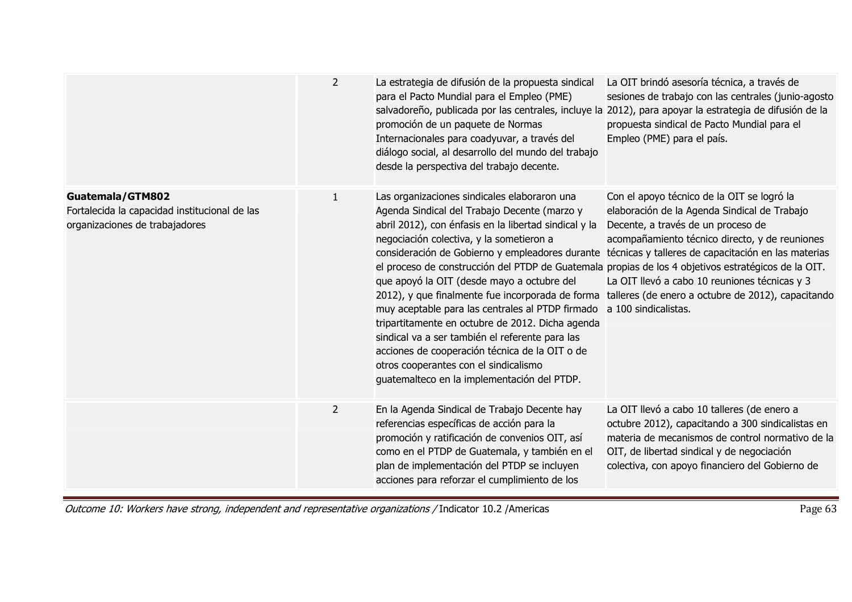|                                                                                                     | $\overline{2}$ | La estrategia de difusión de la propuesta sindical<br>para el Pacto Mundial para el Empleo (PME)<br>salvadoreño, publicada por las centrales, incluye la 2012), para apoyar la estrategia de difusión de la<br>promoción de un paquete de Normas<br>Internacionales para coadyuvar, a través del<br>diálogo social, al desarrollo del mundo del trabajo<br>desde la perspectiva del trabajo decente.                                                                                                                                                                                                                                                                                                                                                               | La OIT brindó asesoría técnica, a través de<br>sesiones de trabajo con las centrales (junio-agosto<br>propuesta sindical de Pacto Mundial para el<br>Empleo (PME) para el país.                                                                                                                                                                                          |
|-----------------------------------------------------------------------------------------------------|----------------|--------------------------------------------------------------------------------------------------------------------------------------------------------------------------------------------------------------------------------------------------------------------------------------------------------------------------------------------------------------------------------------------------------------------------------------------------------------------------------------------------------------------------------------------------------------------------------------------------------------------------------------------------------------------------------------------------------------------------------------------------------------------|--------------------------------------------------------------------------------------------------------------------------------------------------------------------------------------------------------------------------------------------------------------------------------------------------------------------------------------------------------------------------|
| Guatemala/GTM802<br>Fortalecida la capacidad institucional de las<br>organizaciones de trabajadores | 1              | Las organizaciones sindicales elaboraron una<br>Agenda Sindical del Trabajo Decente (marzo y<br>abril 2012), con énfasis en la libertad sindical y la<br>negociación colectiva, y la sometieron a<br>consideración de Gobierno y empleadores durante<br>el proceso de construcción del PTDP de Guatemala propias de los 4 objetivos estratégicos de la OIT.<br>que apoyó la OIT (desde mayo a octubre del<br>2012), y que finalmente fue incorporada de forma<br>muy aceptable para las centrales al PTDP firmado<br>tripartitamente en octubre de 2012. Dicha agenda<br>sindical va a ser también el referente para las<br>acciones de cooperación técnica de la OIT o de<br>otros cooperantes con el sindicalismo<br>guatemalteco en la implementación del PTDP. | Con el apoyo técnico de la OIT se logró la<br>elaboración de la Agenda Sindical de Trabajo<br>Decente, a través de un proceso de<br>acompañamiento técnico directo, y de reuniones<br>técnicas y talleres de capacitación en las materias<br>La OIT llevó a cabo 10 reuniones técnicas y 3<br>talleres (de enero a octubre de 2012), capacitando<br>a 100 sindicalistas. |
|                                                                                                     | $\overline{2}$ | En la Agenda Sindical de Trabajo Decente hay<br>referencias específicas de acción para la<br>promoción y ratificación de convenios OIT, así<br>como en el PTDP de Guatemala, y también en el<br>plan de implementación del PTDP se incluyen<br>acciones para reforzar el cumplimiento de los                                                                                                                                                                                                                                                                                                                                                                                                                                                                       | La OIT llevó a cabo 10 talleres (de enero a<br>octubre 2012), capacitando a 300 sindicalistas en<br>materia de mecanismos de control normativo de la<br>OIT, de libertad sindical y de negociación<br>colectiva, con apoyo financiero del Gobierno de                                                                                                                    |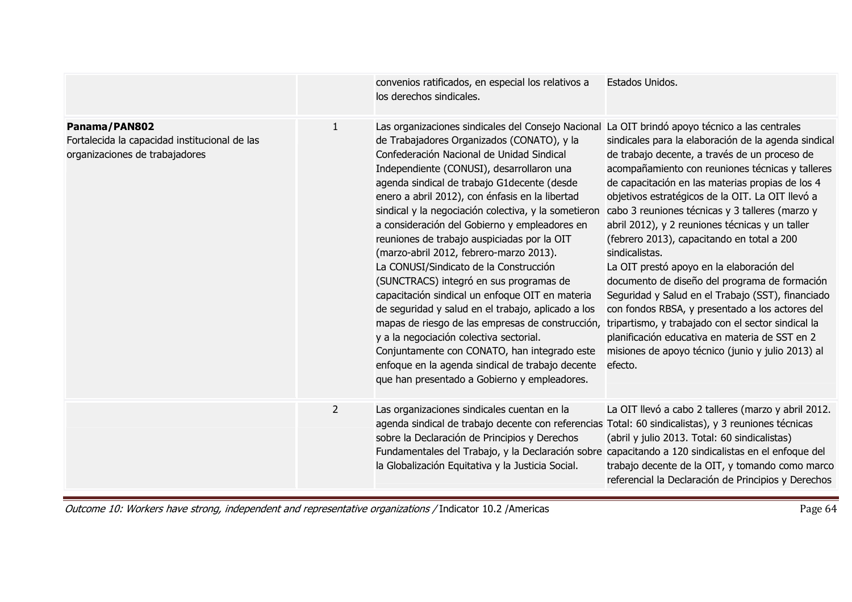|                                                                                                  |                | convenios ratificados, en especial los relativos a<br>los derechos sindicales.                                                                                                                                                                                                                                                                                                                                                                                                                                                                                                                                                                                                                                                                                                                                                                                                                                                                                                                | Estados Unidos.                                                                                                                                                                                                                                                                                                                                                                                                                                                                                                                                                                                                                                                                                                                                                                                                       |
|--------------------------------------------------------------------------------------------------|----------------|-----------------------------------------------------------------------------------------------------------------------------------------------------------------------------------------------------------------------------------------------------------------------------------------------------------------------------------------------------------------------------------------------------------------------------------------------------------------------------------------------------------------------------------------------------------------------------------------------------------------------------------------------------------------------------------------------------------------------------------------------------------------------------------------------------------------------------------------------------------------------------------------------------------------------------------------------------------------------------------------------|-----------------------------------------------------------------------------------------------------------------------------------------------------------------------------------------------------------------------------------------------------------------------------------------------------------------------------------------------------------------------------------------------------------------------------------------------------------------------------------------------------------------------------------------------------------------------------------------------------------------------------------------------------------------------------------------------------------------------------------------------------------------------------------------------------------------------|
| Panama/PAN802<br>Fortalecida la capacidad institucional de las<br>organizaciones de trabajadores | 1              | Las organizaciones sindicales del Consejo Nacional La OIT brindó apoyo técnico a las centrales<br>de Trabajadores Organizados (CONATO), y la<br>Confederación Nacional de Unidad Sindical<br>Independiente (CONUSI), desarrollaron una<br>agenda sindical de trabajo G1 decente (desde<br>enero a abril 2012), con énfasis en la libertad<br>sindical y la negociación colectiva, y la sometieron<br>a consideración del Gobierno y empleadores en<br>reuniones de trabajo auspiciadas por la OIT<br>(marzo-abril 2012, febrero-marzo 2013).<br>La CONUSI/Sindicato de la Construcción<br>(SUNCTRACS) integró en sus programas de<br>capacitación sindical un enfoque OIT en materia<br>de seguridad y salud en el trabajo, aplicado a los<br>mapas de riesgo de las empresas de construcción,<br>y a la negociación colectiva sectorial.<br>Conjuntamente con CONATO, han integrado este<br>enfoque en la agenda sindical de trabajo decente<br>que han presentado a Gobierno y empleadores. | sindicales para la elaboración de la agenda sindical<br>de trabajo decente, a través de un proceso de<br>acompañamiento con reuniones técnicas y talleres<br>de capacitación en las materias propias de los 4<br>objetivos estratégicos de la OIT. La OIT llevó a<br>cabo 3 reuniones técnicas y 3 talleres (marzo y<br>abril 2012), y 2 reuniones técnicas y un taller<br>(febrero 2013), capacitando en total a 200<br>sindicalistas.<br>La OIT prestó apoyo en la elaboración del<br>documento de diseño del programa de formación<br>Seguridad y Salud en el Trabajo (SST), financiado<br>con fondos RBSA, y presentado a los actores del<br>tripartismo, y trabajado con el sector sindical la<br>planificación educativa en materia de SST en 2<br>misiones de apoyo técnico (junio y julio 2013) al<br>efecto. |
|                                                                                                  | $\overline{2}$ | Las organizaciones sindicales cuentan en la<br>agenda sindical de trabajo decente con referencias Total: 60 sindicalistas), y 3 reuniones técnicas<br>sobre la Declaración de Principios y Derechos<br>Fundamentales del Trabajo, y la Declaración sobre capacitando a 120 sindicalistas en el enfoque del<br>la Globalización Equitativa y la Justicia Social.                                                                                                                                                                                                                                                                                                                                                                                                                                                                                                                                                                                                                               | La OIT llevó a cabo 2 talleres (marzo y abril 2012.<br>(abril y julio 2013. Total: 60 sindicalistas)<br>trabajo decente de la OIT, y tomando como marco<br>referencial la Declaración de Principios y Derechos                                                                                                                                                                                                                                                                                                                                                                                                                                                                                                                                                                                                        |

Page 64